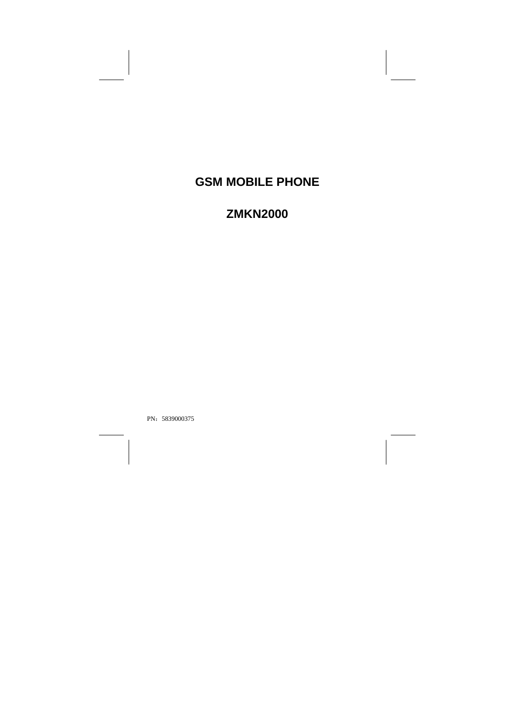# **GSM MOBILE PHONE**

# **ZMKN2000**

PN: 5839000375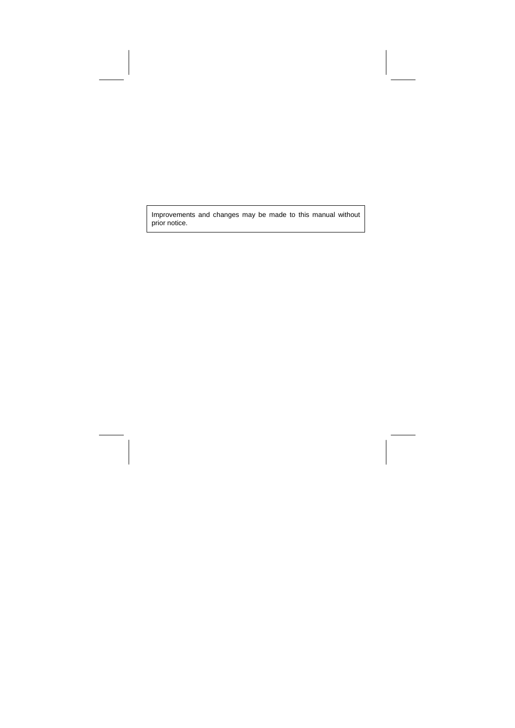Improvements and changes may be made to this manual without prior notice.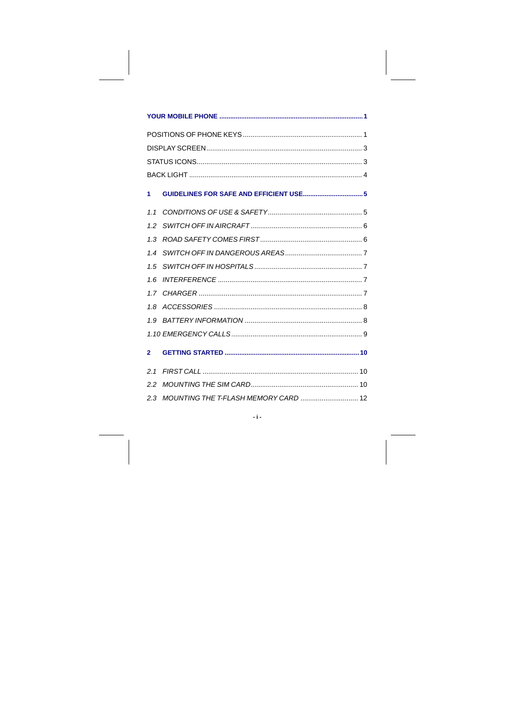| 1            | GUIDELINES FOR SAFE AND EFFICIENT USE 5 |  |
|--------------|-----------------------------------------|--|
| 11           |                                         |  |
| 1.2          |                                         |  |
| 1.3          |                                         |  |
| 1.4          |                                         |  |
|              |                                         |  |
| 1.6          |                                         |  |
|              |                                         |  |
| 1.8          |                                         |  |
|              |                                         |  |
|              |                                         |  |
| $\mathbf{2}$ |                                         |  |
| 21           |                                         |  |
| 2.2          |                                         |  |
|              |                                         |  |

 $\mathcal{A}_{\mathcal{F}}$  .

 $\mathbb{R}^2$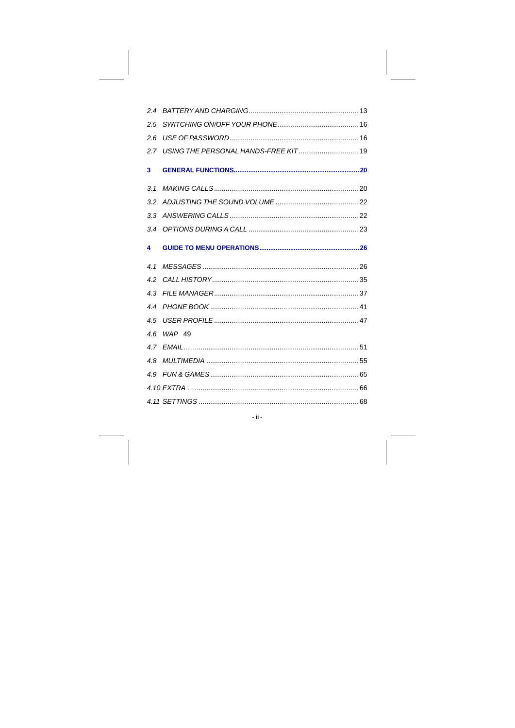| $2.5^{\circ}$ |            |  |
|---------------|------------|--|
| 2.6           |            |  |
|               |            |  |
| 3             |            |  |
|               |            |  |
|               |            |  |
|               |            |  |
|               |            |  |
| 4             |            |  |
|               |            |  |
| 4.1           |            |  |
|               |            |  |
| 4.3           |            |  |
|               |            |  |
| 4.5           |            |  |
|               | 4.6 WAP 49 |  |
|               |            |  |
|               |            |  |
|               |            |  |
|               |            |  |

 $\overline{\phantom{a}}$ ii -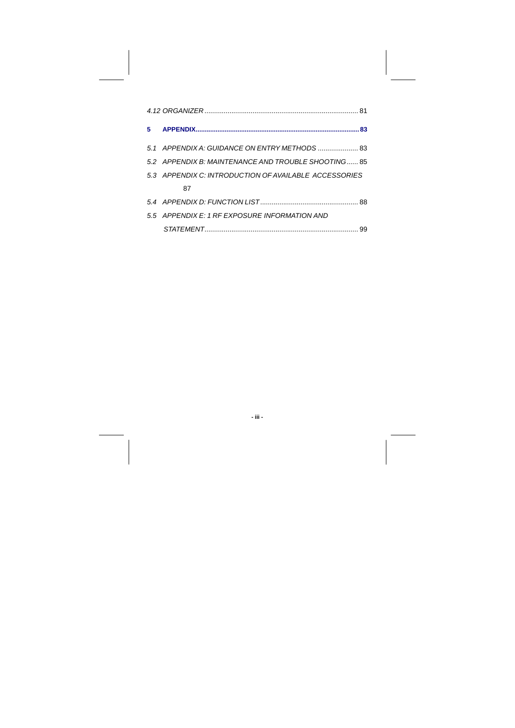| $5 -$ |                                                       |  |
|-------|-------------------------------------------------------|--|
|       | 5.1 APPENDIX A. GUIDANCE ON ENTRY METHODS  83         |  |
|       | 5.2 APPENDIX B: MAINTENANCE AND TROUBLE SHOOTING 85   |  |
|       | 5.3 APPENDIX C: INTRODUCTION OF AVAILABLE ACCESSORIES |  |
|       | 87                                                    |  |
|       |                                                       |  |
|       | 5.5 APPENDIX E: 1 RF EXPOSURE INFORMATION AND         |  |
|       |                                                       |  |

**- iii -**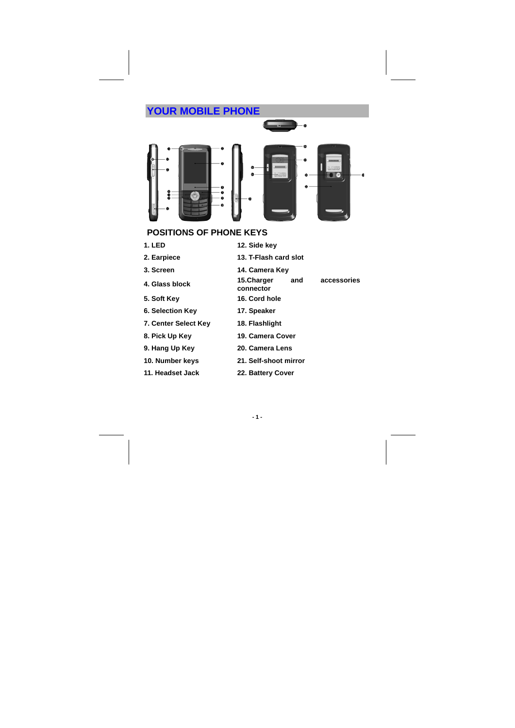## **YOUR MOBILE PHONE**



## **POSITIONS OF PHONE KEYS**

- **1. LED 12. Side key**
- **2. Earpiece 13. T-Flash card slot**
- 
- 
- **5. Soft Key 16. Cord hole**
- **6. Selection Key 17. Speaker**
- **7. Center Select Key 18. Flashlight**
- **8. Pick Up Key 19. Camera Cover**
- 
- 
- 
- 
- 
- **3. Screen 14. Camera Key**
- **4. Glass block 15.Charger and accessories connector**

- 
- 
- 
- **9. Hang Up Key 20. Camera Lens**
- **10. Number keys 21. Self-shoot mirror**
- **11. Headset Jack 22. Battery Cover** 
	- **1 -**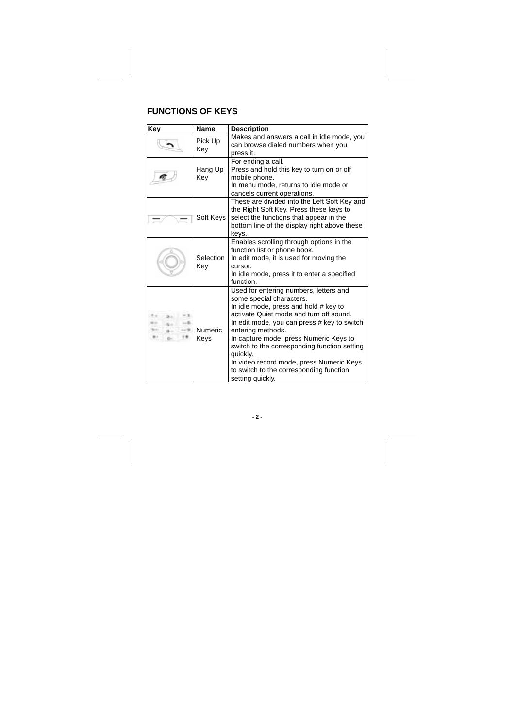## **FUNCTIONS OF KEYS**

| Key                     | Name             | <b>Description</b>                                                                                                                                                                                                                                                                                                                                                                                                                          |
|-------------------------|------------------|---------------------------------------------------------------------------------------------------------------------------------------------------------------------------------------------------------------------------------------------------------------------------------------------------------------------------------------------------------------------------------------------------------------------------------------------|
|                         | Pick Up<br>Key   | Makes and answers a call in idle mode, you<br>can browse dialed numbers when you<br>press it.                                                                                                                                                                                                                                                                                                                                               |
|                         | Hang Up<br>Kev   | For ending a call.<br>Press and hold this key to turn on or off<br>mobile phone.<br>In menu mode, returns to idle mode or<br>cancels current operations.                                                                                                                                                                                                                                                                                    |
|                         | Soft Keys        | These are divided into the Left Soft Key and<br>the Right Soft Key. Press these keys to<br>select the functions that appear in the<br>bottom line of the display right above these<br>keys.                                                                                                                                                                                                                                                 |
|                         | Selection<br>Key | Enables scrolling through options in the<br>function list or phone book.<br>In edit mode, it is used for moving the<br>cursor.<br>In idle mode, press it to enter a specified<br>function.                                                                                                                                                                                                                                                  |
| šπ<br>- 3<br>u<br>-- 84 | Numeric<br>Keys  | Used for entering numbers, letters and<br>some special characters.<br>In idle mode, press and hold # key to<br>activate Quiet mode and turn off sound.<br>In edit mode, you can press # key to switch<br>entering methods.<br>In capture mode, press Numeric Keys to<br>switch to the corresponding function setting<br>quickly.<br>In video record mode, press Numeric Keys<br>to switch to the corresponding function<br>setting quickly. |

**- 2 -**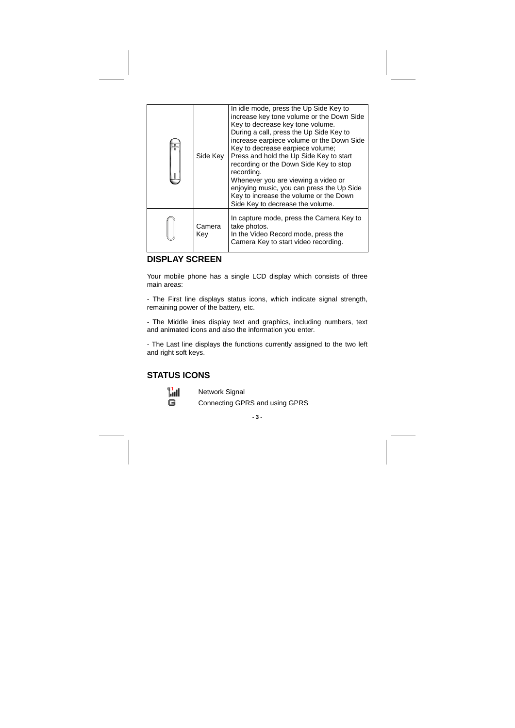| Side Key      | In idle mode, press the Up Side Key to<br>increase key tone volume or the Down Side<br>Key to decrease key tone volume.<br>During a call, press the Up Side Key to<br>increase earpiece volume or the Down Side<br>Key to decrease earpiece volume;<br>Press and hold the Up Side Key to start<br>recording or the Down Side Key to stop<br>recording.<br>Whenever you are viewing a video or<br>enjoying music, you can press the Up Side<br>Key to increase the volume or the Down<br>Side Key to decrease the volume. |
|---------------|--------------------------------------------------------------------------------------------------------------------------------------------------------------------------------------------------------------------------------------------------------------------------------------------------------------------------------------------------------------------------------------------------------------------------------------------------------------------------------------------------------------------------|
| Camera<br>Kev | In capture mode, press the Camera Key to<br>take photos.<br>In the Video Record mode, press the<br>Camera Key to start video recording.                                                                                                                                                                                                                                                                                                                                                                                  |

### **DISPLAY SCREEN**

Your mobile phone has a single LCD display which consists of three main areas:

- The First line displays status icons, which indicate signal strength, remaining power of the battery, etc.

- The Middle lines display text and graphics, including numbers, text and animated icons and also the information you enter.

- The Last line displays the functions currently assigned to the two left and right soft keys.

## **STATUS ICONS**

Network Signal Connecting GPRS and using GPRS

**- 3 -**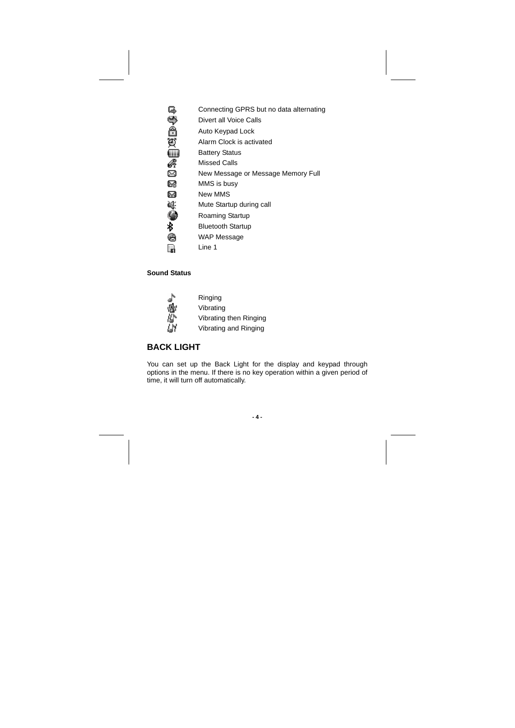| Connecting GPRS but no data alternating |  |
|-----------------------------------------|--|
|-----------------------------------------|--|

- Divert all Voice Calls
- Auto Keypad Lock
- **BABBBB** Alarm Clock is activated
	- Battery Status
	- Missed Calls
	- New Message or Message Memory Full
- 03 MMS is busy
- M New MMS
- 鷆 Mute Startup during call
- Ò Roaming Startup
- ∦ Bluetooth Startup
- € WAP Message
- Line 1 R

## **Sound Status**

| ν |  |
|---|--|
|   |  |
|   |  |

Ringing Vibrating Vibrating then Ringing Vibrating and Ringing

### **BACK LIGHT**

You can set up the Back Light for the display and keypad through options in the menu. If there is no key operation within a given period of time, it will turn off automatically.

**- 4 -**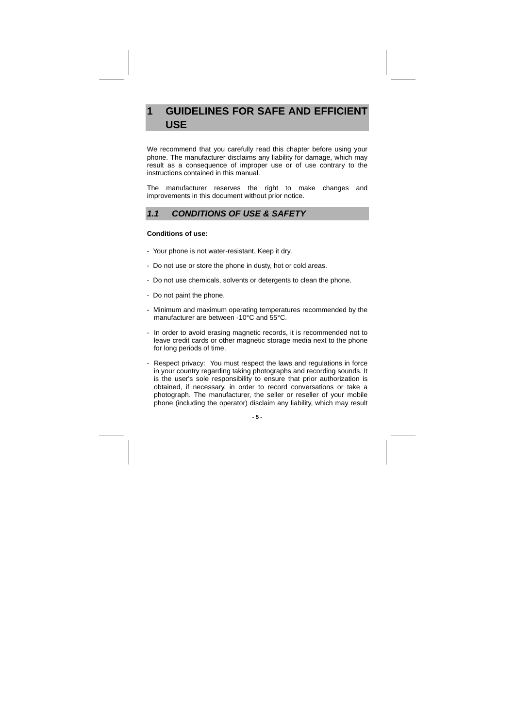## **1 GUIDELINES FOR SAFE AND EFFICIENT USE**

We recommend that you carefully read this chapter before using your phone. The manufacturer disclaims any liability for damage, which may result as a consequence of improper use or of use contrary to the instructions contained in this manual.

The manufacturer reserves the right to make changes and improvements in this document without prior notice.

### **1.1 CONDITIONS OF USE & SAFETY**

#### **Conditions of use:**

- Your phone is not water-resistant. Keep it dry.
- Do not use or store the phone in dusty, hot or cold areas.
- Do not use chemicals, solvents or detergents to clean the phone.
- Do not paint the phone.
- Minimum and maximum operating temperatures recommended by the manufacturer are between -10°C and 55°C.
- In order to avoid erasing magnetic records, it is recommended not to leave credit cards or other magnetic storage media next to the phone for long periods of time.
- Respect privacy: You must respect the laws and regulations in force in your country regarding taking photographs and recording sounds. It is the user's sole responsibility to ensure that prior authorization is obtained, if necessary, in order to record conversations or take a photograph. The manufacturer, the seller or reseller of your mobile phone (including the operator) disclaim any liability, which may result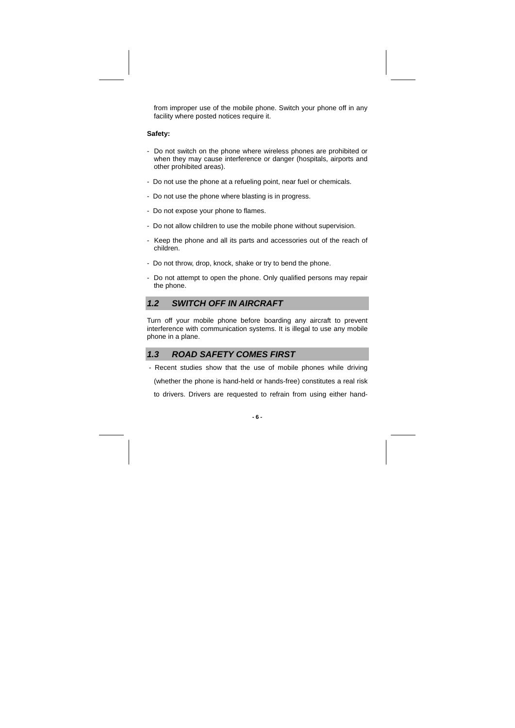from improper use of the mobile phone. Switch your phone off in any facility where posted notices require it.

#### **Safety:**

- Do not switch on the phone where wireless phones are prohibited or when they may cause interference or danger (hospitals, airports and other prohibited areas).
- Do not use the phone at a refueling point, near fuel or chemicals.
- Do not use the phone where blasting is in progress.
- Do not expose your phone to flames.
- Do not allow children to use the mobile phone without supervision.
- Keep the phone and all its parts and accessories out of the reach of children.
- Do not throw, drop, knock, shake or try to bend the phone.
- Do not attempt to open the phone. Only qualified persons may repair the phone.

### **1.2 SWITCH OFF IN AIRCRAFT**

Turn off your mobile phone before boarding any aircraft to prevent interference with communication systems. It is illegal to use any mobile phone in a plane.

### **1.3 ROAD SAFETY COMES FIRST**

 - Recent studies show that the use of mobile phones while driving (whether the phone is hand-held or hands-free) constitutes a real risk to drivers. Drivers are requested to refrain from using either hand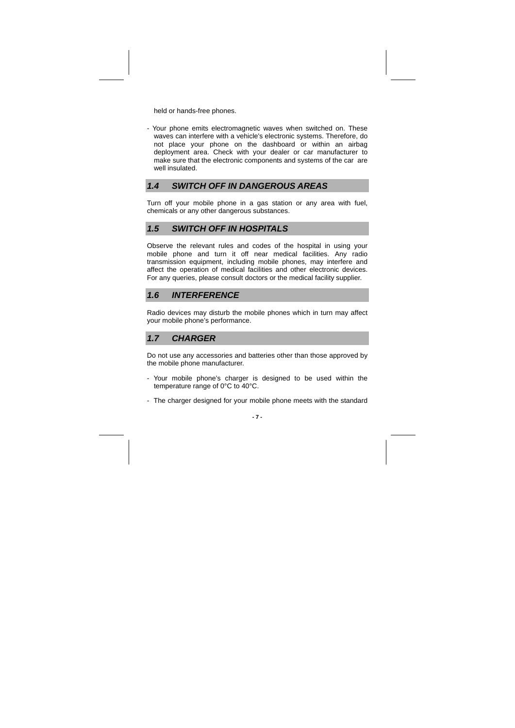held or hands-free phones.

- Your phone emits electromagnetic waves when switched on. These waves can interfere with a vehicle's electronic systems. Therefore, do not place your phone on the dashboard or within an airbag deployment area. Check with your dealer or car manufacturer to make sure that the electronic components and systems of the car are well insulated.

### **1.4 SWITCH OFF IN DANGEROUS AREAS**

Turn off your mobile phone in a gas station or any area with fuel, chemicals or any other dangerous substances.

### **1.5 SWITCH OFF IN HOSPITALS**

Observe the relevant rules and codes of the hospital in using your mobile phone and turn it off near medical facilities. Any radio transmission equipment, including mobile phones, may interfere and affect the operation of medical facilities and other electronic devices. For any queries, please consult doctors or the medical facility supplier.

#### **1.6 INTERFERENCE**

Radio devices may disturb the mobile phones which in turn may affect your mobile phone's performance.

### **1.7 CHARGER**

Do not use any accessories and batteries other than those approved by the mobile phone manufacturer.

- Your mobile phone's charger is designed to be used within the temperature range of 0°C to 40°C.
- The charger designed for your mobile phone meets with the standard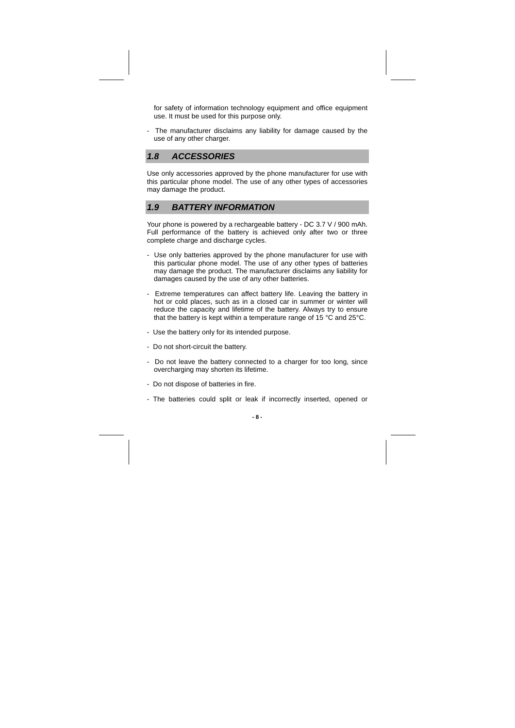for safety of information technology equipment and office equipment use. It must be used for this purpose only.

- The manufacturer disclaims any liability for damage caused by the use of any other charger.

### **1.8 ACCESSORIES**

Use only accessories approved by the phone manufacturer for use with this particular phone model. The use of any other types of accessories may damage the product.

### **1.9 BATTERY INFORMATION**

Your phone is powered by a rechargeable battery - DC 3.7 V / 900 mAh. Full performance of the battery is achieved only after two or three complete charge and discharge cycles.

- Use only batteries approved by the phone manufacturer for use with this particular phone model. The use of any other types of batteries may damage the product. The manufacturer disclaims any liability for damages caused by the use of any other batteries.
- Extreme temperatures can affect battery life. Leaving the battery in hot or cold places, such as in a closed car in summer or winter will reduce the capacity and lifetime of the battery. Always try to ensure that the battery is kept within a temperature range of 15 °C and 25°C.
- Use the battery only for its intended purpose.
- Do not short-circuit the battery.
- Do not leave the battery connected to a charger for too long, since overcharging may shorten its lifetime.
- Do not dispose of batteries in fire.
- The batteries could split or leak if incorrectly inserted, opened or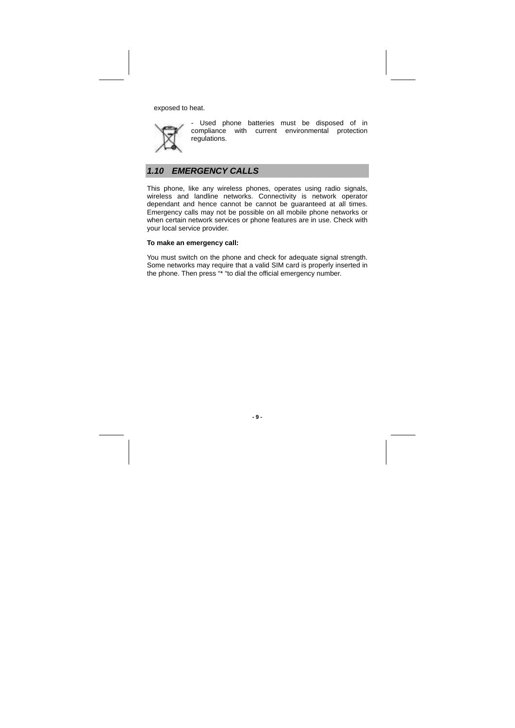exposed to heat.



- Used phone batteries must be disposed of in compliance with current environmental protection regulations.

## **1.10 EMERGENCY CALLS**

This phone, like any wireless phones, operates using radio signals, wireless and landline networks. Connectivity is network operator dependant and hence cannot be cannot be guaranteed at all times. Emergency calls may not be possible on all mobile phone networks or when certain network services or phone features are in use. Check with your local service provider.

#### **To make an emergency call:**

You must switch on the phone and check for adequate signal strength. Some networks may require that a valid SIM card is properly inserted in the phone. Then press "\* "to dial the official emergency number.

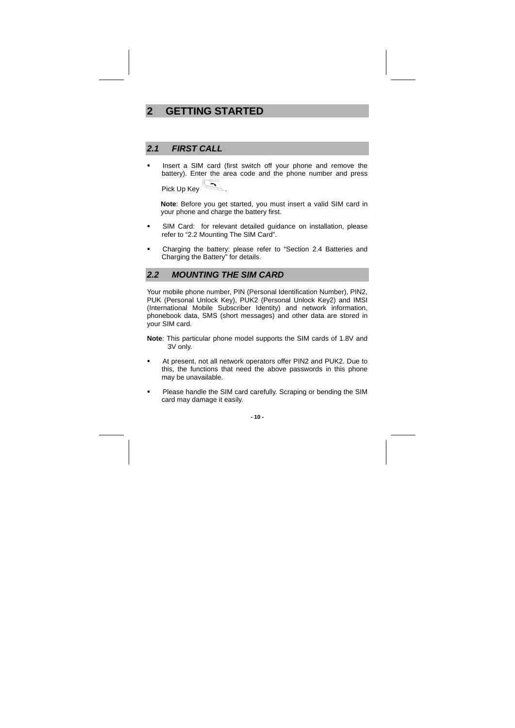## **2 GETTING STARTED**

### **2.1 FIRST CALL**

**Insert a SIM card (first switch off your phone and remove the** battery). Enter the area code and the phone number and press Pick Up Key

**Note**: Before you get started, you must insert a valid SIM card in your phone and charge the battery first.

- SIM Card: for relevant detailed guidance on installation, please refer to "2.2 Mounting The SIM Card".
- Charging the battery: please refer to "Section 2.4 Batteries and Charging the Battery" for details.

### **2.2 MOUNTING THE SIM CARD**

Your mobile phone number, PIN (Personal Identification Number), PIN2, PUK (Personal Unlock Key), PUK2 (Personal Unlock Key2) and IMSI (International Mobile Subscriber Identity) and network information, phonebook data, SMS (short messages) and other data are stored in your SIM card.

- **Note**: This particular phone model supports the SIM cards of 1.8V and 3V only.
- At present, not all network operators offer PIN2 and PUK2. Due to this, the functions that need the above passwords in this phone may be unavailable.
- **Please handle the SIM card carefully. Scraping or bending the SIM** card may damage it easily.

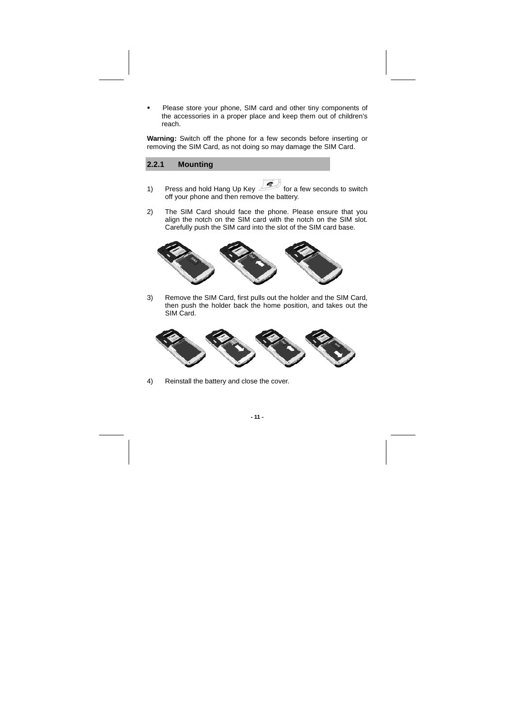Please store your phone, SIM card and other tiny components of the accessories in a proper place and keep them out of children's reach.

**Warning:** Switch off the phone for a few seconds before inserting or removing the SIM Card, as not doing so may damage the SIM Card.

### **2.2.1 Mounting**

- 1) Press and hold Hang Up Key **For a few seconds to switch** off your phone and then remove the battery.
- 2) The SIM Card should face the phone. Please ensure that you align the notch on the SIM card with the notch on the SIM slot. Carefully push the SIM card into the slot of the SIM card base.



3) Remove the SIM Card, first pulls out the holder and the SIM Card, then push the holder back the home position, and takes out the SIM Card.



4) Reinstall the battery and close the cover.

**- 11 -**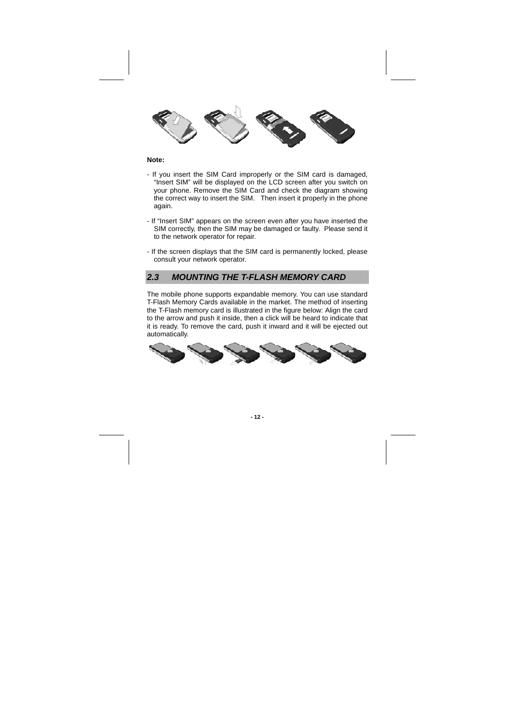

#### **Note:**

- If you insert the SIM Card improperly or the SIM card is damaged, "Insert SIM" will be displayed on the LCD screen after you switch on your phone. Remove the SIM Card and check the diagram showing the correct way to insert the SIM. Then insert it properly in the phone again.
- If "Insert SIM" appears on the screen even after you have inserted the SIM correctly, then the SIM may be damaged or faulty. Please send it to the network operator for repair.
- If the screen displays that the SIM card is permanently locked, please consult your network operator.

### **2.3 MOUNTING THE T-FLASH MEMORY CARD**

The mobile phone supports expandable memory. You can use standard T-Flash Memory Cards available in the market. The method of inserting the T-Flash memory card is illustrated in the figure below: Align the card to the arrow and push it inside, then a click will be heard to indicate that it is ready. To remove the card, push it inward and it will be ejected out automatically.



**- 12 -**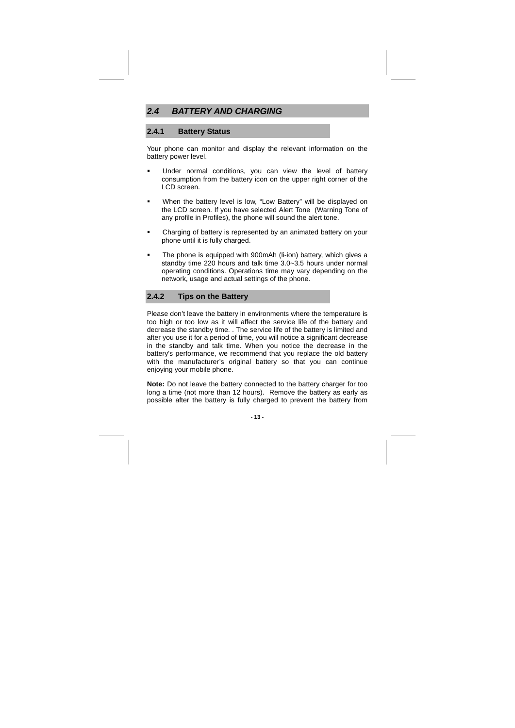### **2.4 BATTERY AND CHARGING**

### **2.4.1 Battery Status**

Your phone can monitor and display the relevant information on the battery power level.

- Under normal conditions, you can view the level of battery consumption from the battery icon on the upper right corner of the LCD screen.
- When the battery level is low, "Low Battery" will be displayed on the LCD screen. If you have selected Alert Tone (Warning Tone of any profile in Profiles), the phone will sound the alert tone.
- **EXECO FIGHT Charging of battery is represented by an animated battery on your** phone until it is fully charged.
- The phone is equipped with 900mAh (li-ion) battery, which gives a standby time 220 hours and talk time 3.0~3.5 hours under normal operating conditions. Operations time may vary depending on the network, usage and actual settings of the phone.

### **2.4.2 Tips on the Battery**

Please don't leave the battery in environments where the temperature is too high or too low as it will affect the service life of the battery and decrease the standby time. . The service life of the battery is limited and after you use it for a period of time, you will notice a significant decrease in the standby and talk time. When you notice the decrease in the battery's performance, we recommend that you replace the old battery with the manufacturer's original battery so that you can continue enjoying your mobile phone.

**Note:** Do not leave the battery connected to the battery charger for too long a time (not more than 12 hours). Remove the battery as early as possible after the battery is fully charged to prevent the battery from

#### **- 13 -**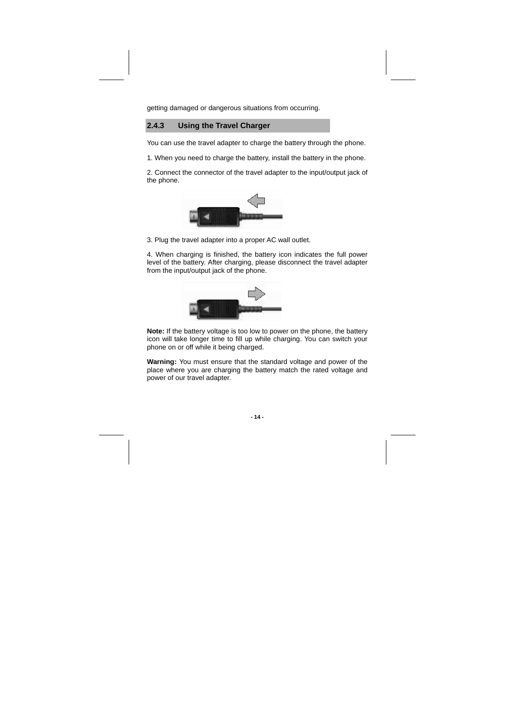getting damaged or dangerous situations from occurring.

#### **2.4.3 Using the Travel Charger**

You can use the travel adapter to charge the battery through the phone.

1. When you need to charge the battery, install the battery in the phone.

2. Connect the connector of the travel adapter to the input/output jack of the phone.



3. Plug the travel adapter into a proper AC wall outlet.

4. When charging is finished, the battery icon indicates the full power level of the battery. After charging, please disconnect the travel adapter from the input/output jack of the phone.



**Note:** If the battery voltage is too low to power on the phone, the battery icon will take longer time to fill up while charging. You can switch your phone on or off while it being charged.

**Warning:** You must ensure that the standard voltage and power of the place where you are charging the battery match the rated voltage and power of our travel adapter.

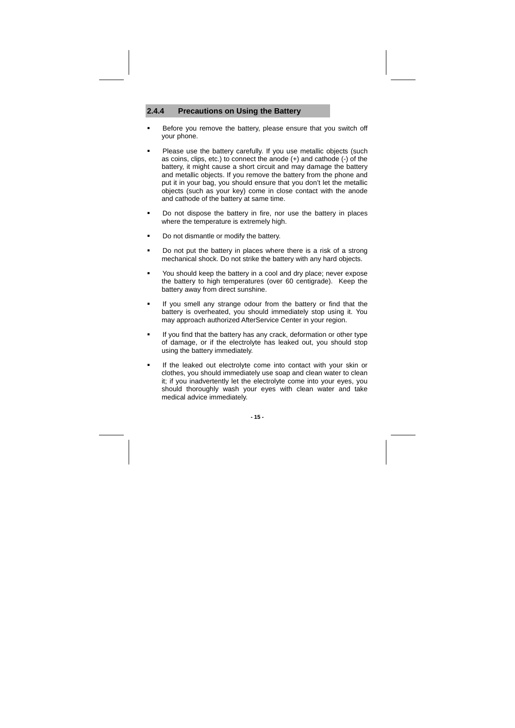### **2.4.4 Precautions on Using the Battery**

- Before you remove the battery, please ensure that you switch off your phone.
- **Please use the battery carefully. If you use metallic objects (such** as coins, clips, etc.) to connect the anode (+) and cathode (-) of the battery, it might cause a short circuit and may damage the battery and metallic objects. If you remove the battery from the phone and put it in your bag, you should ensure that you don't let the metallic objects (such as your key) come in close contact with the anode and cathode of the battery at same time.
- Do not dispose the battery in fire, nor use the battery in places where the temperature is extremely high.
- Do not dismantle or modify the battery.
- **Do not put the battery in places where there is a risk of a strong** mechanical shock. Do not strike the battery with any hard objects.
- **•** You should keep the battery in a cool and dry place; never expose the battery to high temperatures (over 60 centigrade). Keep the battery away from direct sunshine.
- If you smell any strange odour from the battery or find that the battery is overheated, you should immediately stop using it. You may approach authorized AfterService Center in your region.
- If you find that the battery has any crack, deformation or other type of damage, or if the electrolyte has leaked out, you should stop using the battery immediately.
- **If the leaked out electrolyte come into contact with your skin or** clothes, you should immediately use soap and clean water to clean it; if you inadvertently let the electrolyte come into your eyes, you should thoroughly wash your eyes with clean water and take medical advice immediately.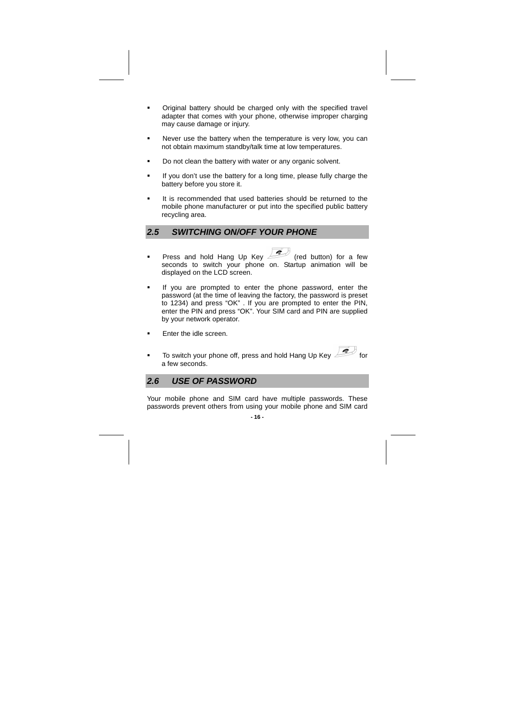- Original battery should be charged only with the specified travel adapter that comes with your phone, otherwise improper charging may cause damage or injury.
- Never use the battery when the temperature is very low, you can not obtain maximum standby/talk time at low temperatures.
- Do not clean the battery with water or any organic solvent.
- If you don't use the battery for a long time, please fully charge the battery before you store it.
- It is recommended that used batteries should be returned to the mobile phone manufacturer or put into the specified public battery recycling area.

### **2.5 SWITCHING ON/OFF YOUR PHONE**

- **Press and hold Hang Up Key (red button) for a few** seconds to switch your phone on. Startup animation will be displayed on the LCD screen.
- If you are prompted to enter the phone password, enter the password (at the time of leaving the factory, the password is preset to 1234) and press "OK" . If you are prompted to enter the PIN, enter the PIN and press "OK". Your SIM card and PIN are supplied by your network operator.
- **Enter the idle screen.**
- To switch your phone off, press and hold Hang Up Key a few seconds.

**2.6 USE OF PASSWORD**

Your mobile phone and SIM card have multiple passwords. These passwords prevent others from using your mobile phone and SIM card

#### **- 16 -**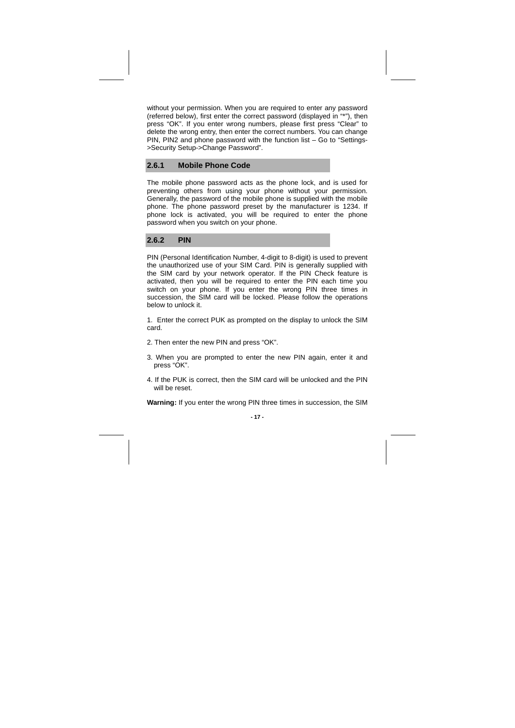without your permission. When you are required to enter any password (referred below), first enter the correct password (displayed in "\*"), then press "OK". If you enter wrong numbers, please first press "Clear" to delete the wrong entry, then enter the correct numbers. You can change PIN, PIN2 and phone password with the function list – Go to "Settings- >Security Setup->Change Password".

### **2.6.1 Mobile Phone Code**

The mobile phone password acts as the phone lock, and is used for preventing others from using your phone without your permission. Generally, the password of the mobile phone is supplied with the mobile phone. The phone password preset by the manufacturer is 1234. If phone lock is activated, you will be required to enter the phone password when you switch on your phone.

#### **2.6.2 PIN**

PIN (Personal Identification Number, 4-digit to 8-digit) is used to prevent the unauthorized use of your SIM Card. PIN is generally supplied with the SIM card by your network operator. If the PIN Check feature is activated, then you will be required to enter the PIN each time you switch on your phone. If you enter the wrong PIN three times in succession, the SIM card will be locked. Please follow the operations below to unlock it.

1. Enter the correct PUK as prompted on the display to unlock the SIM card.

- 2. Then enter the new PIN and press "OK".
- 3. When you are prompted to enter the new PIN again, enter it and press "OK".
- 4. If the PUK is correct, then the SIM card will be unlocked and the PIN will be reset.

**Warning:** If you enter the wrong PIN three times in succession, the SIM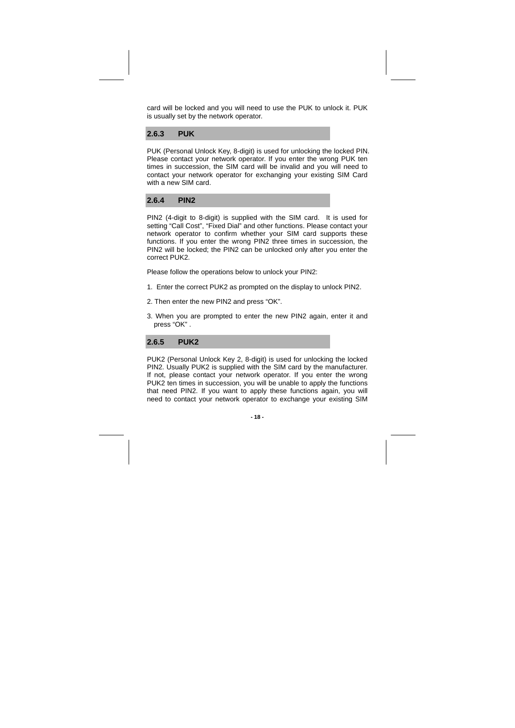card will be locked and you will need to use the PUK to unlock it. PUK is usually set by the network operator.

#### **2.6.3 PUK**

PUK (Personal Unlock Key, 8-digit) is used for unlocking the locked PIN. Please contact your network operator. If you enter the wrong PUK ten times in succession, the SIM card will be invalid and you will need to contact your network operator for exchanging your existing SIM Card with a new SIM card.

### **2.6.4 PIN2**

PIN2 (4-digit to 8-digit) is supplied with the SIM card. It is used for setting "Call Cost", "Fixed Dial" and other functions. Please contact your network operator to confirm whether your SIM card supports these functions. If you enter the wrong PIN2 three times in succession, the PIN2 will be locked; the PIN2 can be unlocked only after you enter the correct PUK2.

Please follow the operations below to unlock your PIN2:

1. Enter the correct PUK2 as prompted on the display to unlock PIN2.

- 2. Then enter the new PIN2 and press "OK".
- 3. When you are prompted to enter the new PIN2 again, enter it and press "OK" .

#### **2.6.5 PUK2**

PUK2 (Personal Unlock Key 2, 8-digit) is used for unlocking the locked PIN2. Usually PUK2 is supplied with the SIM card by the manufacturer. If not, please contact your network operator. If you enter the wrong PUK2 ten times in succession, you will be unable to apply the functions that need PIN2. If you want to apply these functions again, you will need to contact your network operator to exchange your existing SIM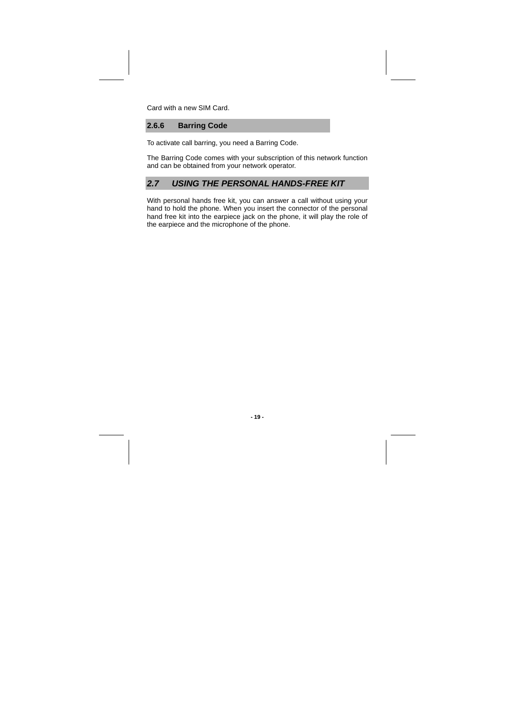Card with a new SIM Card.

**2.6.6 Barring Code** 

To activate call barring, you need a Barring Code.

The Barring Code comes with your subscription of this network function and can be obtained from your network operator.

### **2.7 USING THE PERSONAL HANDS-FREE KIT**

With personal hands free kit, you can answer a call without using your hand to hold the phone. When you insert the connector of the personal hand free kit into the earpiece jack on the phone, it will play the role of the earpiece and the microphone of the phone.

### **- 19 -**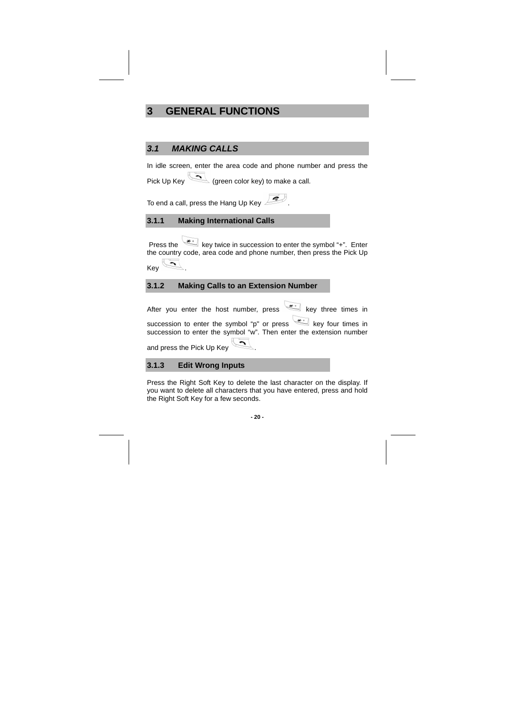## **3 GENERAL FUNCTIONS**

### **3.1 MAKING CALLS**

In idle screen, enter the area code and phone number and press the Pick Up Key (green color key) to make a call.

To end a call, press the Hang Up Key

**3.1.1 Making International Calls** 

Press the key twice in succession to enter the symbol "+". Enter the country code, area code and phone number, then press the Pick Up  $KeV$ 

### **3.1.2 Making Calls to an Extension Number**

After you enter the host number, press  $\overline{m}$  key three times in succession to enter the symbol " $p$ " or press  $\sim$  key four times in

succession to enter the symbol "w". Then enter the extension number and press the Pick Up Key

**3.1.3 Edit Wrong Inputs** 

Press the Right Soft Key to delete the last character on the display. If you want to delete all characters that you have entered, press and hold the Right Soft Key for a few seconds.

**- 20 -**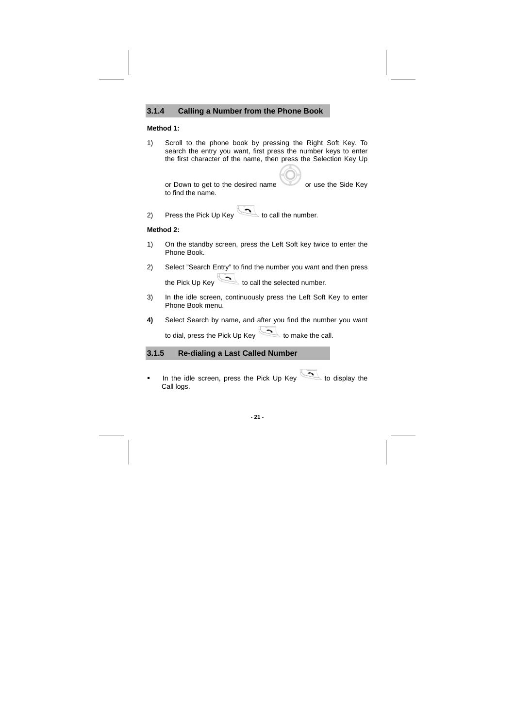### **3.1.4 Calling a Number from the Phone Book**

#### **Method 1:**

1) Scroll to the phone book by pressing the Right Soft Key. To search the entry you want, first press the number keys to enter the first character of the name, then press the Selection Key Up

or Down to get to the desired name or use the Side Key to find the name.

2) Press the Pick Up Key to call the number.

### **Method 2:**

- 1) On the standby screen, press the Left Soft key twice to enter the Phone Book.
- 2) Select "Search Entry" to find the number you want and then press the Pick Up Key to call the selected number.
- 3) In the idle screen, continuously press the Left Soft Key to enter Phone Book menu.
- **4)** Select Search by name, and after you find the number you want to dial, press the Pick Up Key to make the call.

### **3.1.5 Re-dialing a Last Called Number**

In the idle screen, press the Pick Up Key to display the Call logs.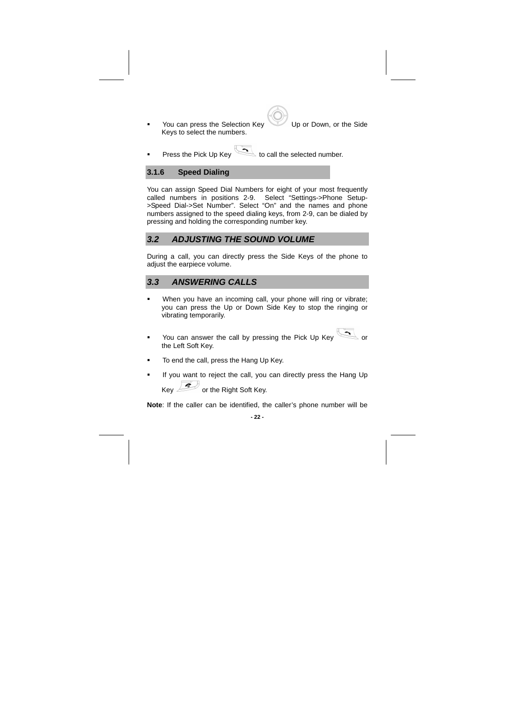• You can press the Selection Key Up or Down, or the Side Keys to select the numbers.

Press the Pick Up Key to call the selected number.

### **3.1.6 Speed Dialing**

You can assign Speed Dial Numbers for eight of your most frequently called numbers in positions 2-9. Select "Settings->Phone Setup- >Speed Dial->Set Number". Select "On" and the names and phone numbers assigned to the speed dialing keys, from 2-9, can be dialed by pressing and holding the corresponding number key.

### **3.2 ADJUSTING THE SOUND VOLUME**

During a call, you can directly press the Side Keys of the phone to adjust the earpiece volume.

### **3.3 ANSWERING CALLS**

- **When you have an incoming call, your phone will ring or vibrate;** you can press the Up or Down Side Key to stop the ringing or vibrating temporarily.
- You can answer the call by pressing the Pick Up Key the Left Soft Key.
- To end the call, press the Hang Up Key.
- If you want to reject the call, you can directly press the Hang Up Key **or the Right Soft Key.**

**Note**: If the caller can be identified, the caller's phone number will be

**- 22 -**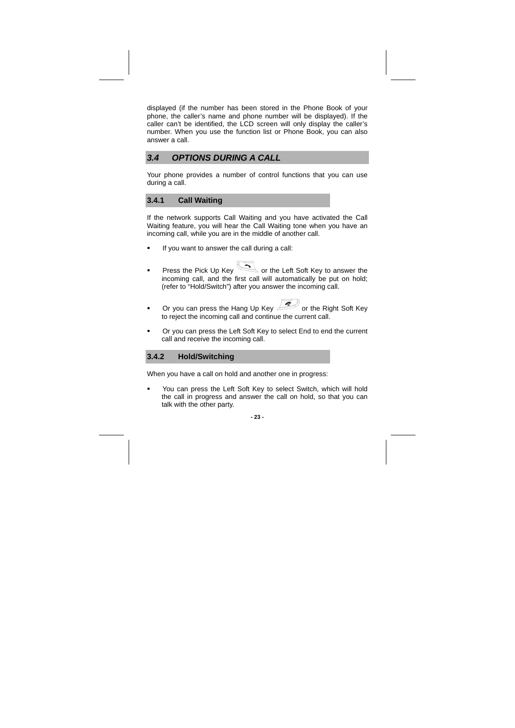displayed (if the number has been stored in the Phone Book of your phone, the caller's name and phone number will be displayed). If the caller can't be identified, the LCD screen will only display the caller's number. When you use the function list or Phone Book, you can also answer a call.

### **3.4 OPTIONS DURING A CALL**

Your phone provides a number of control functions that you can use during a call.

### **3.4.1 Call Waiting**

If the network supports Call Waiting and you have activated the Call Waiting feature, you will hear the Call Waiting tone when you have an incoming call, while you are in the middle of another call.

- If you want to answer the call during a call:
- **Press the Pick Up Key Community Community** or the Left Soft Key to answer the incoming call, and the first call will automatically be put on hold; (refer to "Hold/Switch") after you answer the incoming call.
- $\blacksquare$  Or you can press the Hang Up Key  $\blacktriangleright$  or the Right Soft Key to reject the incoming call and continue the current call.
- Or you can press the Left Soft Key to select End to end the current call and receive the incoming call.

#### **3.4.2 Hold/Switching**

When you have a call on hold and another one in progress:

 You can press the Left Soft Key to select Switch, which will hold the call in progress and answer the call on hold, so that you can talk with the other party.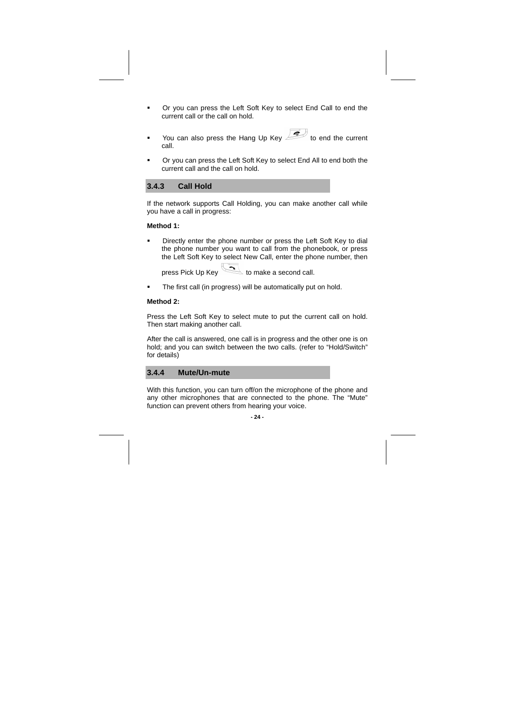- Or you can press the Left Soft Key to select End Call to end the current call or the call on hold.
- You can also press the Hang Up Key  $\overline{\mathscr{A}}$  to end the current call.
- Or you can press the Left Soft Key to select End All to end both the current call and the call on hold.

#### **3.4.3 Call Hold**

If the network supports Call Holding, you can make another call while you have a call in progress:

#### **Method 1:**

- Directly enter the phone number or press the Left Soft Key to dial the phone number you want to call from the phonebook, or press the Left Soft Key to select New Call, enter the phone number, then
	- press Pick Up Key to make a second call.
- **The first call (in progress) will be automatically put on hold.**

#### **Method 2:**

Press the Left Soft Key to select mute to put the current call on hold. Then start making another call.

After the call is answered, one call is in progress and the other one is on hold; and you can switch between the two calls. (refer to "Hold/Switch" for details)

### **3.4.4 Mute/Un-mute**

With this function, you can turn off/on the microphone of the phone and any other microphones that are connected to the phone. The "Mute" function can prevent others from hearing your voice.

#### **- 24 -**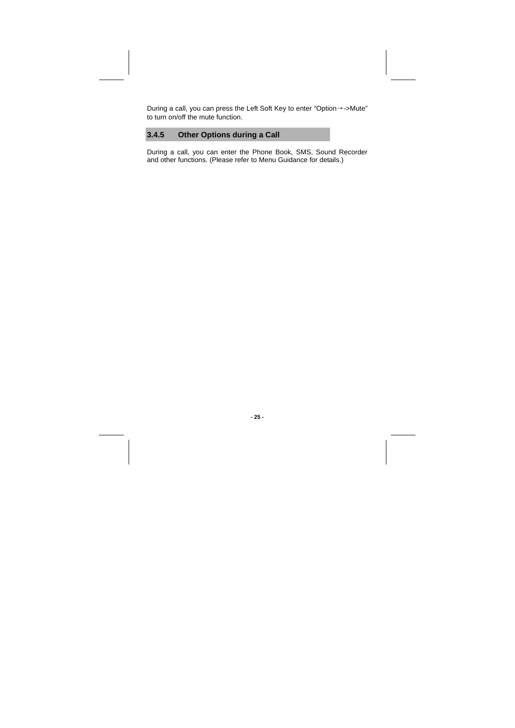During a call, you can press the Left Soft Key to enter "Option→->Mute" to turn on/off the mute function.

## **3.4.5 Other Options during a Call**

During a call, you can enter the Phone Book, SMS, Sound Recorder and other functions. (Please refer to Menu Guidance for details.)

**- 25 -**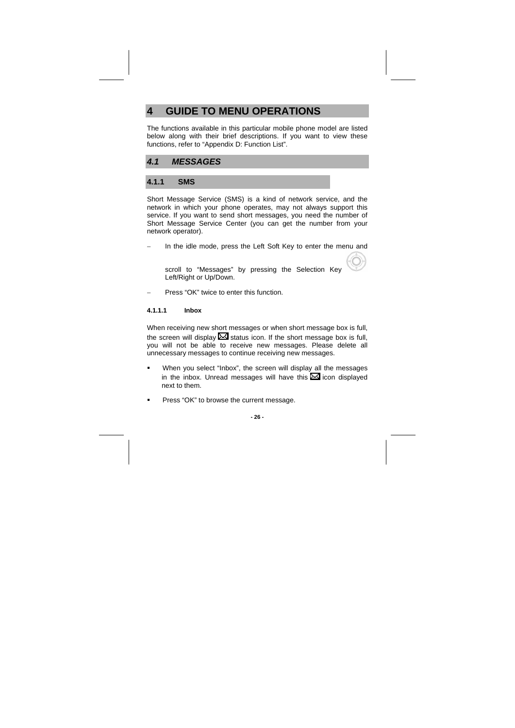## **4 GUIDE TO MENU OPERATIONS**

The functions available in this particular mobile phone model are listed below along with their brief descriptions. If you want to view these functions, refer to "Appendix D: Function List".

### **4.1 MESSAGES**

#### **4.1.1 SMS**

Short Message Service (SMS) is a kind of network service, and the network in which your phone operates, may not always support this service. If you want to send short messages, you need the number of Short Message Service Center (you can get the number from your network operator).

In the idle mode, press the Left Soft Key to enter the menu and

scroll to "Messages" by pressing the Selection Key Left/Right or Up/Down.

Press "OK" twice to enter this function.

#### **4.1.1.1 Inbox**

When receiving new short messages or when short message box is full, the screen will display  $\mathbb{Z}$  status icon. If the short message box is full, you will not be able to receive new messages. Please delete all unnecessary messages to continue receiving new messages.

- When you select "Inbox", the screen will display all the messages in the inbox. Unread messages will have this  $\overline{\mathbb{Z}}$  icon displayed next to them.
- Press "OK" to browse the current message.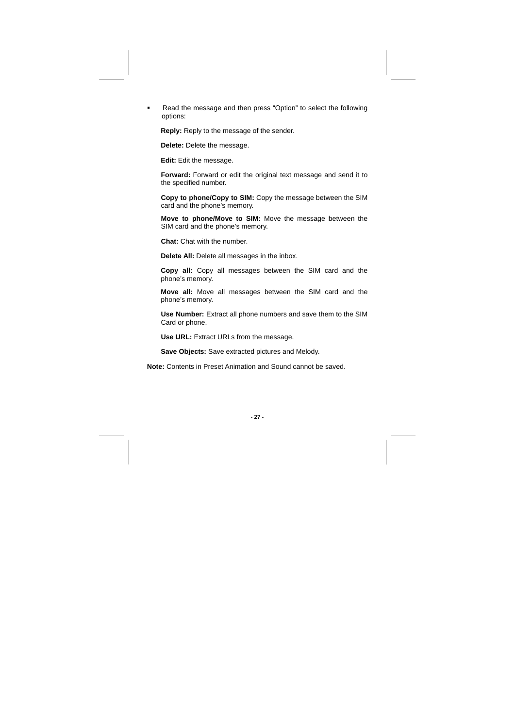Read the message and then press "Option" to select the following options:

**Reply:** Reply to the message of the sender.

**Delete:** Delete the message.

**Edit:** Edit the message.

**Forward:** Forward or edit the original text message and send it to the specified number.

**Copy to phone/Copy to SIM:** Copy the message between the SIM card and the phone's memory.

**Move to phone/Move to SIM:** Move the message between the SIM card and the phone's memory.

**Chat:** Chat with the number.

**Delete All:** Delete all messages in the inbox.

**Copy all:** Copy all messages between the SIM card and the phone's memory.

**Move all:** Move all messages between the SIM card and the phone's memory.

**Use Number:** Extract all phone numbers and save them to the SIM Card or phone.

**Use URL:** Extract URLs from the message.

**Save Objects:** Save extracted pictures and Melody.

**Note:** Contents in Preset Animation and Sound cannot be saved.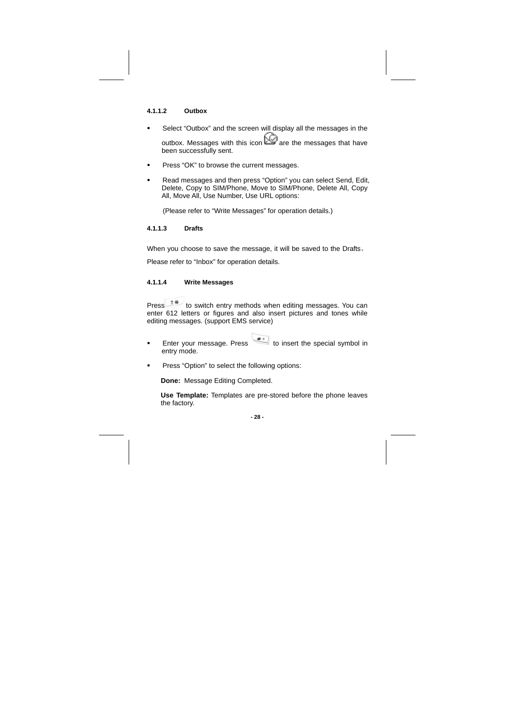#### **4.1.1.2 Outbox**

 Select "Outbox" and the screen will display all the messages in the outbox. Messages with this icon  $\hat{\mathbb{C}}$  are the messages that have

been successfully sent.

- **Press "OK" to browse the current messages.**
- Read messages and then press "Option" you can select Send, Edit, Delete, Copy to SIM/Phone, Move to SIM/Phone, Delete All, Copy All, Move All, Use Number, Use URL options:

(Please refer to "Write Messages" for operation details.)

#### **4.1.1.3 Drafts**

When you choose to save the message, it will be saved to the Drafts。

Please refer to "Inbox" for operation details.

#### **4.1.1.4 Write Messages**

Press  $\frac{1}{2}$  to switch entry methods when editing messages. You can enter 612 letters or figures and also insert pictures and tones while editing messages. (support EMS service)

- Enter your message. Press **that** to insert the special symbol in entry mode.
- **Press "Option" to select the following options:**

**Done:** Message Editing Completed.

**Use Template:** Templates are pre-stored before the phone leaves the factory.

#### **- 28 -**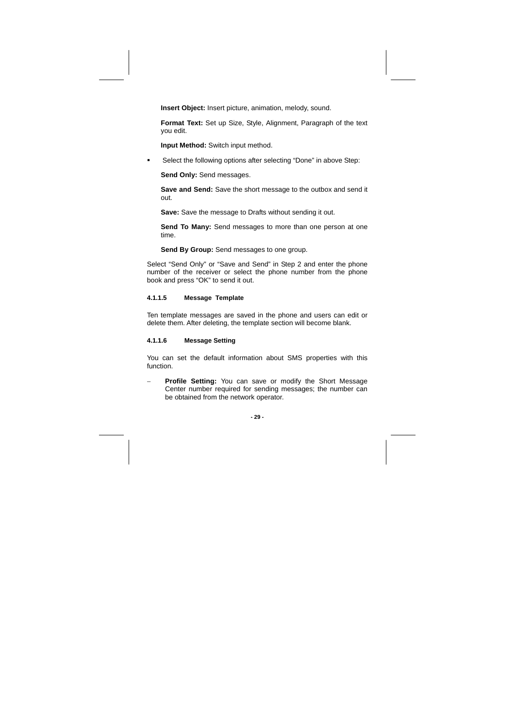**Insert Object:** Insert picture, animation, melody, sound.

**Format Text:** Set up Size, Style, Alignment, Paragraph of the text you edit.

**Input Method:** Switch input method.

**Select the following options after selecting "Done" in above Step:** 

**Send Only:** Send messages.

**Save and Send:** Save the short message to the outbox and send it out.

**Save:** Save the message to Drafts without sending it out.

**Send To Many:** Send messages to more than one person at one time.

**Send By Group:** Send messages to one group.

Select "Send Only" or "Save and Send" in Step 2 and enter the phone number of the receiver or select the phone number from the phone book and press "OK" to send it out.

#### **4.1.1.5 Message Template**

Ten template messages are saved in the phone and users can edit or delete them. After deleting, the template section will become blank.

#### **4.1.1.6 Message Setting**

You can set the default information about SMS properties with this function.

Profile Setting: You can save or modify the Short Message Center number required for sending messages; the number can be obtained from the network operator.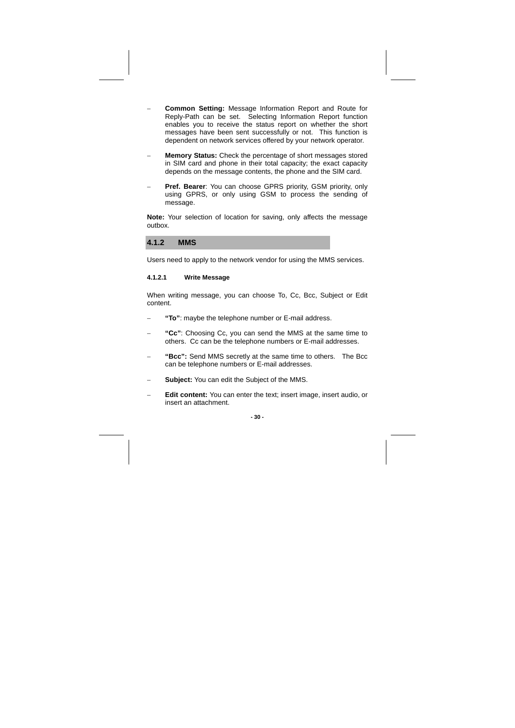- − **Common Setting:** Message Information Report and Route for Reply-Path can be set. Selecting Information Report function enables you to receive the status report on whether the short messages have been sent successfully or not. This function is dependent on network services offered by your network operator.
- **Memory Status:** Check the percentage of short messages stored in SIM card and phone in their total capacity; the exact capacity depends on the message contents, the phone and the SIM card.
- **Pref. Bearer:** You can choose GPRS priority, GSM priority, only using GPRS, or only using GSM to process the sending of message.

**Note:** Your selection of location for saving, only affects the message outbox.

**4.1.2 MMS** 

Users need to apply to the network vendor for using the MMS services.

#### **4.1.2.1 Write Message**

When writing message, you can choose To, Cc, Bcc, Subject or Edit content.

- − **"To"**: maybe the telephone number or E-mail address.
- − **"Cc"**: Choosing Cc, you can send the MMS at the same time to others. Cc can be the telephone numbers or E-mail addresses.
- − **"Bcc":** Send MMS secretly at the same time to others. The Bcc can be telephone numbers or E-mail addresses.
- Subject: You can edit the Subject of the MMS.
- − **Edit content:** You can enter the text; insert image, insert audio, or insert an attachment.

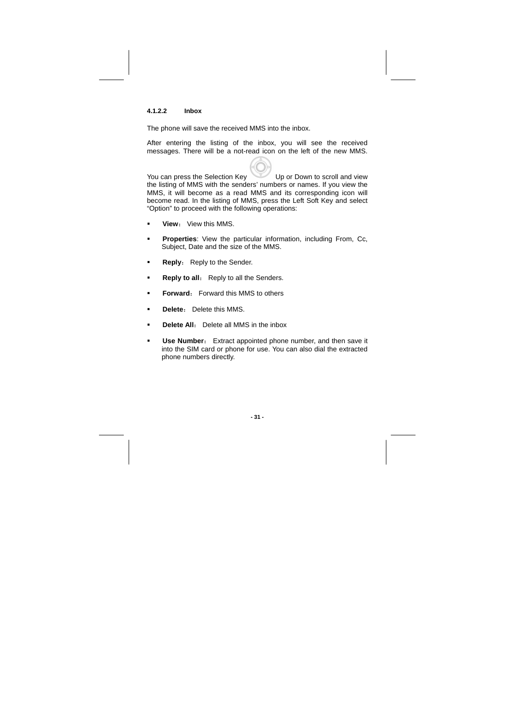### **4.1.2.2 Inbox**

The phone will save the received MMS into the inbox.

After entering the listing of the inbox, you will see the received messages. There will be a not-read icon on the left of the new MMS.

You can press the Selection Key Up or Down to scroll and view the listing of MMS with the senders' numbers or names. If you view the MMS, it will become as a read MMS and its corresponding icon will become read. In the listing of MMS, press the Left Soft Key and select "Option" to proceed with the following operations:

- **View**: View this MMS.
- **Properties**: View the particular information, including From, Cc, Subject, Date and the size of the MMS.
- **Reply:** Reply to the Sender.
- **Reply to all:** Reply to all the Senders.
- **Forward:** Forward this MMS to others
- **Delete**: Delete this MMS.
- **Delete All:** Delete all MMS in the inbox
- **Use Number:** Extract appointed phone number, and then save it into the SIM card or phone for use. You can also dial the extracted phone numbers directly.

**- 31 -**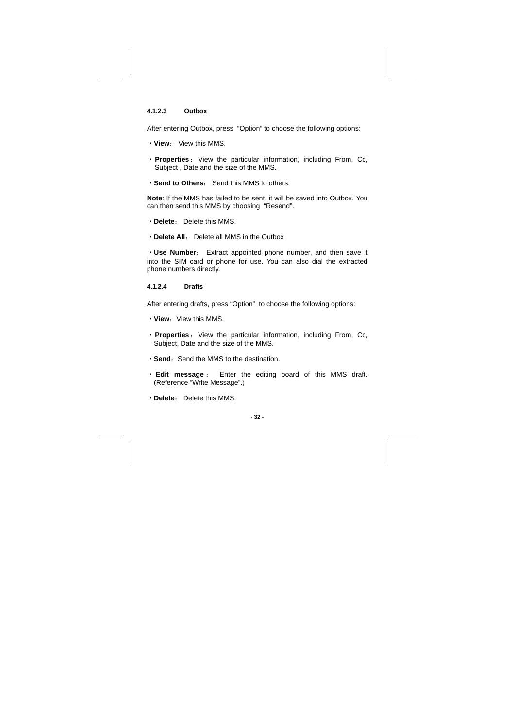### **4.1.2.3 Outbox**

After entering Outbox, press "Option" to choose the following options:

- ·**View**: View this MMS.
- ·**Properties**:View the particular information, including From, Cc, Subject , Date and the size of the MMS.
- ·**Send to Others**: Send this MMS to others.

**Note**: If the MMS has failed to be sent, it will be saved into Outbox. You can then send this MMS by choosing "Resend".

- ·**Delete**: Delete this MMS.
- ·**Delete All**: Delete all MMS in the Outbox

·**Use Number**: Extract appointed phone number, and then save it into the SIM card or phone for use. You can also dial the extracted phone numbers directly.

#### **4.1.2.4 Drafts**

After entering drafts, press "Option" to choose the following options:

- View: View this MMS.
- Properties: View the particular information, including From, Cc, Subject, Date and the size of the MMS.
- Send: Send the MMS to the destination.
- · **Edit message** : Enter the editing board of this MMS draft. (Reference "Write Message".)
- ·**Delete**: Delete this MMS.

#### **- 32 -**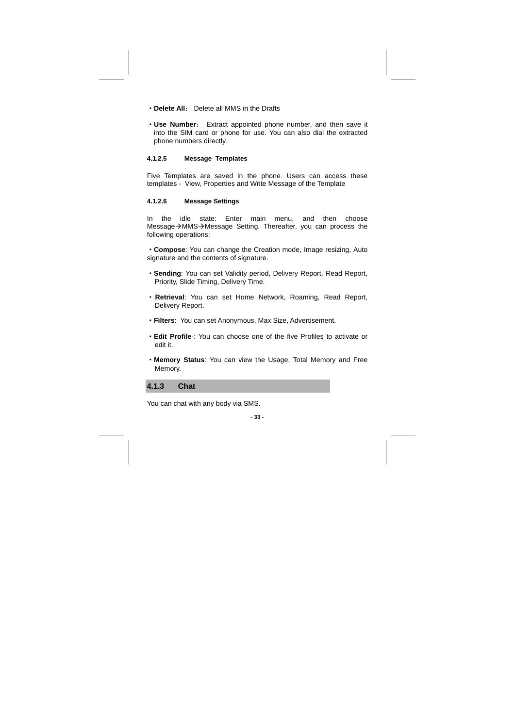- ·**Delete All**: Delete all MMS in the Drafts
- ·**Use Number**: Extract appointed phone number, and then save it into the SIM card or phone for use. You can also dial the extracted phone numbers directly.

#### **4.1.2.5 Message Templates**

Five Templates are saved in the phone. Users can access these templates - View, Properties and Write Message of the Template

#### **4.1.2.6 Message Settings**

In the idle state: Enter main menu, and then choose Message→MMS→Message Setting. Thereafter, you can process the following operations:

·**Compose**: You can change the Creation mode, Image resizing, Auto signature and the contents of signature.

- ·**Sending**: You can set Validity period, Delivery Report, Read Report, Priority, Slide Timing, Delivery Time.
- · **Retrieval**: You can set Home Network, Roaming, Read Report, Delivery Report.
- ·**Filters**: You can set Anonymous, Max Size, Advertisement.
- ·**Edit Profile**-: You can choose one of the five Profiles to activate or edit it.
- ·**Memory Status**: You can view the Usage, Total Memory and Free Memory.

**4.1.3 Chat** 

You can chat with any body via SMS.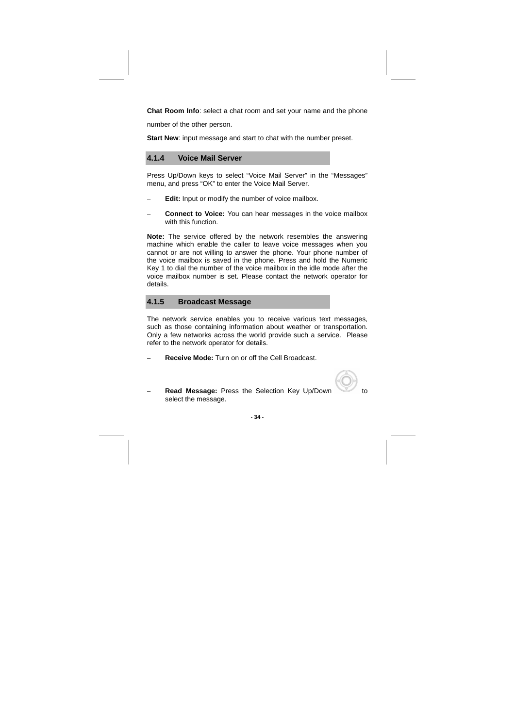**Chat Room Info**: select a chat room and set your name and the phone

number of the other person.

**Start New:** input message and start to chat with the number preset.

### **4.1.4 Voice Mail Server**

Press Up/Down keys to select "Voice Mail Server" in the "Messages" menu, and press "OK" to enter the Voice Mail Server.

- **Edit:** Input or modify the number of voice mailbox.
- **Connect to Voice:** You can hear messages in the voice mailbox with this function.

**Note:** The service offered by the network resembles the answering machine which enable the caller to leave voice messages when you cannot or are not willing to answer the phone. Your phone number of the voice mailbox is saved in the phone. Press and hold the Numeric Key 1 to dial the number of the voice mailbox in the idle mode after the voice mailbox number is set. Please contact the network operator for details.

# **4.1.5 Broadcast Message**

The network service enables you to receive various text messages, such as those containing information about weather or transportation. Only a few networks across the world provide such a service. Please refer to the network operator for details.

− **Receive Mode:** Turn on or off the Cell Broadcast.

**Read Message:** Press the Selection Key Up/Down to select the message.

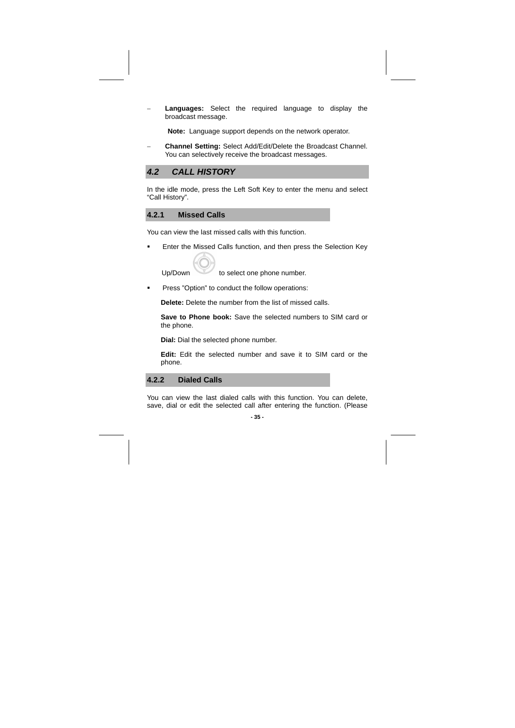Languages: Select the required language to display the broadcast message.

**Note:** Language support depends on the network operator.

− **Channel Setting:** Select Add/Edit/Delete the Broadcast Channel. You can selectively receive the broadcast messages.

## **4.2 CALL HISTORY**

In the idle mode, press the Left Soft Key to enter the menu and select "Call History".

# **4.2.1 Missed Calls**

You can view the last missed calls with this function.

**Enter the Missed Calls function, and then press the Selection Key** 

Up/Down to select one phone number.

**Press "Option" to conduct the follow operations:** 

**Delete:** Delete the number from the list of missed calls.

**Save to Phone book:** Save the selected numbers to SIM card or the phone.

**Dial:** Dial the selected phone number.

**Edit:** Edit the selected number and save it to SIM card or the phone.

**4.2.2 Dialed Calls** 

You can view the last dialed calls with this function. You can delete, save, dial or edit the selected call after entering the function. (Please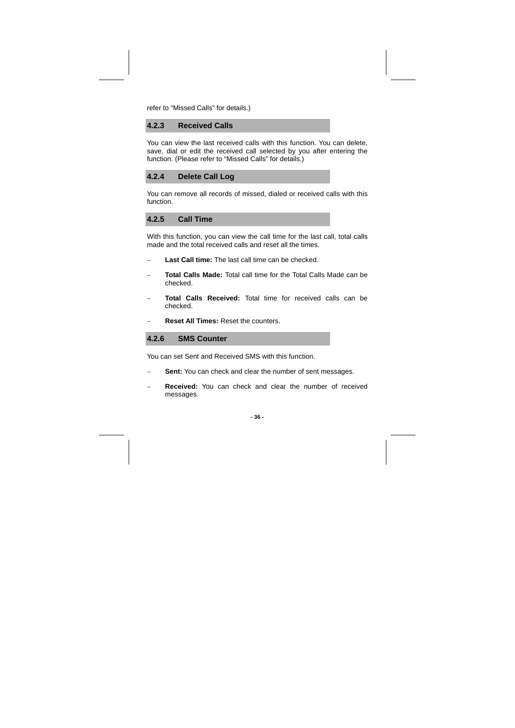refer to "Missed Calls" for details.)

**4.2.3 Received Calls** 

You can view the last received calls with this function. You can delete, save, dial or edit the received call selected by you after entering the function. (Please refer to "Missed Calls" for details.)



You can remove all records of missed, dialed or received calls with this function.

# **4.2.5 Call Time**

With this function, you can view the call time for the last call, total calls made and the total received calls and reset all the times.

- Last Call time: The last call time can be checked.
- − **Total Calls Made:** Total call time for the Total Calls Made can be checked.
- Total Calls Received: Total time for received calls can be checked.
- − **Reset All Times:** Reset the counters.

# **4.2.6 SMS Counter**

You can set Sent and Received SMS with this function.

- Sent: You can check and clear the number of sent messages.
- **Received:** You can check and clear the number of received messages.

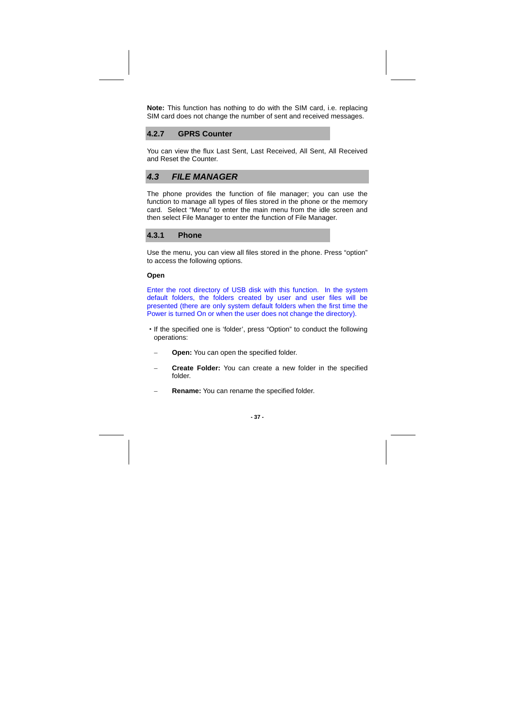**Note:** This function has nothing to do with the SIM card, i.e. replacing SIM card does not change the number of sent and received messages.

## **4.2.7 GPRS Counter**

You can view the flux Last Sent, Last Received, All Sent, All Received and Reset the Counter.

# **4.3 FILE MANAGER**

The phone provides the function of file manager; you can use the function to manage all types of files stored in the phone or the memory card. Select "Menu" to enter the main menu from the idle screen and then select File Manager to enter the function of File Manager.

#### **4.3.1 Phone**

Use the menu, you can view all files stored in the phone. Press "option" to access the following options.

#### **Open**

Enter the root directory of USB disk with this function. In the system default folders, the folders created by user and user files will be presented (there are only system default folders when the first time the Power is turned On or when the user does not change the directory).

- ·If the specified one is 'folder', press "Option" to conduct the following operations:
	- − **Open:** You can open the specified folder.
	- Create Folder: You can create a new folder in the specified folder.
	- **Rename:** You can rename the specified folder.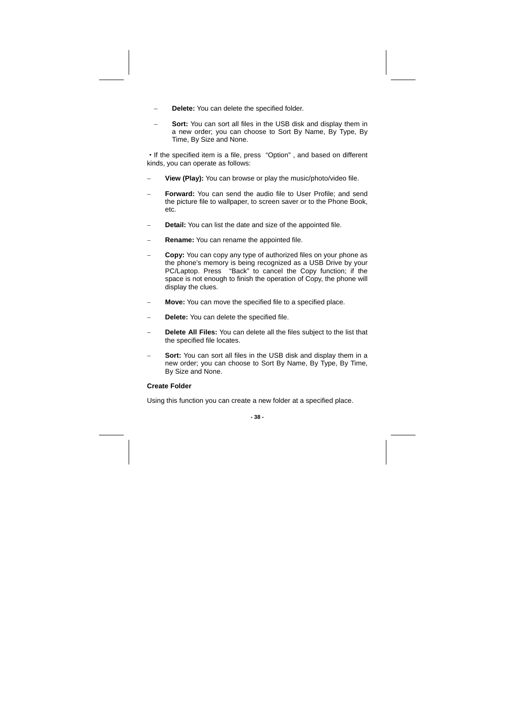- Delete: You can delete the specified folder.
- **Sort:** You can sort all files in the USB disk and display them in a new order; you can choose to Sort By Name, By Type, By Time, By Size and None.

·If the specified item is a file, press "Option" , and based on different kinds, you can operate as follows:

- View (Play): You can browse or play the music/photo/video file.
- Forward: You can send the audio file to User Profile; and send the picture file to wallpaper, to screen saver or to the Phone Book, etc.
- − **Detail:** You can list the date and size of the appointed file.
- − **Rename:** You can rename the appointed file.
- Copy: You can copy any type of authorized files on your phone as the phone's memory is being recognized as a USB Drive by your PC/Laptop. Press "Back" to cancel the Copy function; if the space is not enough to finish the operation of Copy, the phone will display the clues.
- − **Move:** You can move the specified file to a specified place.
- − **Delete:** You can delete the specified file.
- − **Delete All Files:** You can delete all the files subject to the list that the specified file locates.
- Sort: You can sort all files in the USB disk and display them in a new order; you can choose to Sort By Name, By Type, By Time, By Size and None.

### **Create Folder**

Using this function you can create a new folder at a specified place.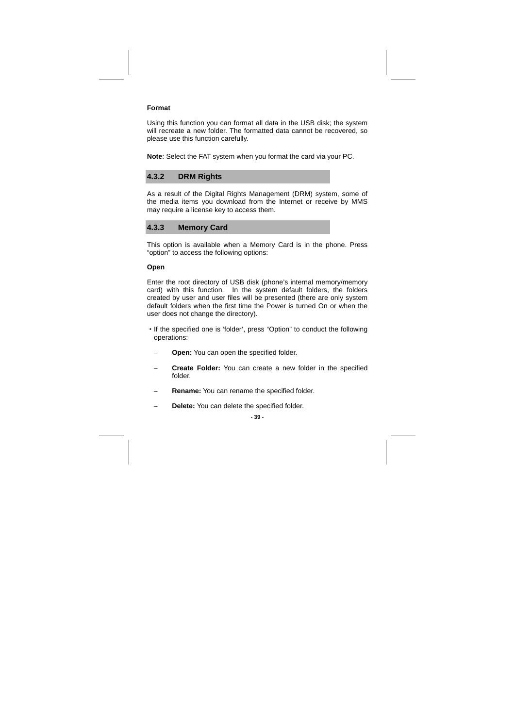#### **Format**

Using this function you can format all data in the USB disk; the system will recreate a new folder. The formatted data cannot be recovered, so please use this function carefully.

**Note**: Select the FAT system when you format the card via your PC.

## **4.3.2 DRM Rights**

As a result of the Digital Rights Management (DRM) system, some of the media items you download from the Internet or receive by MMS may require a license key to access them.

# **4.3.3 Memory Card**

This option is available when a Memory Card is in the phone. Press "option" to access the following options:

#### **Open**

Enter the root directory of USB disk (phone's internal memory/memory card) with this function. In the system default folders, the folders created by user and user files will be presented (there are only system default folders when the first time the Power is turned On or when the user does not change the directory).

- ·If the specified one is 'folder', press "Option" to conduct the following operations:
	- − **Open:** You can open the specified folder.
- Create Folder: You can create a new folder in the specified folder.
- **Rename:** You can rename the specified folder.
- − **Delete:** You can delete the specified folder.

**- 39 -**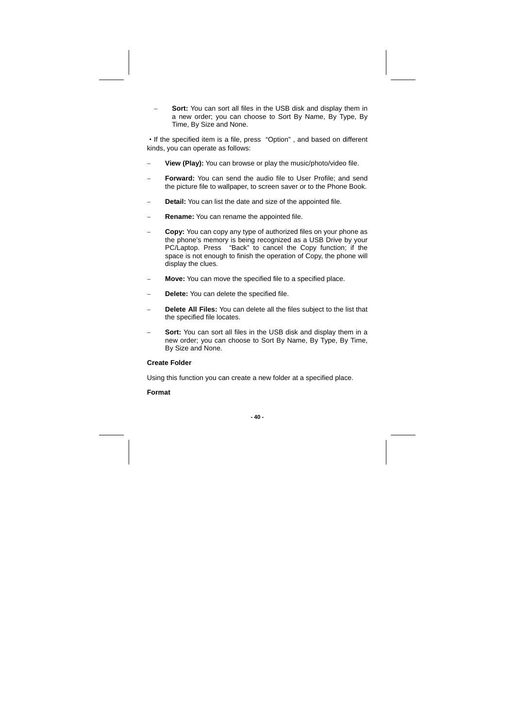Sort: You can sort all files in the USB disk and display them in a new order; you can choose to Sort By Name, By Type, By Time, By Size and None.

·If the specified item is a file, press "Option" , and based on different kinds, you can operate as follows:

- − **View (Play):** You can browse or play the music/photo/video file.
- − **Forward:** You can send the audio file to User Profile; and send the picture file to wallpaper, to screen saver or to the Phone Book.
- **Detail:** You can list the date and size of the appointed file.
- − **Rename:** You can rename the appointed file.
- Copy: You can copy any type of authorized files on your phone as the phone's memory is being recognized as a USB Drive by your PC/Laptop. Press "Back" to cancel the Copy function; if the space is not enough to finish the operation of Copy, the phone will display the clues.
- − **Move:** You can move the specified file to a specified place.
- − **Delete:** You can delete the specified file.
- − **Delete All Files:** You can delete all the files subject to the list that the specified file locates.
- Sort: You can sort all files in the USB disk and display them in a new order; you can choose to Sort By Name, By Type, By Time, By Size and None.

**Create Folder** 

Using this function you can create a new folder at a specified place.

# **Format**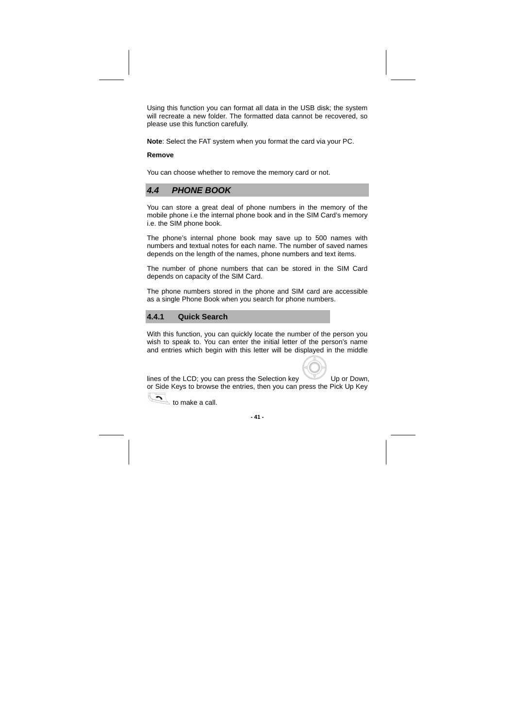Using this function you can format all data in the USB disk; the system will recreate a new folder. The formatted data cannot be recovered, so please use this function carefully.

**Note**: Select the FAT system when you format the card via your PC.

### **Remove**

You can choose whether to remove the memory card or not.

# **4.4 PHONE BOOK**

You can store a great deal of phone numbers in the memory of the mobile phone i.e the internal phone book and in the SIM Card's memory i.e. the SIM phone book.

The phone's internal phone book may save up to 500 names with numbers and textual notes for each name. The number of saved names depends on the length of the names, phone numbers and text items.

The number of phone numbers that can be stored in the SIM Card depends on capacity of the SIM Card.

The phone numbers stored in the phone and SIM card are accessible as a single Phone Book when you search for phone numbers.

# **4.4.1 Quick Search**

With this function, you can quickly locate the number of the person you wish to speak to. You can enter the initial letter of the person's name and entries which begin with this letter will be displayed in the middle

lines of the LCD; you can press the Selection key Up or Down, or Side Keys to browse the entries, then you can press the Pick Up Key

 $\sqrt{2}$  to make a call.

**- 41 -**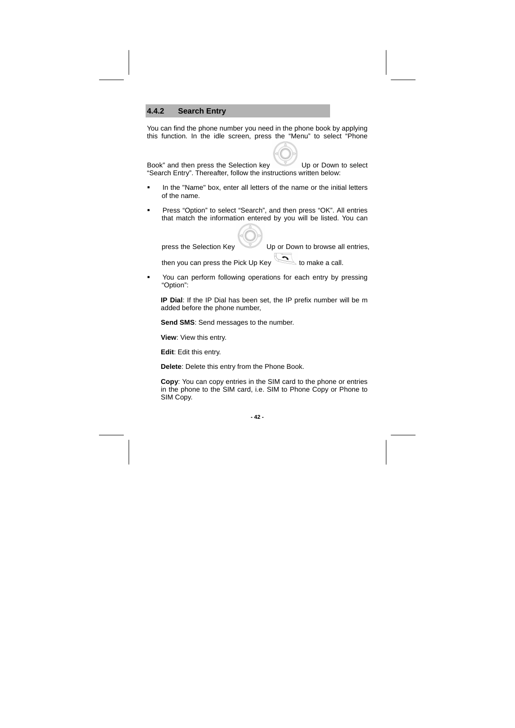# **4.4.2 Search Entry**

You can find the phone number you need in the phone book by applying this function. In the idle screen, press the "Menu" to select "Phone

Book" and then press the Selection key Up or Down to select "Search Entry". Thereafter, follow the instructions written below:

- In the "Name" box, enter all letters of the name or the initial letters of the name.
- **Press "Option" to select "Search", and then press "OK". All entries** that match the information entered by you will be listed. You can

press the Selection Key Up or Down to browse all entries, then you can press the Pick Up Key to make a call.

 You can perform following operations for each entry by pressing "Option":

**IP Dial**: If the IP Dial has been set, the IP prefix number will be m added before the phone number,

**Send SMS**: Send messages to the number.

**View**: View this entry.

**Edit**: Edit this entry.

**Delete**: Delete this entry from the Phone Book.

**Copy**: You can copy entries in the SIM card to the phone or entries in the phone to the SIM card, i.e. SIM to Phone Copy or Phone to SIM Copy.

**- 42 -**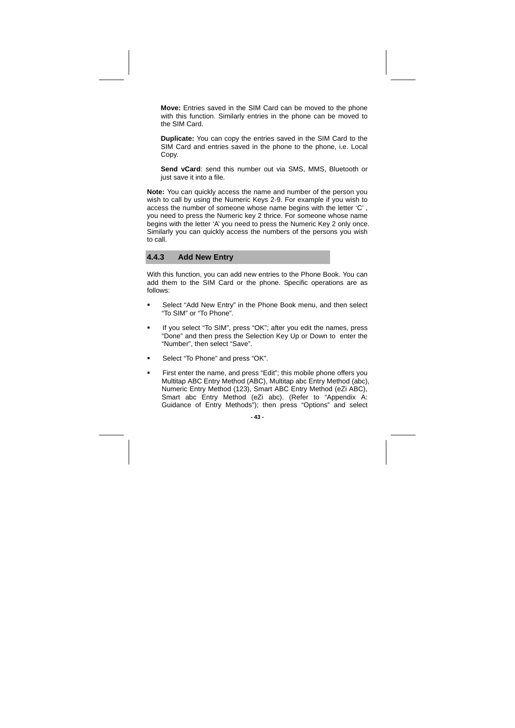**Move:** Entries saved in the SIM Card can be moved to the phone with this function. Similarly entries in the phone can be moved to the SIM Card.

**Duplicate:** You can copy the entries saved in the SIM Card to the SIM Card and entries saved in the phone to the phone, i.e. Local Copy.

**Send vCard**: send this number out via SMS, MMS, Bluetooth or just save it into a file.

**Note:** You can quickly access the name and number of the person you wish to call by using the Numeric Keys 2-9. For example if you wish to access the number of someone whose name begins with the letter 'C' , you need to press the Numeric key 2 thrice. For someone whose name begins with the letter 'A' you need to press the Numeric Key 2 only once. Similarly you can quickly access the numbers of the persons you wish to call.

# **4.4.3 Add New Entry**

With this function, you can add new entries to the Phone Book. You can add them to the SIM Card or the phone. Specific operations are as follows:

- Select "Add New Entry" in the Phone Book menu, and then select "To SIM" or "To Phone".
- If you select "To SIM", press "OK"; after you edit the names, press "Done" and then press the Selection Key Up or Down to enter the "Number", then select "Save".
- **Select "To Phone" and press "OK".**
- First enter the name, and press "Edit"; this mobile phone offers you Multitap ABC Entry Method (ABC), Multitap abc Entry Method (abc), Numeric Entry Method (123), Smart ABC Entry Method (eZi ABC), Smart abc Entry Method (eZi abc). (Refer to "Appendix A: Guidance of Entry Methods"); then press "Options" and select

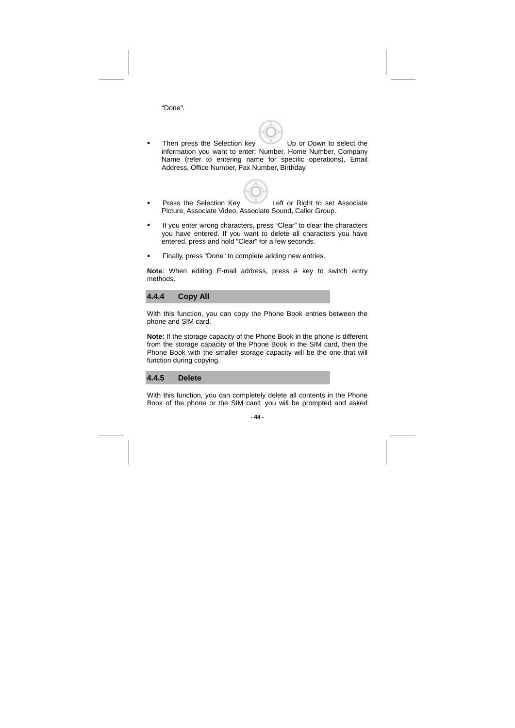"Done".

- Then press the Selection key Up or Down to select the information you want to enter: Number, Home Number, Company Name (refer to entering name for specific operations), Email Address, Office Number, Fax Number, Birthday.
- **Press the Selection Key Left or Right to set Associate** Picture, Associate Video, Associate Sound, Caller Group.
- If you enter wrong characters, press "Clear" to clear the characters you have entered. If you want to delete all characters you have entered, press and hold "Clear" for a few seconds.
- **Finally, press "Done" to complete adding new entries.**

**Note**: When editing E-mail address, press # key to switch entry methods.

**4.4.4 Copy All** 

With this function, you can copy the Phone Book entries between the phone and SIM card.

**Note:** If the storage capacity of the Phone Book in the phone is different from the storage capacity of the Phone Book in the SIM card, then the Phone Book with the smaller storage capacity will be the one that will function during copying.

**4.4.5 Delete** 

With this function, you can completely delete all contents in the Phone Book of the phone or the SIM card; you will be prompted and asked

**- 44 -**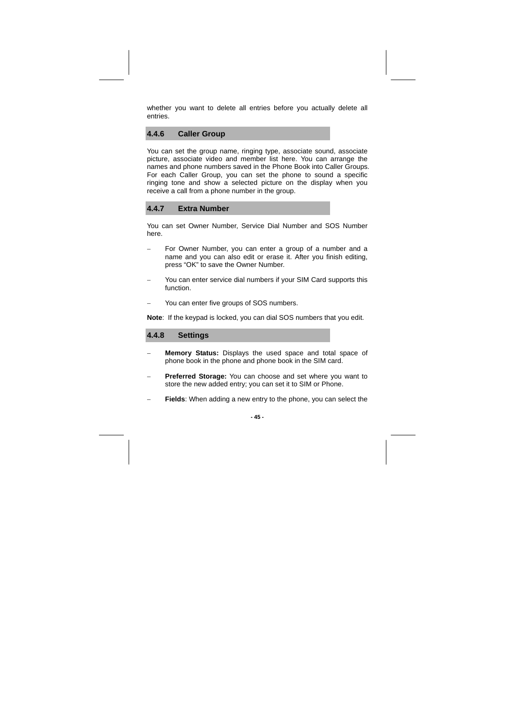whether you want to delete all entries before you actually delete all entries.

### **4.4.6 Caller Group**

You can set the group name, ringing type, associate sound, associate picture, associate video and member list here. You can arrange the names and phone numbers saved in the Phone Book into Caller Groups. For each Caller Group, you can set the phone to sound a specific ringing tone and show a selected picture on the display when you receive a call from a phone number in the group.

### **4.4.7 Extra Number**

You can set Owner Number, Service Dial Number and SOS Number here.

- For Owner Number, you can enter a group of a number and a name and you can also edit or erase it. After you finish editing, press "OK" to save the Owner Number.
- You can enter service dial numbers if your SIM Card supports this function.
- You can enter five groups of SOS numbers.

**Note**: If the keypad is locked, you can dial SOS numbers that you edit.

# **4.4.8 Settings**

- Memory Status: Displays the used space and total space of phone book in the phone and phone book in the SIM card.
- − **Preferred Storage:** You can choose and set where you want to store the new added entry; you can set it to SIM or Phone.
- Fields: When adding a new entry to the phone, you can select the

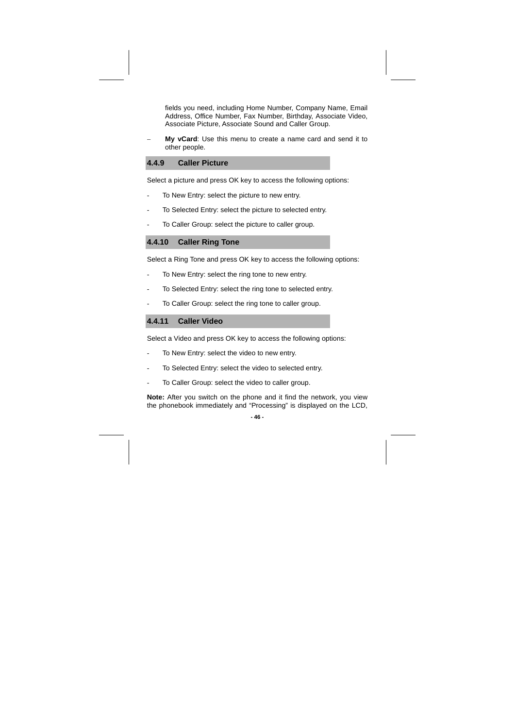fields you need, including Home Number, Company Name, Email Address, Office Number, Fax Number, Birthday, Associate Video, Associate Picture, Associate Sound and Caller Group.

**My vCard:** Use this menu to create a name card and send it to other people.

### **4.4.9 Caller Picture**

Select a picture and press OK key to access the following options:

- To New Entry: select the picture to new entry.
- To Selected Entry: select the picture to selected entry.
- To Caller Group: select the picture to caller group.

# **4.4.10 Caller Ring Tone**

Select a Ring Tone and press OK key to access the following options:

- To New Entry: select the ring tone to new entry.
- To Selected Entry: select the ring tone to selected entry.
- To Caller Group: select the ring tone to caller group.

# **4.4.11 Caller Video**

Select a Video and press OK key to access the following options:

- To New Entry: select the video to new entry.
- To Selected Entry: select the video to selected entry.
- To Caller Group: select the video to caller group.

**Note:** After you switch on the phone and it find the network, you view the phonebook immediately and "Processing" is displayed on the LCD,

#### **- 46 -**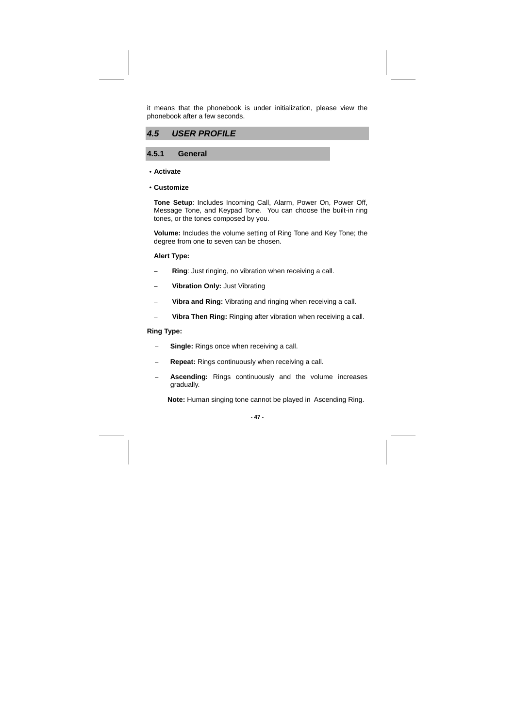it means that the phonebook is under initialization, please view the phonebook after a few seconds.



# **4.5.1 General**

#### ·**Activate**

·**Customize** 

**Tone Setup**: Includes Incoming Call, Alarm, Power On, Power Off, Message Tone, and Keypad Tone. You can choose the built-in ring tones, or the tones composed by you.

**Volume:** Includes the volume setting of Ring Tone and Key Tone; the degree from one to seven can be chosen.

### **Alert Type:**

- **Ring**: Just ringing, no vibration when receiving a call.
- − **Vibration Only:** Just Vibrating
- Vibra and Ring: Vibrating and ringing when receiving a call.
- − **Vibra Then Ring:** Ringing after vibration when receiving a call.

### **Ring Type:**

- Single: Rings once when receiving a call.
- **Repeat:** Rings continuously when receiving a call.
- Ascending: Rings continuously and the volume increases gradually.

**Note:** Human singing tone cannot be played in Ascending Ring.

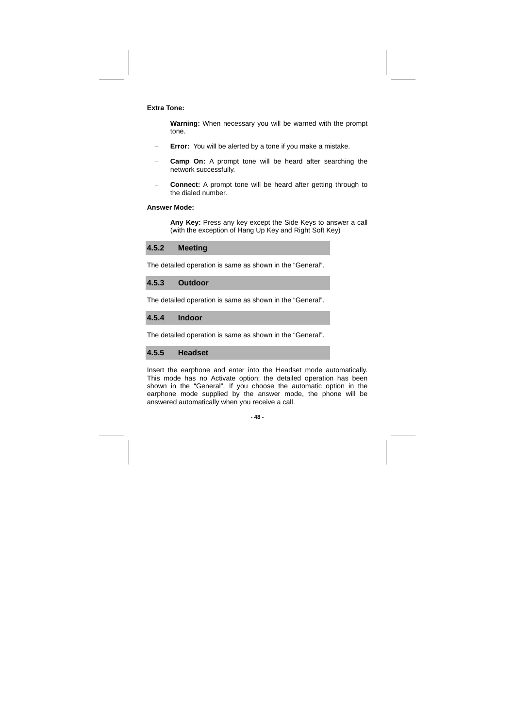### **Extra Tone:**

- Warning: When necessary you will be warned with the prompt tone.
- Error: You will be alerted by a tone if you make a mistake.
- **Camp On:** A prompt tone will be heard after searching the network successfully.
- − **Connect:** A prompt tone will be heard after getting through to the dialed number.

# **Answer Mode:**

Any Key: Press any key except the Side Keys to answer a call (with the exception of Hang Up Key and Right Soft Key)

**4.5.2 Meeting** 

The detailed operation is same as shown in the "General".

# **4.5.3 Outdoor**

The detailed operation is same as shown in the "General".

**4.5.4 Indoor** 

The detailed operation is same as shown in the "General".

# **4.5.5 Headset**

Insert the earphone and enter into the Headset mode automatically. This mode has no Activate option; the detailed operation has been shown in the "General". If you choose the automatic option in the earphone mode supplied by the answer mode, the phone will be answered automatically when you receive a call.

#### **- 48 -**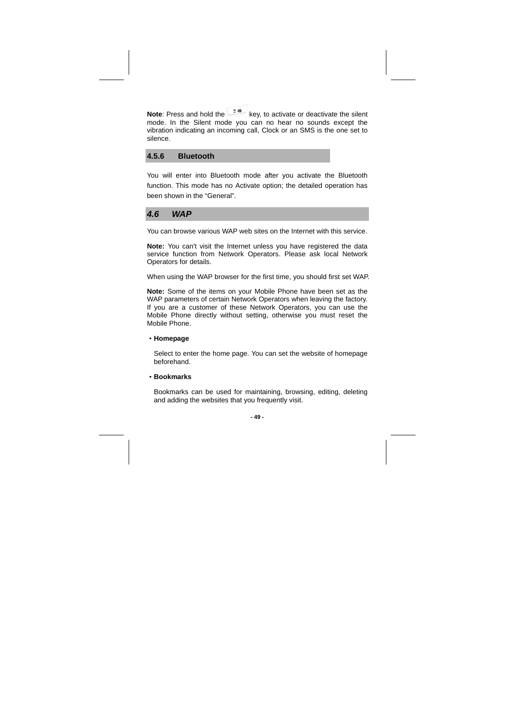**Note**: Press and hold the key, to activate or deactivate the silent mode. In the Silent mode you can no hear no sounds except the vibration indicating an incoming call, Clock or an SMS is the one set to silence.

# **4.5.6 Bluetooth**

You will enter into Bluetooth mode after you activate the Bluetooth function. This mode has no Activate option; the detailed operation has been shown in the "General".

### **4.6 WAP**

You can browse various WAP web sites on the Internet with this service.

**Note:** You can't visit the Internet unless you have registered the data service function from Network Operators. Please ask local Network Operators for details.

When using the WAP browser for the first time, you should first set WAP.

**Note:** Some of the items on your Mobile Phone have been set as the WAP parameters of certain Network Operators when leaving the factory. If you are a customer of these Network Operators, you can use the Mobile Phone directly without setting, otherwise you must reset the Mobile Phone.

#### ·**Homepage**

Select to enter the home page. You can set the website of homepage beforehand.

·**Bookmarks** 

Bookmarks can be used for maintaining, browsing, editing, deleting and adding the websites that you frequently visit.

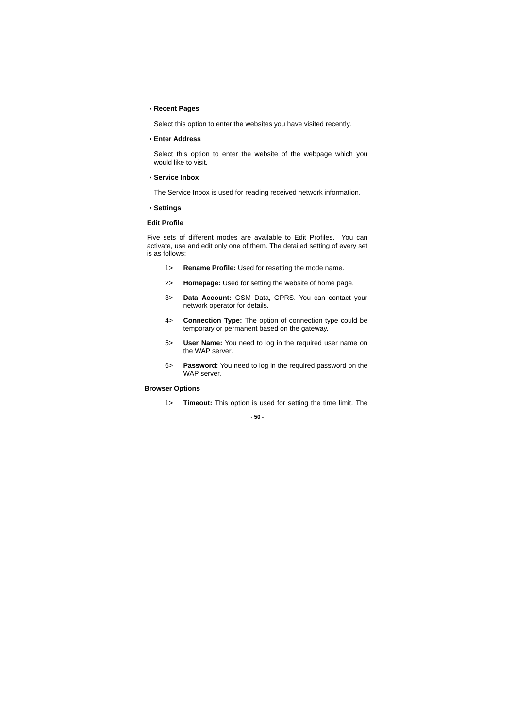# ·**Recent Pages**

Select this option to enter the websites you have visited recently.

·**Enter Address** 

Select this option to enter the website of the webpage which you would like to visit.

·**Service Inbox** 

The Service Inbox is used for reading received network information.

·**Settings** 

### **Edit Profile**

Five sets of different modes are available to Edit Profiles. You can activate, use and edit only one of them. The detailed setting of every set is as follows:

- 1> **Rename Profile:** Used for resetting the mode name.
- 2> **Homepage:** Used for setting the website of home page.
- 3> **Data Account:** GSM Data, GPRS. You can contact your network operator for details.
- 4> **Connection Type:** The option of connection type could be temporary or permanent based on the gateway.
- 5> **User Name:** You need to log in the required user name on the WAP server.
- 6> **Password:** You need to log in the required password on the WAP server.

#### **Browser Options**

1> **Timeout:** This option is used for setting the time limit. The

#### **- 50 -**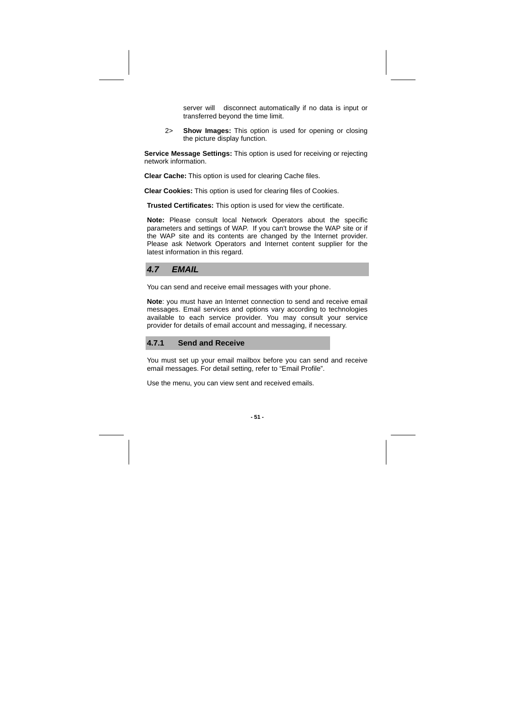server will disconnect automatically if no data is input or transferred beyond the time limit.

2> **Show Images:** This option is used for opening or closing the picture display function.

**Service Message Settings:** This option is used for receiving or rejecting network information.

**Clear Cache:** This option is used for clearing Cache files.

**Clear Cookies:** This option is used for clearing files of Cookies.

**Trusted Certificates:** This option is used for view the certificate.

**Note:** Please consult local Network Operators about the specific parameters and settings of WAP. If you can't browse the WAP site or if the WAP site and its contents are changed by the Internet provider. Please ask Network Operators and Internet content supplier for the latest information in this regard.

**4.7 EMAIL**

You can send and receive email messages with your phone.

**Note**: you must have an Internet connection to send and receive email messages. Email services and options vary according to technologies available to each service provider. You may consult your service provider for details of email account and messaging, if necessary.

### **4.7.1 Send and Receive**

You must set up your email mailbox before you can send and receive email messages. For detail setting, refer to "Email Profile".

Use the menu, you can view sent and received emails.

**- 51 -**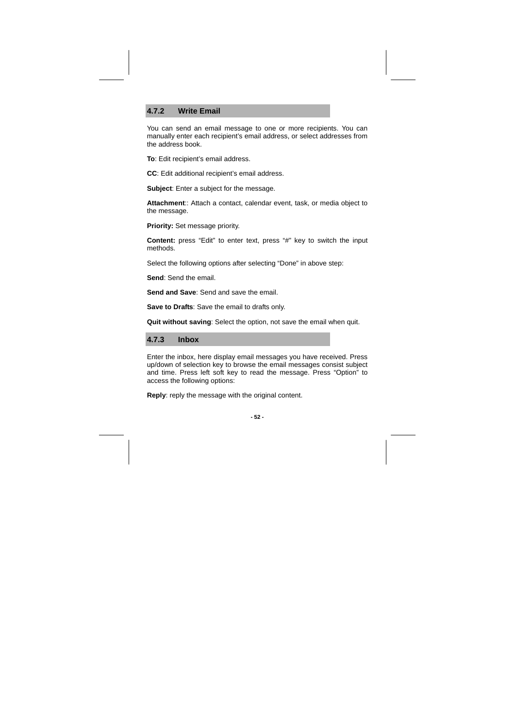# **4.7.2 Write Email**

You can send an email message to one or more recipients. You can manually enter each recipient's email address, or select addresses from the address book.

**To**: Edit recipient's email address.

**CC**: Edit additional recipient's email address.

**Subject**: Enter a subject for the message.

**Attachment**:: Attach a contact, calendar event, task, or media object to the message.

**Priority:** Set message priority.

**Content:** press "Edit" to enter text, press "#" key to switch the input methods.

Select the following options after selecting "Done" in above step:

**Send**: Send the email.

**Send and Save**: Send and save the email.

**Save to Drafts**: Save the email to drafts only.

**Quit without saving**: Select the option, not save the email when quit.

**4.7.3 Inbox** 

Enter the inbox, here display email messages you have received. Press up/down of selection key to browse the email messages consist subject and time. Press left soft key to read the message. Press "Option" to access the following options:

**Reply**: reply the message with the original content.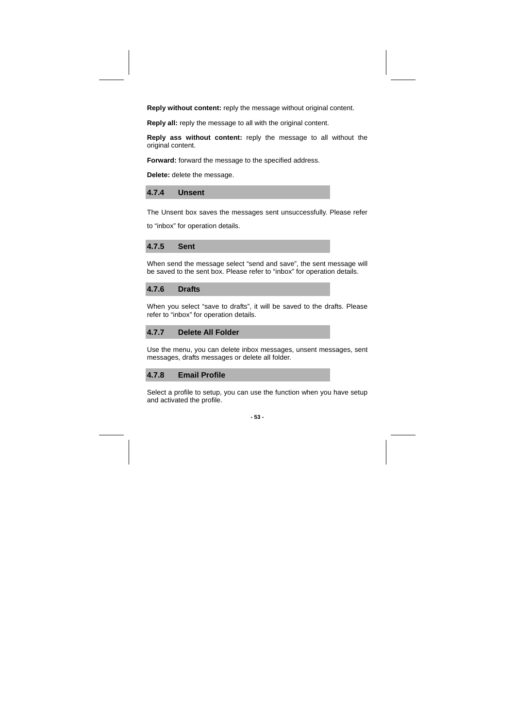**Reply without content:** reply the message without original content.

**Reply all:** reply the message to all with the original content.

**Reply ass without content:** reply the message to all without the original content.

**Forward:** forward the message to the specified address.

**Delete:** delete the message.

# **4.7.4 Unsent**

The Unsent box saves the messages sent unsuccessfully. Please refer to "inbox" for operation details.

**4.7.5 Sent** 

When send the message select "send and save", the sent message will be saved to the sent box. Please refer to "inbox" for operation details.

**4.7.6 Drafts** 

When you select "save to drafts", it will be saved to the drafts. Please refer to "inbox" for operation details.

# **4.7.7 Delete All Folder**

Use the menu, you can delete inbox messages, unsent messages, sent messages, drafts messages or delete all folder.

**4.7.8 Email Profile** 

Select a profile to setup, you can use the function when you have setup and activated the profile.

**- 53 -**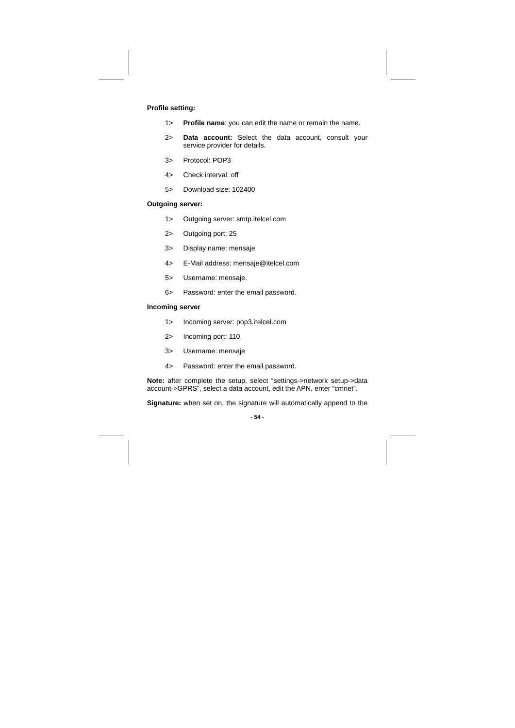# **Profile setting:**

- 1> **Profile name**: you can edit the name or remain the name.
- 2> **Data account:** Select the data account, consult your service provider for details.
- 3> Protocol: POP3
- 4> Check interval: off
- 5> Download size: 102400

# **Outgoing server:**

- 1> Outgoing server: smtp.itelcel.com
- 2> Outgoing port: 25
- 3> Display name: mensaje
- 4> E-Mail address: mensaje@itelcel.com
- 5> Username: mensaje.
- 6> Password: enter the email password.

# **Incoming server**

- 1> Incoming server: pop3.itelcel.com
- 2> Incoming port: 110
- 3> Username: mensaje
- 4> Password: enter the email password.

**Note:** after complete the setup, select "settings->network setup->data account->GPRS", select a data account, edit the APN, enter "cmnet".

**Signature:** when set on, the signature will automatically append to the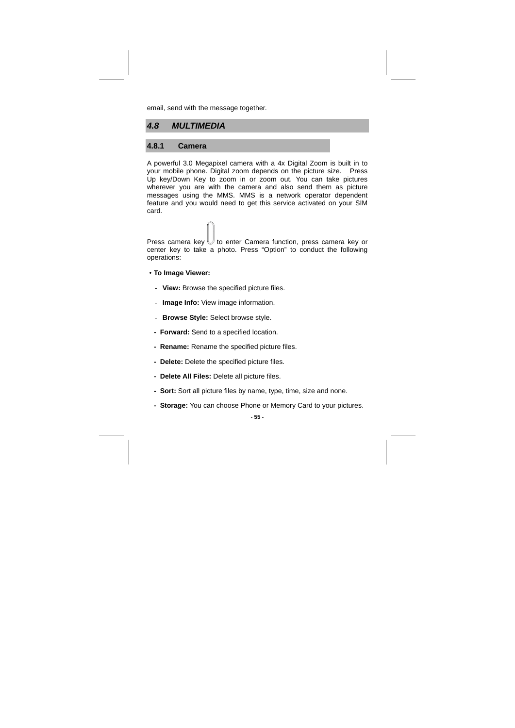email, send with the message together.

# **4.8 MULTIMEDIA**

# **4.8.1 Camera**

A powerful 3.0 Megapixel camera with a 4x Digital Zoom is built in to your mobile phone. Digital zoom depends on the picture size. Press Up key/Down Key to zoom in or zoom out. You can take pictures wherever you are with the camera and also send them as picture messages using the MMS. MMS is a network operator dependent feature and you would need to get this service activated on your SIM card.

Press camera key  $\bigcup$  to enter Camera function, press camera key or center key to take a photo. Press "Option" to conduct the following operations:

- ·**To Image Viewer:**
- **View:** Browse the specified picture files.
- **Image Info:** View image information.
- **Browse Style:** Select browse style.
- **Forward:** Send to a specified location.
- **Rename:** Rename the specified picture files.
- **Delete:** Delete the specified picture files.
- **Delete All Files:** Delete all picture files.
- **Sort:** Sort all picture files by name, type, time, size and none.
- **Storage:** You can choose Phone or Memory Card to your pictures.

**- 55 -**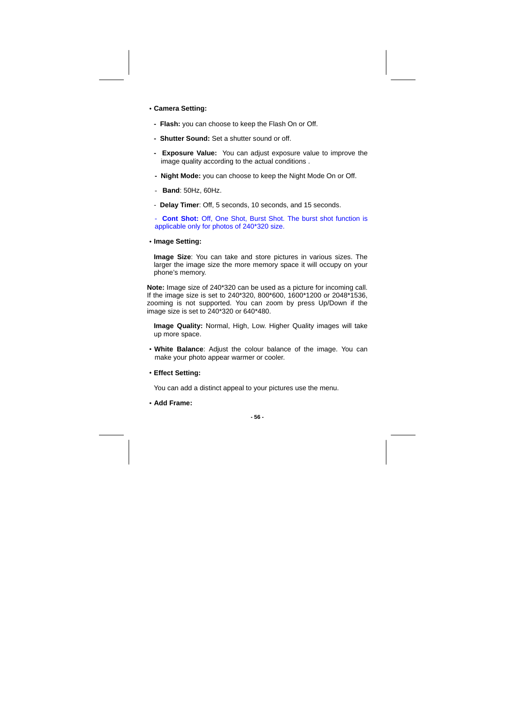- ·**Camera Setting:**
- **Flash:** you can choose to keep the Flash On or Off.
- **Shutter Sound:** Set a shutter sound or off.
- **Exposure Value:** You can adjust exposure value to improve the image quality according to the actual conditions .
- **Night Mode:** you can choose to keep the Night Mode On or Off.
- **Band**: 50Hz, 60Hz.
- **Delay Timer**: Off, 5 seconds, 10 seconds, and 15 seconds.

Cont Shot: Off, One Shot, Burst Shot. The burst shot function is applicable only for photos of 240\*320 size.

·**Image Setting:** 

**Image Size**: You can take and store pictures in various sizes. The larger the image size the more memory space it will occupy on your phone's memory.

**Note:** Image size of 240\*320 can be used as a picture for incoming call. If the image size is set to 240\*320, 800\*600, 1600\*1200 or 2048\*1536, zooming is not supported. You can zoom by press Up/Down if the image size is set to 240\*320 or 640\*480.

**Image Quality:** Normal, High, Low. Higher Quality images will take up more space.

- ·**White Balance**: Adjust the colour balance of the image. You can make your photo appear warmer or cooler.
- ·**Effect Setting:**

You can add a distinct appeal to your pictures use the menu.

·**Add Frame:** 

$$
-56 -
$$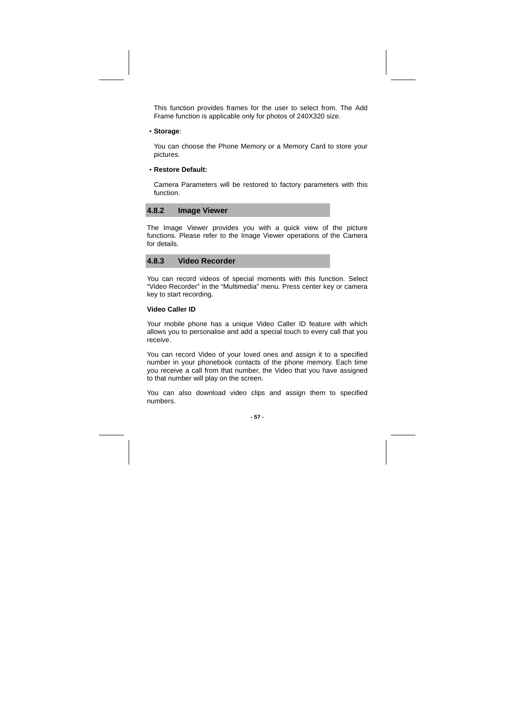This function provides frames for the user to select from. The Add Frame function is applicable only for photos of 240X320 size.

·**Storage**:

You can choose the Phone Memory or a Memory Card to store your pictures.

#### ·**Restore Default:**

Camera Parameters will be restored to factory parameters with this function.

### **4.8.2 Image Viewer**

The Image Viewer provides you with a quick view of the picture functions. Please refer to the Image Viewer operations of the Camera for details.



You can record videos of special moments with this function. Select "Video Recorder" in the "Multimedia" menu. Press center key or camera key to start recording.

#### **Video Caller ID**

Your mobile phone has a unique Video Caller ID feature with which allows you to personalise and add a special touch to every call that you receive.

You can record Video of your loved ones and assign it to a specified number in your phonebook contacts of the phone memory. Each time you receive a call from that number, the Video that you have assigned to that number will play on the screen.

You can also download video clips and assign them to specified numbers.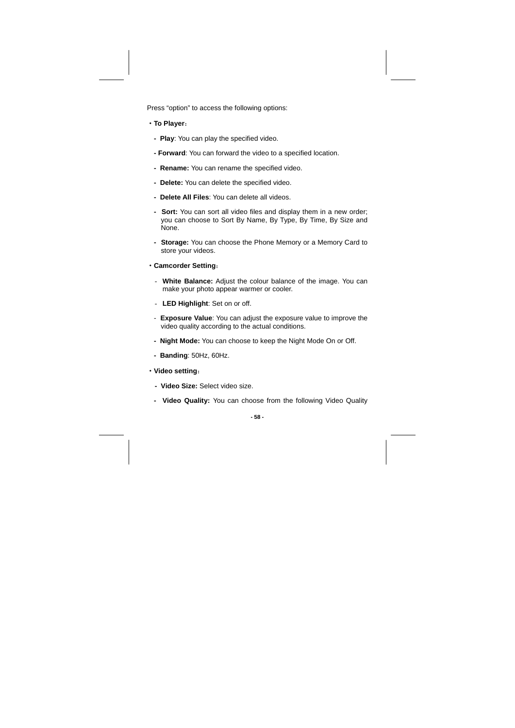Press "option" to access the following options:

- ·**To Player**:
- **Play**: You can play the specified video.
- **Forward**: You can forward the video to a specified location.
- **Rename:** You can rename the specified video.
- **Delete:** You can delete the specified video.
- **Delete All Files**: You can delete all videos.
- **Sort:** You can sort all video files and display them in a new order; you can choose to Sort By Name, By Type, By Time, By Size and None.
- **Storage:** You can choose the Phone Memory or a Memory Card to store your videos.
- ·**Camcorder Setting**:
	- **White Balance:** Adjust the colour balance of the image. You can make your photo appear warmer or cooler.
- **LED Highlight**: Set on or off.
- **Exposure Value**: You can adjust the exposure value to improve the video quality according to the actual conditions.
- **Night Mode:** You can choose to keep the Night Mode On or Off.
- **Banding**: 50Hz, 60Hz.
- ·**Video setting**:
	- **Video Size:** Select video size.
- **Video Quality:** You can choose from the following Video Quality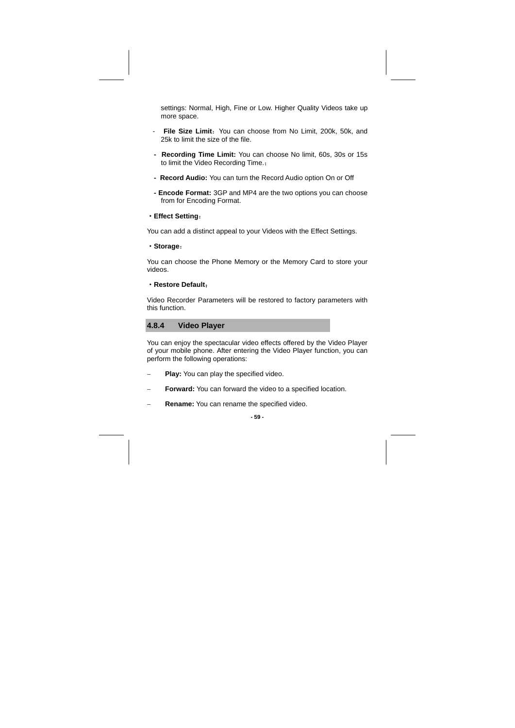settings: Normal, High, Fine or Low. Higher Quality Videos take up more space.

- **File Size Limit:** You can choose from No Limit, 200k, 50k, and 25k to limit the size of the file.
- **Recording Time Limit:** You can choose No limit, 60s, 30s or 15s to limit the Video Recording Time.;
- **Record Audio:** You can turn the Record Audio option On or Off
- **Encode Format:** 3GP and MP4 are the two options you can choose from for Encoding Format.
- ·**Effect Setting**:

You can add a distinct appeal to your Videos with the Effect Settings.

·**Storage**:

You can choose the Phone Memory or the Memory Card to store your videos.

#### ·**Restore Default**:

Video Recorder Parameters will be restored to factory parameters with this function.

# **4.8.4 Video Player**

You can enjoy the spectacular video effects offered by the Video Player of your mobile phone. After entering the Video Player function, you can perform the following operations:

- − **Play:** You can play the specified video.
- Forward: You can forward the video to a specified location.
- − **Rename:** You can rename the specified video.

**- 59 -**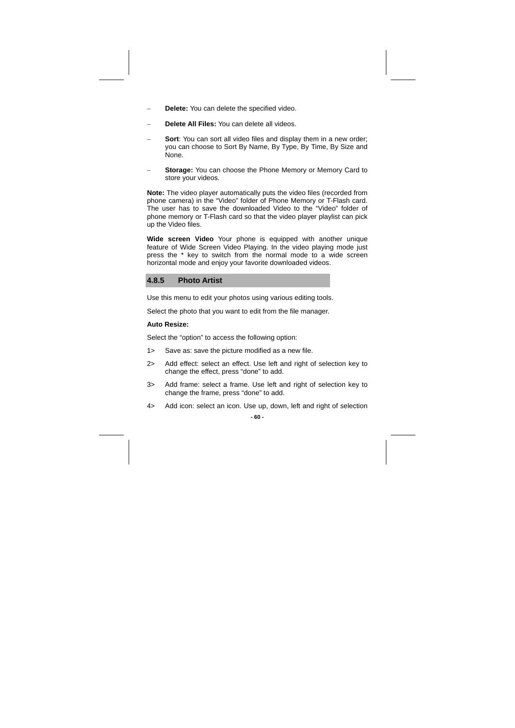- − **Delete:** You can delete the specified video.
- − **Delete All Files:** You can delete all videos.
- Sort: You can sort all video files and display them in a new order; you can choose to Sort By Name, By Type, By Time, By Size and None.
- Storage: You can choose the Phone Memory or Memory Card to store your videos.

**Note:** The video player automatically puts the video files (recorded from phone camera) in the "Video" folder of Phone Memory or T-Flash card. The user has to save the downloaded Video to the "Video" folder of phone memory or T-Flash card so that the video player playlist can pick up the Video files.

**Wide screen Video** Your phone is equipped with another unique feature of Wide Screen Video Playing. In the video playing mode just press the \* key to switch from the normal mode to a wide screen horizontal mode and enjoy your favorite downloaded videos.

### **4.8.5 Photo Artist**

Use this menu to edit your photos using various editing tools.

Select the photo that you want to edit from the file manager.

#### **Auto Resize:**

Select the "option" to access the following option:

- 1> Save as: save the picture modified as a new file.
- 2> Add effect: select an effect. Use left and right of selection key to change the effect, press "done" to add.
- 3> Add frame: select a frame. Use left and right of selection key to change the frame, press "done" to add.
- 4> Add icon: select an icon. Use up, down, left and right of selection

**- 60 -**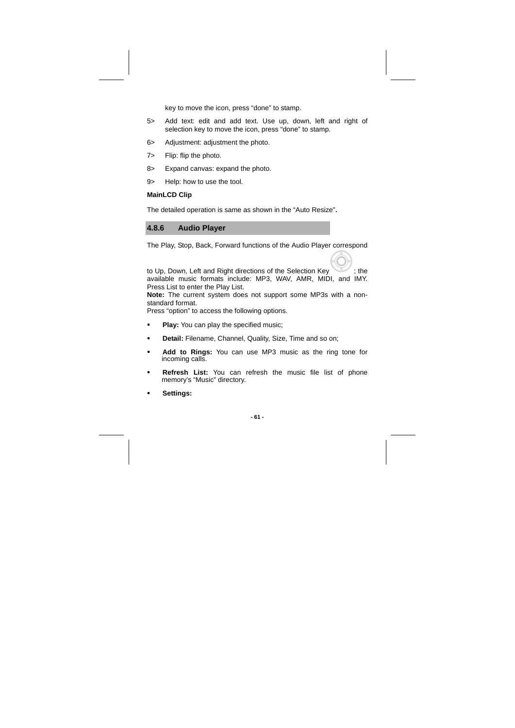key to move the icon, press "done" to stamp.

- 5> Add text: edit and add text. Use up, down, left and right of selection key to move the icon, press "done" to stamp.
- 6> Adjustment: adjustment the photo.
- 7> Flip: flip the photo.
- 8> Expand canvas: expand the photo.
- 9> Help: how to use the tool.

# **MainLCD Clip**

The detailed operation is same as shown in the "Auto Resize".

# **4.8.6 Audio Player**

The Play, Stop, Back, Forward functions of the Audio Player correspond

to Up, Down, Left and Right directions of the Selection Key ; the available music formats include: MP3, WAV, AMR, MIDI, and IMY. Press List to enter the Play List.

**Note:** The current system does not support some MP3s with a nonstandard format.

Press "option" to access the following options.

- **Play:** You can play the specified music;
- **Detail:** Filename, Channel, Quality, Size, Time and so on;
- **Add to Rings:** You can use MP3 music as the ring tone for incoming calls.
- **Refresh List:** You can refresh the music file list of phone memory's "Music" directory.
- **Settings:**

**- 61 -**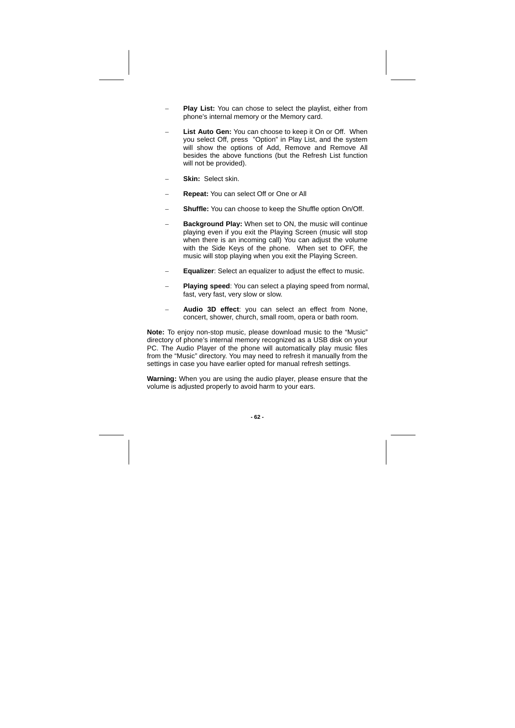- Play List: You can chose to select the playlist, either from phone's internal memory or the Memory card.
- − **List Auto Gen:** You can choose to keep it On or Off. When you select Off, press "Option" in Play List, and the system will show the options of Add, Remove and Remove All besides the above functions (but the Refresh List function will not be provided).
- − **Skin:** Select skin.
- − **Repeat:** You can select Off or One or All
- **Shuffle:** You can choose to keep the Shuffle option On/Off.
- Background Play: When set to ON, the music will continue playing even if you exit the Playing Screen (music will stop when there is an incoming call) You can adjust the volume with the Side Keys of the phone. When set to OFF, the music will stop playing when you exit the Playing Screen.
- **Equalizer:** Select an equalizer to adjust the effect to music.
- **Playing speed:** You can select a playing speed from normal, fast, very fast, very slow or slow.
- Audio 3D effect: you can select an effect from None, concert, shower, church, small room, opera or bath room.

**Note:** To enjoy non-stop music, please download music to the "Music" directory of phone's internal memory recognized as a USB disk on your PC. The Audio Player of the phone will automatically play music files from the "Music" directory. You may need to refresh it manually from the settings in case you have earlier opted for manual refresh settings.

**Warning:** When you are using the audio player, please ensure that the volume is adjusted properly to avoid harm to your ears.

**- 62 -**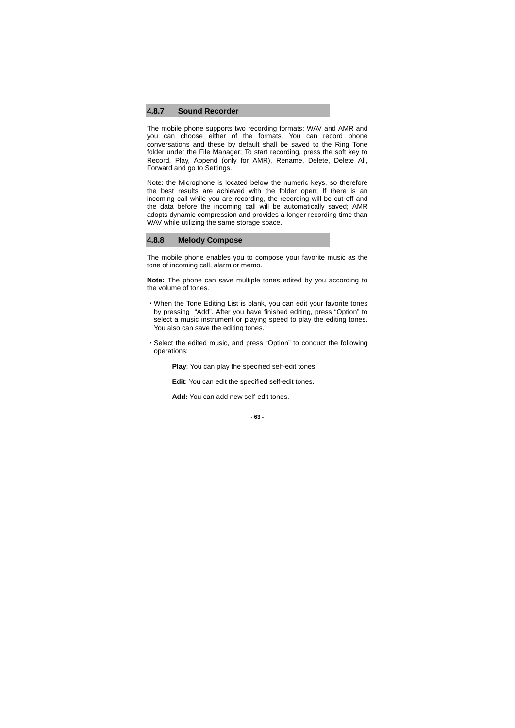# **4.8.7 Sound Recorder**

The mobile phone supports two recording formats: WAV and AMR and you can choose either of the formats. You can record phone conversations and these by default shall be saved to the Ring Tone folder under the File Manager; To start recording, press the soft key to Record, Play, Append (only for AMR), Rename, Delete, Delete All, Forward and go to Settings.

Note: the Microphone is located below the numeric keys, so therefore the best results are achieved with the folder open; If there is an incoming call while you are recording, the recording will be cut off and the data before the incoming call will be automatically saved; AMR adopts dynamic compression and provides a longer recording time than WAV while utilizing the same storage space.

# **4.8.8 Melody Compose**

The mobile phone enables you to compose your favorite music as the tone of incoming call, alarm or memo.

**Note:** The phone can save multiple tones edited by you according to the volume of tones.

- ·When the Tone Editing List is blank, you can edit your favorite tones by pressing "Add". After you have finished editing, press "Option" to select a music instrument or playing speed to play the editing tones. You also can save the editing tones.
- ·Select the edited music, and press "Option" to conduct the following operations:
	- **Play:** You can play the specified self-edit tones.
	- **Edit**: You can edit the specified self-edit tones.
	- Add: You can add new self-edit tones.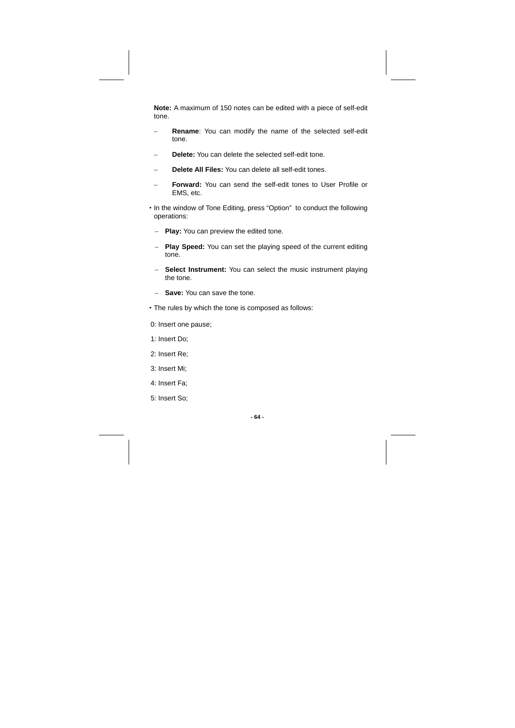**Note:** A maximum of 150 notes can be edited with a piece of self-edit tone.

- **Rename:** You can modify the name of the selected self-edit tone.
- Delete: You can delete the selected self-edit tone.
- − **Delete All Files:** You can delete all self-edit tones.
- − **Forward:** You can send the self-edit tones to User Profile or EMS, etc.
- ·In the window of Tone Editing, press "Option" to conduct the following operations:
	- − **Play:** You can preview the edited tone.
- − **Play Speed:** You can set the playing speed of the current editing tone.
- − **Select Instrument:** You can select the music instrument playing the tone.
- − **Save:** You can save the tone.
- ·The rules by which the tone is composed as follows:
- 0: Insert one pause;
- 1: Insert Do;
- 2: Insert Re;
- 3: Insert Mi;
- 4: Insert Fa;
- 5: Insert So;

**- 64 -**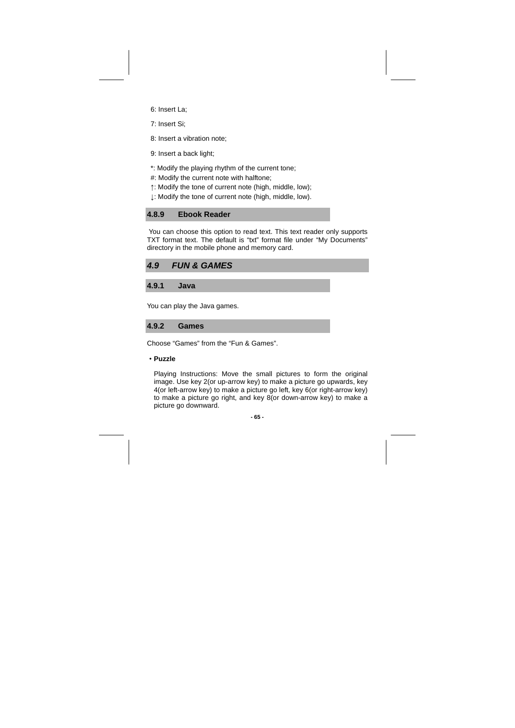- 6: Insert La;
- 7: Insert Si;
- 8: Insert a vibration note;
- 9: Insert a back light;
- \*: Modify the playing rhythm of the current tone;
- #: Modify the current note with halftone;
- ↑: Modify the tone of current note (high, middle, low);
- ↓: Modify the tone of current note (high, middle, low).

# **4.8.9 Ebook Reader**

 You can choose this option to read text. This text reader only supports TXT format text. The default is "txt" format file under "My Documents" directory in the mobile phone and memory card.

| <b>FUN &amp; GAMES</b> | 4.9 |  |  |  |
|------------------------|-----|--|--|--|
|------------------------|-----|--|--|--|

**4.9.1 Java** 

You can play the Java games.

# **4.9.2 Games**

Choose "Games" from the "Fun & Games".

#### ·**Puzzle**

Playing Instructions: Move the small pictures to form the original image. Use key 2(or up-arrow key) to make a picture go upwards, key 4(or left-arrow key) to make a picture go left, key 6(or right-arrow key) to make a picture go right, and key 8(or down-arrow key) to make a picture go downward.

#### **- 65 -**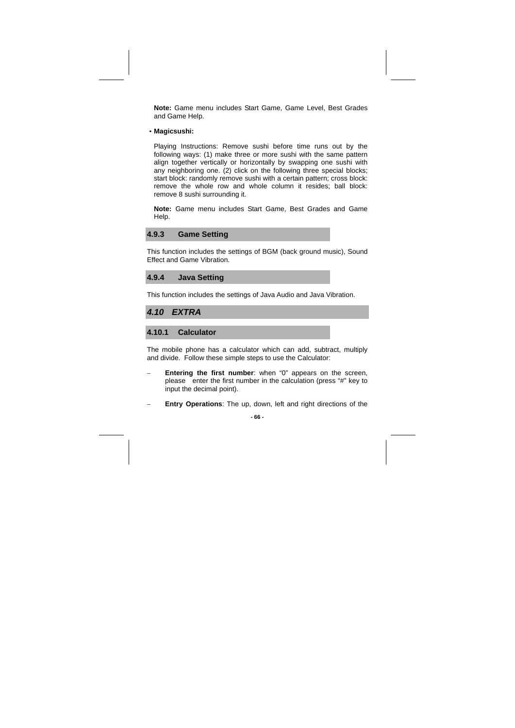**Note:** Game menu includes Start Game, Game Level, Best Grades and Game Help.

·**Magicsushi:** 

Playing Instructions: Remove sushi before time runs out by the following ways: (1) make three or more sushi with the same pattern align together vertically or horizontally by swapping one sushi with any neighboring one. (2) click on the following three special blocks; start block: randomly remove sushi with a certain pattern; cross block: remove the whole row and whole column it resides; ball block: remove 8 sushi surrounding it.

**Note:** Game menu includes Start Game, Best Grades and Game Help.

### **4.9.3 Game Setting**

This function includes the settings of BGM (back ground music), Sound Effect and Game Vibration.

**4.9.4 Java Setting** 

This function includes the settings of Java Audio and Java Vibration.

#### **4.10 EXTRA**

### **4.10.1 Calculator**

The mobile phone has a calculator which can add, subtract, multiply and divide. Follow these simple steps to use the Calculator:

- Entering the first number: when "0" appears on the screen, please enter the first number in the calculation (press "#" key to input the decimal point).
- **Entry Operations:** The up, down, left and right directions of the

**- 66 -**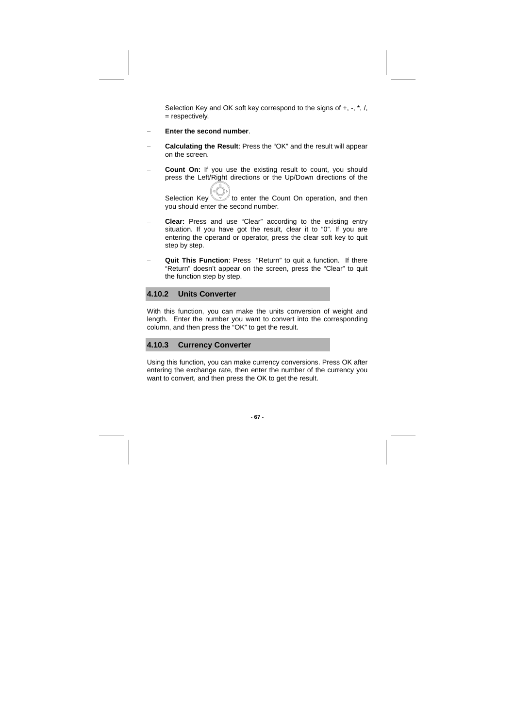Selection Key and OK soft key correspond to the signs of +, -,  $*$ , /, = respectively.

- − **Enter the second number**.
- − **Calculating the Result**: Press the "OK" and the result will appear on the screen.
- **Count On:** If you use the existing result to count, you should press the Left/Right directions or the Up/Down directions of the

Selection Key  $\mathbb{R}$  to enter the Count On operation, and then you should enter the second number.

- − **Clear:** Press and use "Clear" according to the existing entry situation. If you have got the result, clear it to "0". If you are entering the operand or operator, press the clear soft key to quit step by step.
- Quit This Function: Press "Return" to quit a function. If there "Return" doesn't appear on the screen, press the "Clear" to quit the function step by step.

# **4.10.2 Units Converter**

With this function, you can make the units conversion of weight and length. Enter the number you want to convert into the corresponding column, and then press the "OK" to get the result.

# **4.10.3 Currency Converter**

Using this function, you can make currency conversions. Press OK after entering the exchange rate, then enter the number of the currency you want to convert, and then press the OK to get the result.

#### **- 67 -**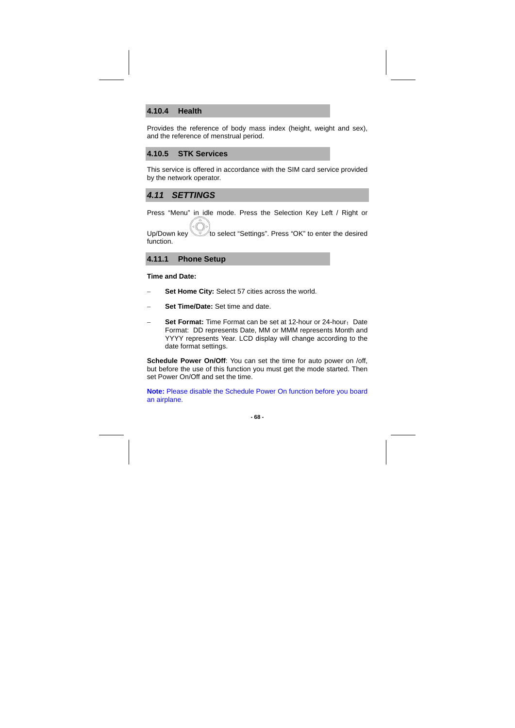### **4.10.4 Health**

Provides the reference of body mass index (height, weight and sex), and the reference of menstrual period.

### **4.10.5 STK Services**

This service is offered in accordance with the SIM card service provided by the network operator.

### **4.11 SETTINGS**

Press "Menu" in idle mode. Press the Selection Key Left / Right or

Up/Down key to select "Settings". Press "OK" to enter the desired function.

### **4.11.1 Phone Setup**

**Time and Date:** 

- − **Set Home City:** Select 57 cities across the world.
- − **Set Time/Date:** Set time and date.
- Set Format: Time Format can be set at 12-hour or 24-hour; Date Format: DD represents Date, MM or MMM represents Month and YYYY represents Year. LCD display will change according to the date format settings.

**Schedule Power On/Off:** You can set the time for auto power on /off, but before the use of this function you must get the mode started. Then set Power On/Off and set the time.

**Note:** Please disable the Schedule Power On function before you board an airplane.

**- 68 -**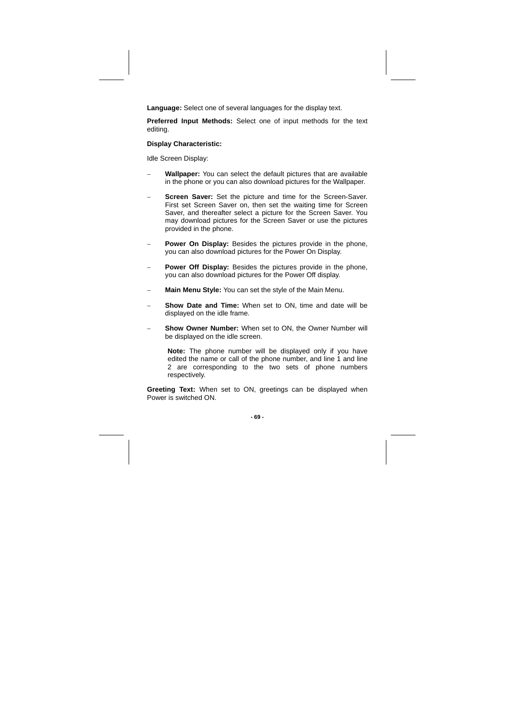**Language:** Select one of several languages for the display text.

**Preferred Input Methods:** Select one of input methods for the text editing.

#### **Display Characteristic:**

Idle Screen Display:

- − **Wallpaper:** You can select the default pictures that are available in the phone or you can also download pictures for the Wallpaper.
- Screen Saver: Set the picture and time for the Screen-Saver. First set Screen Saver on, then set the waiting time for Screen Saver, and thereafter select a picture for the Screen Saver. You may download pictures for the Screen Saver or use the pictures provided in the phone.
- Power On Display: Besides the pictures provide in the phone, you can also download pictures for the Power On Display.
- Power Off Display: Besides the pictures provide in the phone, you can also download pictures for the Power Off display.
- Main Menu Style: You can set the style of the Main Menu.
- Show Date and Time: When set to ON, time and date will be displayed on the idle frame.
- **Show Owner Number: When set to ON, the Owner Number will** be displayed on the idle screen.

**Note:** The phone number will be displayed only if you have edited the name or call of the phone number, and line 1 and line 2 are corresponding to the two sets of phone numbers respectively.

**Greeting Text:** When set to ON, greetings can be displayed when Power is switched ON.

**- 69 -**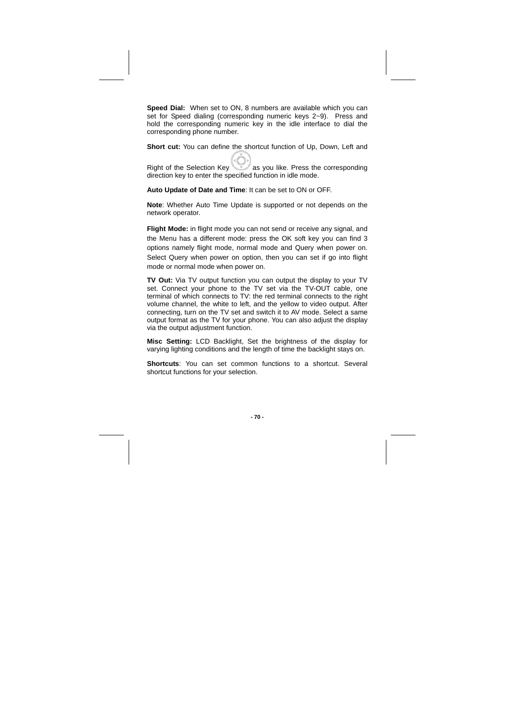**Speed Dial:** When set to ON, 8 numbers are available which you can set for Speed dialing (corresponding numeric keys 2~9). Press and hold the corresponding numeric key in the idle interface to dial the corresponding phone number.

**Short cut:** You can define the shortcut function of Up, Down, Left and

Right of the Selection Key as you like. Press the corresponding direction key to enter the specified function in idle mode.

**Auto Update of Date and Time**: It can be set to ON or OFF.

**Note**: Whether Auto Time Update is supported or not depends on the network operator.

**Flight Mode:** in flight mode you can not send or receive any signal, and the Menu has a different mode: press the OK soft key you can find 3 options namely flight mode, normal mode and Query when power on. Select Query when power on option, then you can set if go into flight mode or normal mode when power on.

**TV Out:** Via TV output function you can output the display to your TV set. Connect your phone to the TV set via the TV-OUT cable, one terminal of which connects to TV: the red terminal connects to the right volume channel, the white to left, and the yellow to video output. After connecting, turn on the TV set and switch it to AV mode. Select a same output format as the TV for your phone. You can also adjust the display via the output adjustment function.

**Misc Setting:** LCD Backlight, Set the brightness of the display for varying lighting conditions and the length of time the backlight stays on.

**Shortcuts**: You can set common functions to a shortcut. Several shortcut functions for your selection.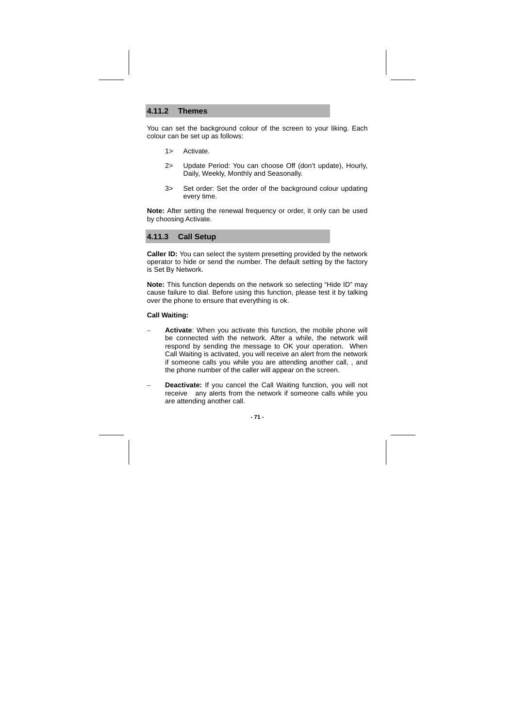### **4.11.2 Themes**

You can set the background colour of the screen to your liking. Each colour can be set up as follows:

- 1> Activate.
- 2> Update Period: You can choose Off (don't update), Hourly, Daily, Weekly, Monthly and Seasonally.
- 3> Set order: Set the order of the background colour updating every time.

**Note:** After setting the renewal frequency or order, it only can be used by choosing Activate.

#### **4.11.3 Call Setup**

**Caller ID:** You can select the system presetting provided by the network operator to hide or send the number. The default setting by the factory is Set By Network.

**Note:** This function depends on the network so selecting "Hide ID" may cause failure to dial. Before using this function, please test it by talking over the phone to ensure that everything is ok.

#### **Call Waiting:**

- **Activate:** When you activate this function, the mobile phone will be connected with the network. After a while, the network will respond by sending the message to OK your operation. When Call Waiting is activated, you will receive an alert from the network if someone calls you while you are attending another call, , and the phone number of the caller will appear on the screen.
- − **Deactivate:** If you cancel the Call Waiting function, you will not receive any alerts from the network if someone calls while you are attending another call.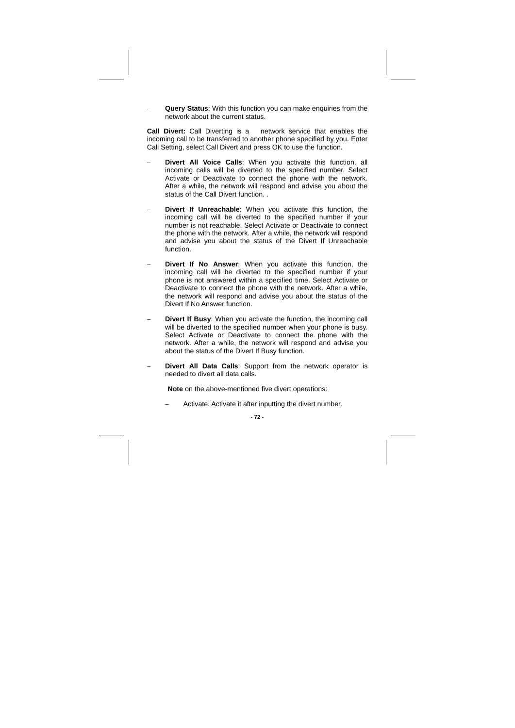Query Status: With this function you can make enquiries from the network about the current status.

**Call Divert:** Call Diverting is a network service that enables the incoming call to be transferred to another phone specified by you. Enter Call Setting, select Call Divert and press OK to use the function.

- Divert All Voice Calls: When you activate this function, all incoming calls will be diverted to the specified number. Select Activate or Deactivate to connect the phone with the network. After a while, the network will respond and advise you about the status of the Call Divert function. .
- Divert If Unreachable: When you activate this function, the incoming call will be diverted to the specified number if your number is not reachable. Select Activate or Deactivate to connect the phone with the network. After a while, the network will respond and advise you about the status of the Divert If Unreachable function.
- **Divert If No Answer:** When you activate this function, the incoming call will be diverted to the specified number if your phone is not answered within a specified time. Select Activate or Deactivate to connect the phone with the network. After a while, the network will respond and advise you about the status of the Divert If No Answer function.
- **Divert If Busy:** When you activate the function, the incoming call will be diverted to the specified number when your phone is busy. Select Activate or Deactivate to connect the phone with the network. After a while, the network will respond and advise you about the status of the Divert If Busy function.
- Divert All Data Calls: Support from the network operator is needed to divert all data calls.

**Note** on the above-mentioned five divert operations:

− Activate: Activate it after inputting the divert number.

**- 72 -**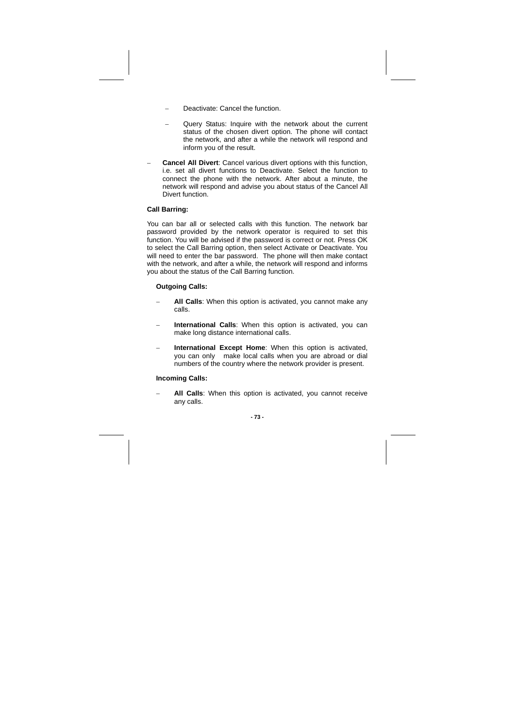- Deactivate: Cancel the function.
- Query Status: Inquire with the network about the current status of the chosen divert option. The phone will contact the network, and after a while the network will respond and inform you of the result.
- **Cancel All Divert:** Cancel various divert options with this function, i.e. set all divert functions to Deactivate. Select the function to connect the phone with the network. After about a minute, the network will respond and advise you about status of the Cancel All Divert function.

#### **Call Barring:**

You can bar all or selected calls with this function. The network bar password provided by the network operator is required to set this function. You will be advised if the password is correct or not. Press OK to select the Call Barring option, then select Activate or Deactivate. You will need to enter the bar password. The phone will then make contact with the network, and after a while, the network will respond and informs you about the status of the Call Barring function.

#### **Outgoing Calls:**

- − **All Calls**: When this option is activated, you cannot make any calls.
- International Calls: When this option is activated, you can make long distance international calls.
- **International Except Home:** When this option is activated, you can only make local calls when you are abroad or dial numbers of the country where the network provider is present.

#### **Incoming Calls:**

**All Calls:** When this option is activated, you cannot receive any calls.

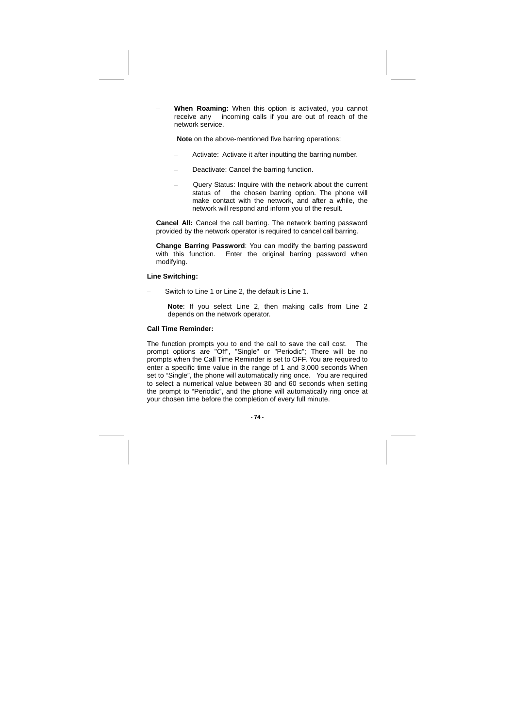When Roaming: When this option is activated, you cannot receive any incoming calls if you are out of reach of the network service.

**Note** on the above-mentioned five barring operations:

- Activate: Activate it after inputting the barring number.
- Deactivate: Cancel the barring function.
- − Query Status: Inquire with the network about the current status of the chosen barring option. The phone will make contact with the network, and after a while, the network will respond and inform you of the result.

**Cancel All:** Cancel the call barring. The network barring password provided by the network operator is required to cancel call barring.

**Change Barring Password**: You can modify the barring password with this function. Enter the original barring password when modifying.

#### **Line Switching:**

Switch to Line 1 or Line 2, the default is Line 1.

**Note**: If you select Line 2, then making calls from Line 2 depends on the network operator.

#### **Call Time Reminder:**

The function prompts you to end the call to save the call cost. The prompt options are "Off", "Single" or "Periodic"; There will be no prompts when the Call Time Reminder is set to OFF. You are required to enter a specific time value in the range of 1 and 3,000 seconds When set to "Single", the phone will automatically ring once. You are required to select a numerical value between 30 and 60 seconds when setting the prompt to "Periodic", and the phone will automatically ring once at your chosen time before the completion of every full minute.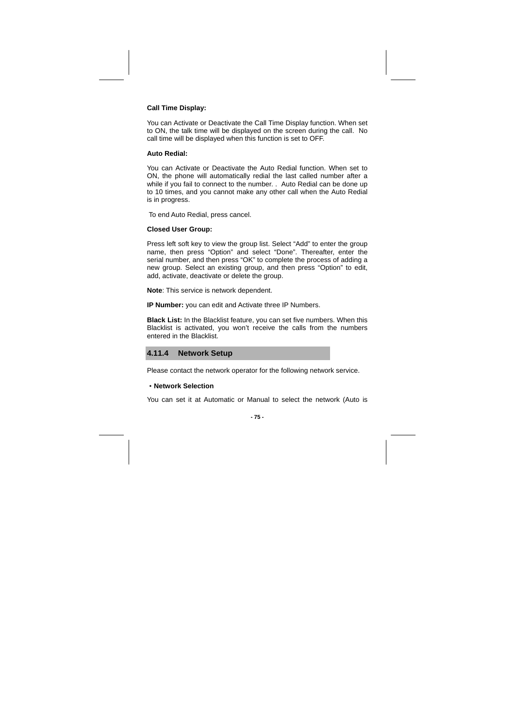#### **Call Time Display:**

You can Activate or Deactivate the Call Time Display function. When set to ON, the talk time will be displayed on the screen during the call. No call time will be displayed when this function is set to OFF.

#### **Auto Redial:**

You can Activate or Deactivate the Auto Redial function. When set to ON, the phone will automatically redial the last called number after a while if you fail to connect to the number. . Auto Redial can be done up to 10 times, and you cannot make any other call when the Auto Redial is in progress.

To end Auto Redial, press cancel.

#### **Closed User Group:**

Press left soft key to view the group list. Select "Add" to enter the group name, then press "Option" and select "Done". Thereafter, enter the serial number, and then press "OK" to complete the process of adding a new group. Select an existing group, and then press "Option" to edit, add, activate, deactivate or delete the group.

**Note**: This service is network dependent.

**IP Number:** you can edit and Activate three IP Numbers.

**Black List:** In the Blacklist feature, you can set five numbers. When this Blacklist is activated, you won't receive the calls from the numbers entered in the Blacklist.



Please contact the network operator for the following network service.

#### ·**Network Selection**

You can set it at Automatic or Manual to select the network (Auto is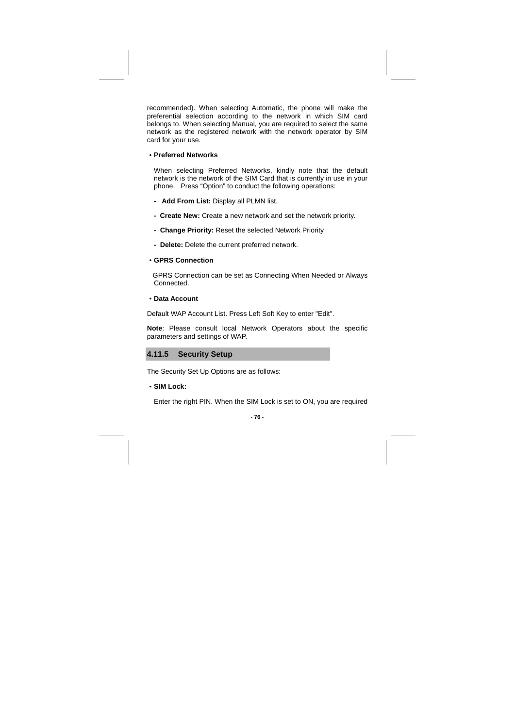recommended). When selecting Automatic, the phone will make the preferential selection according to the network in which SIM card belongs to. When selecting Manual, you are required to select the same network as the registered network with the network operator by SIM card for your use.

·**Preferred Networks** 

When selecting Preferred Networks, kindly note that the default network is the network of the SIM Card that is currently in use in your phone. Press "Option" to conduct the following operations:

- **Add From List:** Display all PLMN list.
- **Create New:** Create a new network and set the network priority.
- **Change Priority:** Reset the selected Network Priority
- **Delete:** Delete the current preferred network.
- ·**GPRS Connection**

 GPRS Connection can be set as Connecting When Needed or Always Connected.

·**Data Account** 

Default WAP Account List. Press Left Soft Key to enter "Edit".

**Note**: Please consult local Network Operators about the specific parameters and settings of WAP.

### **4.11.5 Security Setup**

The Security Set Up Options are as follows:

·**SIM Lock:** 

Enter the right PIN. When the SIM Lock is set to ON, you are required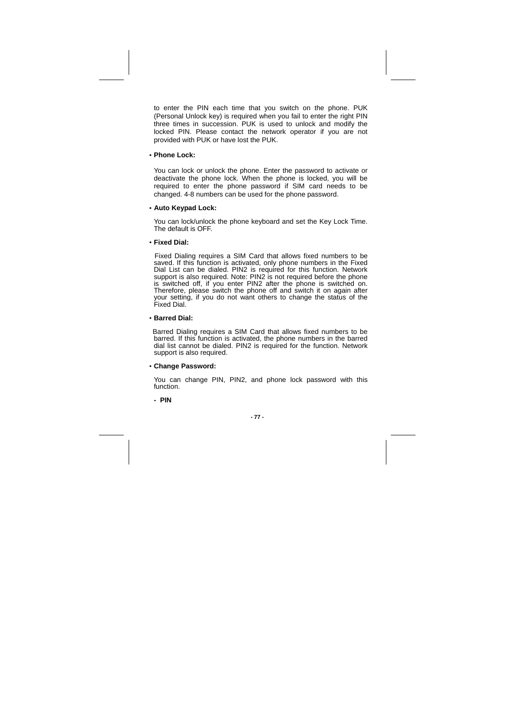to enter the PIN each time that you switch on the phone. PUK (Personal Unlock key) is required when you fail to enter the right PIN three times in succession. PUK is used to unlock and modify the locked PIN. Please contact the network operator if you are not provided with PUK or have lost the PUK.

#### ·**Phone Lock:**

You can lock or unlock the phone. Enter the password to activate or deactivate the phone lock. When the phone is locked, you will be required to enter the phone password if SIM card needs to be changed. 4-8 numbers can be used for the phone password.

#### ·**Auto Keypad Lock:**

You can lock/unlock the phone keyboard and set the Key Lock Time. The default is OFF.

·**Fixed Dial:** 

 Fixed Dialing requires a SIM Card that allows fixed numbers to be saved. If this function is activated, only phone numbers in the Fixed Dial List can be dialed. PIN2 is required for this function. Network support is also required. Note: PIN2 is not required before the phone is switched off, if you enter PIN2 after the phone is switched on. Therefore, please switch the phone off and switch it on again after your setting, if you do not want others to change the status of the Fixed Dial.

#### ·**Barred Dial:**

 Barred Dialing requires a SIM Card that allows fixed numbers to be barred. If this function is activated, the phone numbers in the barred dial list cannot be dialed. PIN2 is required for the function. Network support is also required.

#### ·**Change Password:**

You can change PIN, PIN2, and phone lock password with this function.

**- PIN**

$$
\cdot 77\cdot
$$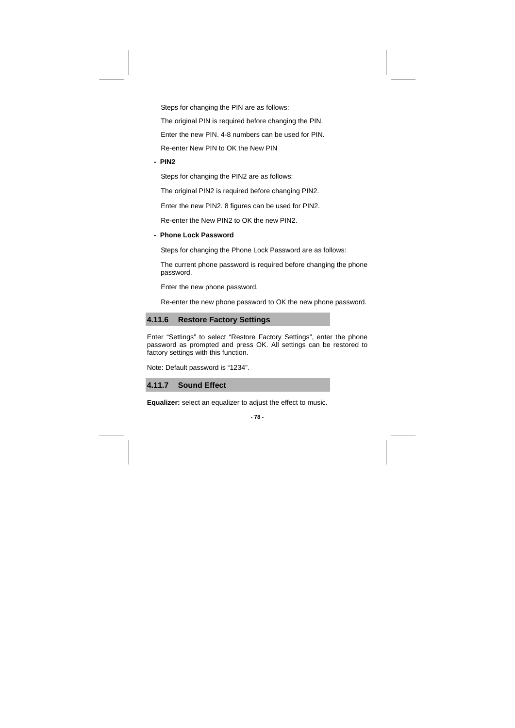Steps for changing the PIN are as follows:

The original PIN is required before changing the PIN.

Enter the new PIN. 4-8 numbers can be used for PIN.

Re-enter New PIN to OK the New PIN

**- PIN2** 

Steps for changing the PIN2 are as follows:

The original PIN2 is required before changing PIN2.

Enter the new PIN2. 8 figures can be used for PIN2.

Re-enter the New PIN2 to OK the new PIN2.

**- Phone Lock Password** 

Steps for changing the Phone Lock Password are as follows:

The current phone password is required before changing the phone password.

Enter the new phone password.

Re-enter the new phone password to OK the new phone password.

### **4.11.6 Restore Factory Settings**

Enter "Settings" to select "Restore Factory Settings", enter the phone password as prompted and press OK. All settings can be restored to factory settings with this function.

Note: Default password is "1234".

**4.11.7 Sound Effect** 

**Equalizer:** select an equalizer to adjust the effect to music.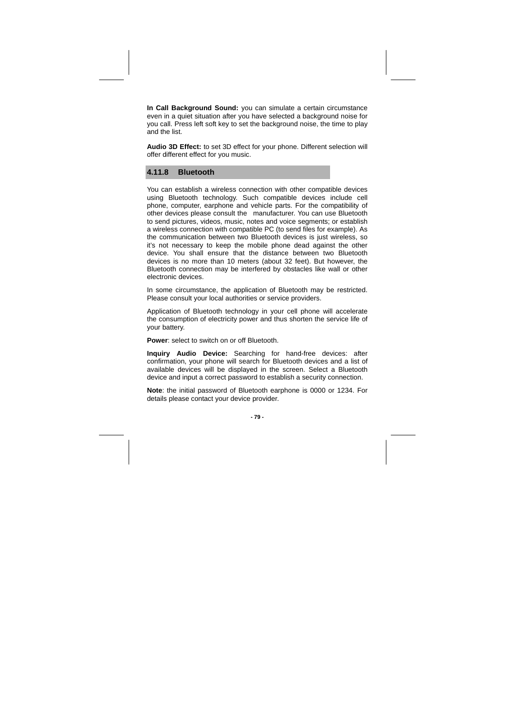**In Call Background Sound:** you can simulate a certain circumstance even in a quiet situation after you have selected a background noise for you call. Press left soft key to set the background noise, the time to play and the list.

**Audio 3D Effect:** to set 3D effect for your phone. Different selection will offer different effect for you music.

#### **4.11.8 Bluetooth**

You can establish a wireless connection with other compatible devices using Bluetooth technology. Such compatible devices include cell phone, computer, earphone and vehicle parts. For the compatibility of other devices please consult the manufacturer. You can use Bluetooth to send pictures, videos, music, notes and voice segments; or establish a wireless connection with compatible PC (to send files for example). As the communication between two Bluetooth devices is just wireless, so it's not necessary to keep the mobile phone dead against the other device. You shall ensure that the distance between two Bluetooth devices is no more than 10 meters (about 32 feet). But however, the Bluetooth connection may be interfered by obstacles like wall or other electronic devices.

In some circumstance, the application of Bluetooth may be restricted. Please consult your local authorities or service providers.

Application of Bluetooth technology in your cell phone will accelerate the consumption of electricity power and thus shorten the service life of your battery.

**Power**: select to switch on or off Bluetooth.

**Inquiry Audio Device:** Searching for hand-free devices: after confirmation, your phone will search for Bluetooth devices and a list of available devices will be displayed in the screen. Select a Bluetooth device and input a correct password to establish a security connection.

**Note**: the initial password of Bluetooth earphone is 0000 or 1234. For details please contact your device provider.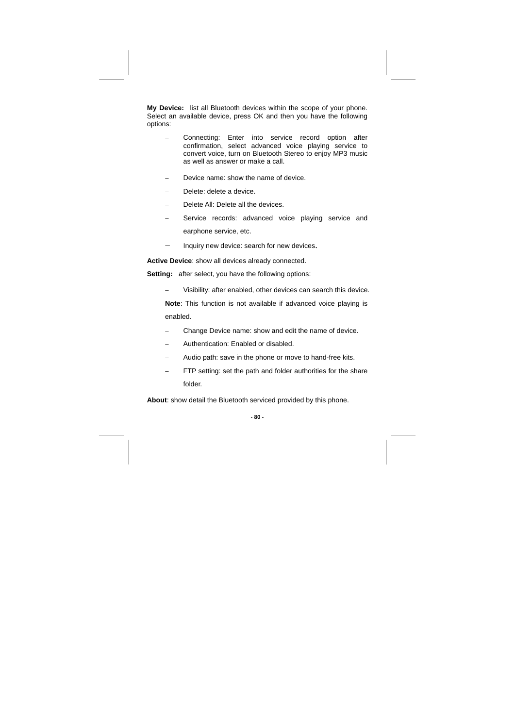**My Device:** list all Bluetooth devices within the scope of your phone. Select an available device, press OK and then you have the following options:

- − Connecting: Enter into service record option after confirmation, select advanced voice playing service to convert voice, turn on Bluetooth Stereo to enjoy MP3 music as well as answer or make a call.
- Device name: show the name of device.
- Delete: delete a device.
- Delete All: Delete all the devices.
- Service records: advanced voice playing service and earphone service, etc.
- − Inquiry new device: search for new devices.

**Active Device**: show all devices already connected.

**Setting:** after select, you have the following options:

− Visibility: after enabled, other devices can search this device.

**Note**: This function is not available if advanced voice playing is enabled.

- − Change Device name: show and edit the name of device.
- − Authentication: Enabled or disabled.
- − Audio path: save in the phone or move to hand-free kits.
- FTP setting: set the path and folder authorities for the share folder.

**About**: show detail the Bluetooth serviced provided by this phone.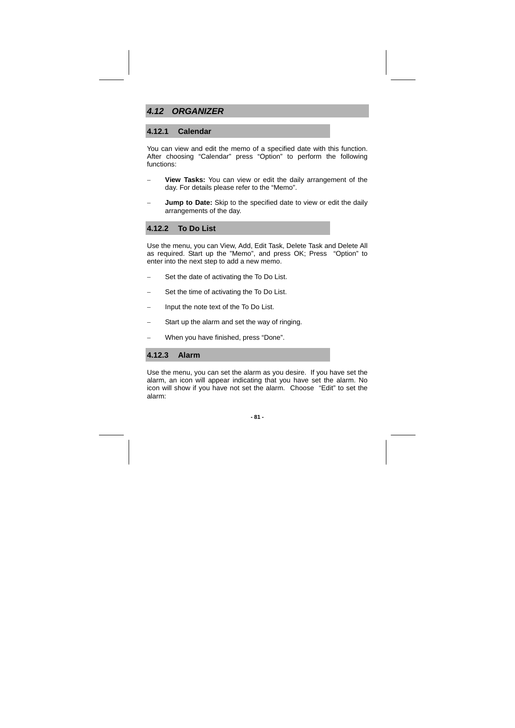### **4.12 ORGANIZER**

### **4.12.1 Calendar**

You can view and edit the memo of a specified date with this function. After choosing "Calendar" press "Option" to perform the following functions:

- − **View Tasks:** You can view or edit the daily arrangement of the day. For details please refer to the "Memo".
- Jump to Date: Skip to the specified date to view or edit the daily arrangements of the day.

### **4.12.2 To Do List**

Use the menu, you can View, Add, Edit Task, Delete Task and Delete All as required. Start up the "Memo", and press OK; Press "Option" to enter into the next step to add a new memo.

- − Set the date of activating the To Do List.
- − Set the time of activating the To Do List.
- − Input the note text of the To Do List.
- Start up the alarm and set the way of ringing.
- − When you have finished, press "Done".

### **4.12.3 Alarm**

Use the menu, you can set the alarm as you desire. If you have set the alarm, an icon will appear indicating that you have set the alarm. No icon will show if you have not set the alarm. Choose "Edit" to set the alarm: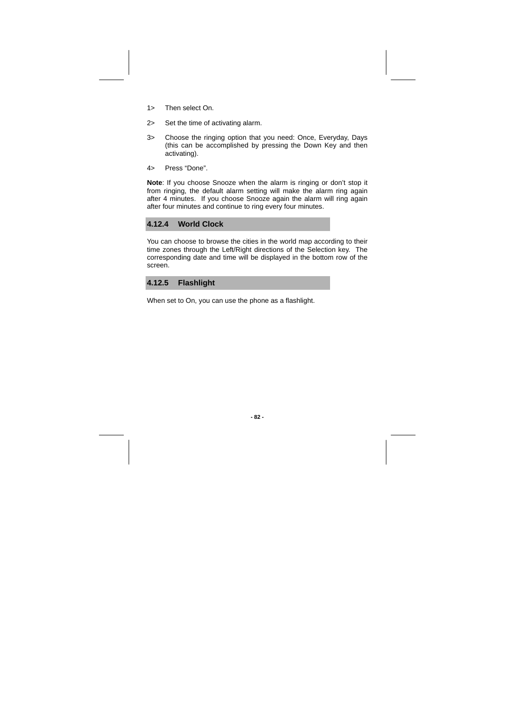- 1> Then select On.
- 2> Set the time of activating alarm.
- 3> Choose the ringing option that you need: Once, Everyday, Days (this can be accomplished by pressing the Down Key and then activating).
- 4> Press "Done".

**Note**: If you choose Snooze when the alarm is ringing or don't stop it from ringing, the default alarm setting will make the alarm ring again after 4 minutes. If you choose Snooze again the alarm will ring again after four minutes and continue to ring every four minutes.

#### **4.12.4 World Clock**

You can choose to browse the cities in the world map according to their time zones through the Left/Right directions of the Selection key. The corresponding date and time will be displayed in the bottom row of the screen.



When set to On, you can use the phone as a flashlight.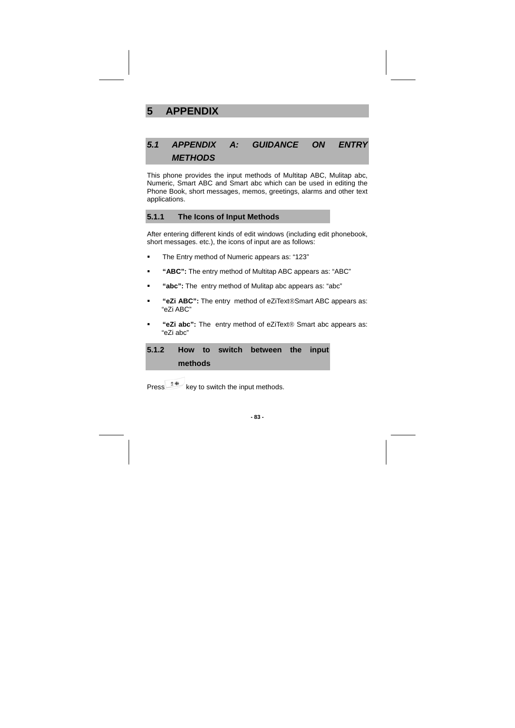# **5 APPENDIX**

## **5.1 APPENDIX A: GUIDANCE ON ENTRY METHODS**

This phone provides the input methods of Multitap ABC, Mulitap abc, Numeric, Smart ABC and Smart abc which can be used in editing the Phone Book, short messages, memos, greetings, alarms and other text applications.

### **5.1.1 The Icons of Input Methods**

After entering different kinds of edit windows (including edit phonebook, short messages. etc.), the icons of input are as follows:

- The Entry method of Numeric appears as: "123"
- **"ABC":** The entry method of Multitap ABC appears as: "ABC"
- **"abc":** The entry method of Mulitap abc appears as: "abc"
- **"eZi ABC":** The entry method of eZiText®Smart ABC appears as: "eZi ABC"
- **"eZi abc":** The entry method of eZiText® Smart abc appears as: "eZi abc"

|         |  | 5.1.2 How to switch between the input |  |
|---------|--|---------------------------------------|--|
| methods |  |                                       |  |

Press  $\frac{24}{100}$  key to switch the input methods.

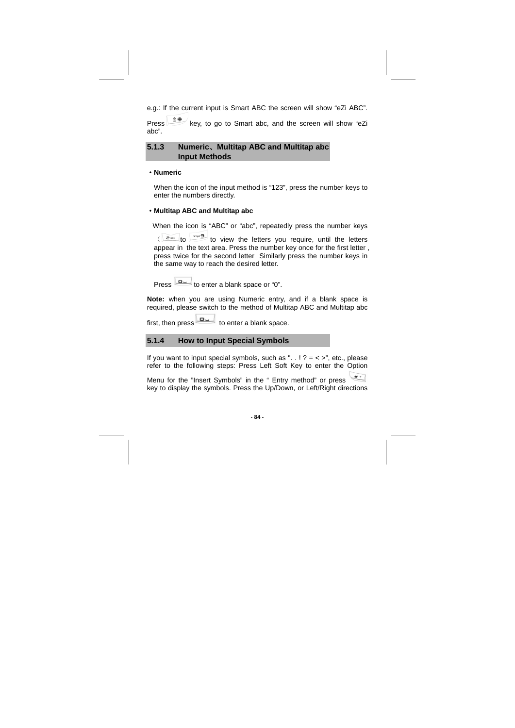e.g.: If the current input is Smart ABC the screen will show "eZi ABC".

Press  $\frac{24}{x}$  key, to go to Smart abc, and the screen will show "eZi abc".

### **5.1.3 Numeric**、**Multitap ABC and Multitap abc Input Methods**

#### ·**Numeric**

When the icon of the input method is "123", press the number keys to enter the numbers directly.

#### ·**Multitap ABC and Multitap abc**

When the icon is "ABC" or "abc", repeatedly press the number keys

 $\left( \begin{array}{ccc} e^{i\omega t} & \omega & 0 \\ e^{i\omega t} & 0 & 0 \end{array} \right)$  to view the letters you require, until the letters appear in the text area. Press the number key once for the first letter , press twice for the second letter Similarly press the number keys in the same way to reach the desired letter.

Press to enter a blank space or "0".

**Note:** when you are using Numeric entry, and if a blank space is required, please switch to the method of Multitap ABC and Multitap abc

first, then press to enter a blank space.

### **5.1.4 How to Input Special Symbols**

If you want to input special symbols, such as " $\ldots$ ! ? = < >", etc., please refer to the following steps: Press Left Soft Key to enter the Option

Menu for the "Insert Symbols" in the " Entry method" or press key to display the symbols. Press the Up/Down, or Left/Right directions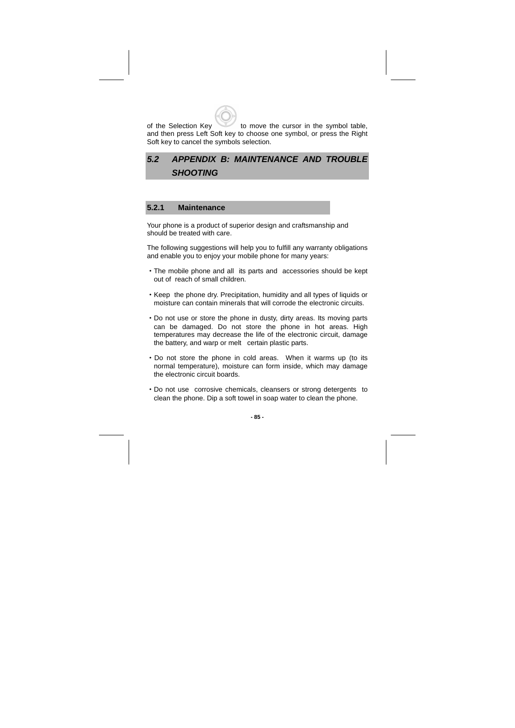of the Selection Key to move the cursor in the symbol table, and then press Left Soft key to choose one symbol, or press the Right Soft key to cancel the symbols selection.

# **5.2 APPENDIX B: MAINTENANCE AND TROUBLE SHOOTING**

### **5.2.1 Maintenance**

Your phone is a product of superior design and craftsmanship and should be treated with care.

The following suggestions will help you to fulfill any warranty obligations and enable you to enjoy your mobile phone for many years:

- ·The mobile phone and all its parts and accessories should be kept out of reach of small children.
- ·Keep the phone dry. Precipitation, humidity and all types of liquids or moisture can contain minerals that will corrode the electronic circuits.
- ·Do not use or store the phone in dusty, dirty areas. Its moving parts can be damaged. Do not store the phone in hot areas. High temperatures may decrease the life of the electronic circuit, damage the battery, and warp or melt certain plastic parts.
- ·Do not store the phone in cold areas. When it warms up (to its normal temperature), moisture can form inside, which may damage the electronic circuit boards.
- ·Do not use corrosive chemicals, cleansers or strong detergents to clean the phone. Dip a soft towel in soap water to clean the phone.

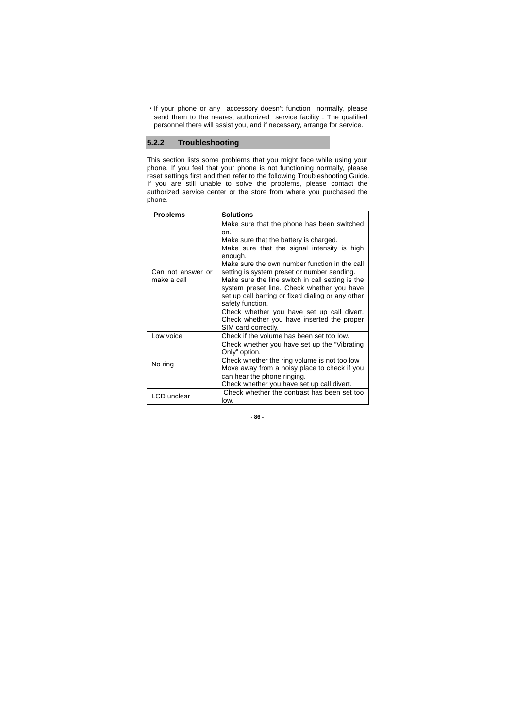·If your phone or any accessory doesn't function normally, please send them to the nearest authorized service facility . The qualified personnel there will assist you, and if necessary, arrange for service.

## **5.2.2 Troubleshooting**

This section lists some problems that you might face while using your phone. If you feel that your phone is not functioning normally, please reset settings first and then refer to the following Troubleshooting Guide. If you are still unable to solve the problems, please contact the authorized service center or the store from where you purchased the phone.

| <b>Problems</b>                  | <b>Solutions</b>                                                                                                                                                                                                                                                                                                                                                                                                                                                                                                                                    |
|----------------------------------|-----------------------------------------------------------------------------------------------------------------------------------------------------------------------------------------------------------------------------------------------------------------------------------------------------------------------------------------------------------------------------------------------------------------------------------------------------------------------------------------------------------------------------------------------------|
| Can not answer or<br>make a call | Make sure that the phone has been switched<br>on.<br>Make sure that the battery is charged.<br>Make sure that the signal intensity is high<br>enough.<br>Make sure the own number function in the call<br>setting is system preset or number sending.<br>Make sure the line switch in call setting is the<br>system preset line. Check whether you have<br>set up call barring or fixed dialing or any other<br>safety function.<br>Check whether you have set up call divert.<br>Check whether you have inserted the proper<br>SIM card correctly. |
| Low voice                        | Check if the volume has been set too low.                                                                                                                                                                                                                                                                                                                                                                                                                                                                                                           |
| No ring                          | Check whether you have set up the "Vibrating"<br>Only" option.<br>Check whether the ring volume is not too low<br>Move away from a noisy place to check if you<br>can hear the phone ringing.<br>Check whether you have set up call divert.                                                                                                                                                                                                                                                                                                         |
| LCD unclear                      | Check whether the contrast has been set too<br>low.                                                                                                                                                                                                                                                                                                                                                                                                                                                                                                 |

**- 86 -**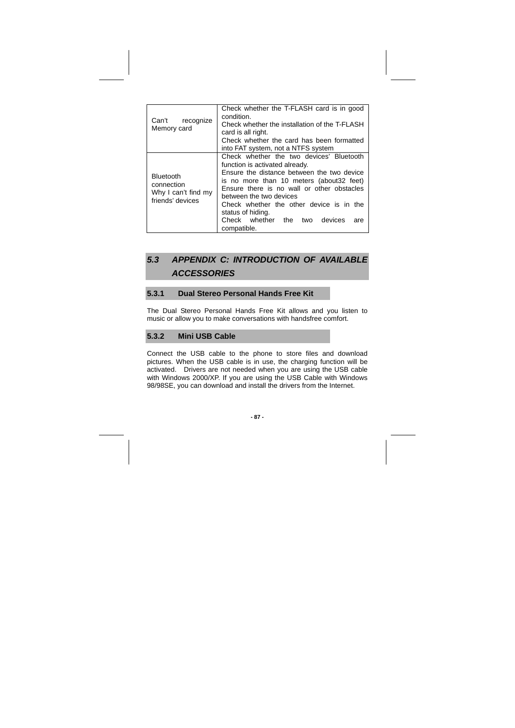| Can't<br>recognize<br>Memory card                                         | Check whether the T-FLASH card is in good<br>condition.<br>Check whether the installation of the T-FLASH<br>card is all right.<br>Check whether the card has been formatted<br>into FAT system, not a NTFS system                                                                                                                                                      |
|---------------------------------------------------------------------------|------------------------------------------------------------------------------------------------------------------------------------------------------------------------------------------------------------------------------------------------------------------------------------------------------------------------------------------------------------------------|
| <b>Bluetooth</b><br>connection<br>Why I can't find my<br>friends' devices | Check whether the two devices' Bluetooth<br>function is activated already.<br>Ensure the distance between the two device<br>is no more than 10 meters (about 32 feet)<br>Ensure there is no wall or other obstacles<br>between the two devices<br>Check whether the other device is in the<br>status of hiding.<br>Check whether the two devices<br>are<br>compatible. |

# **5.3 APPENDIX C: INTRODUCTION OF AVAILABLE ACCESSORIES**

### **5.3.1 Dual Stereo Personal Hands Free Kit**

The Dual Stereo Personal Hands Free Kit allows and you listen to music or allow you to make conversations with handsfree comfort.

### **5.3.2 Mini USB Cable**

Connect the USB cable to the phone to store files and download pictures. When the USB cable is in use, the charging function will be activated. Drivers are not needed when you are using the USB cable with Windows 2000/XP. If you are using the USB Cable with Windows 98/98SE, you can download and install the drivers from the Internet.

**- 87 -**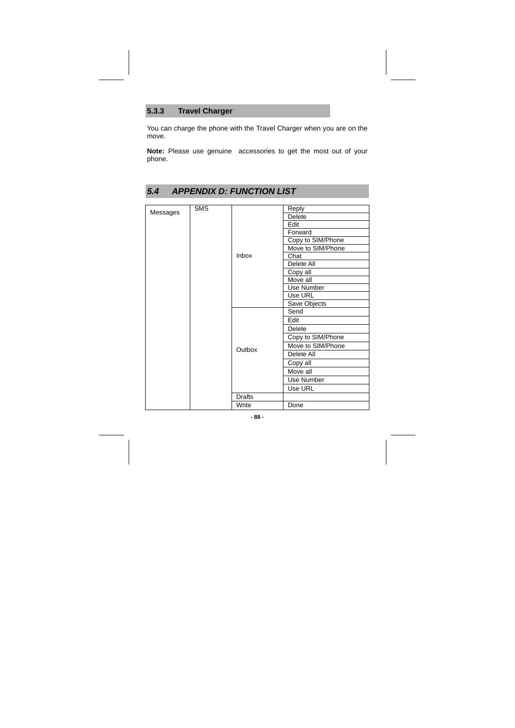## **5.3.3 Travel Charger**

You can charge the phone with the Travel Charger when you are on the move.

**Note:** Please use genuine accessories to get the most out of your phone.

## **5.4 APPENDIX D: FUNCTION LIST**

| Messages | <b>SMS</b> |               | Reply             |
|----------|------------|---------------|-------------------|
|          |            |               | Delete            |
|          |            |               | Edit              |
|          |            |               | Forward           |
|          |            |               | Copy to SIM/Phone |
|          |            |               | Move to SIM/Phone |
|          |            | <b>Inbox</b>  | Chat              |
|          |            |               | Delete All        |
|          |            |               | Copy all          |
|          |            |               | Move all          |
|          |            |               | Use Number        |
|          |            |               | Use URL           |
|          |            |               | Save Objects      |
|          |            | Outbox        | Send              |
|          |            |               | Edit              |
|          |            |               | Delete            |
|          |            |               | Copy to SIM/Phone |
|          |            |               | Move to SIM/Phone |
|          |            |               | Delete All        |
|          |            |               | Copy all          |
|          |            |               | Move all          |
|          |            |               | Use Number        |
|          |            |               | Use URL           |
|          |            | <b>Drafts</b> |                   |
|          |            | Write         | Done              |
|          |            |               |                   |

**- 88 -**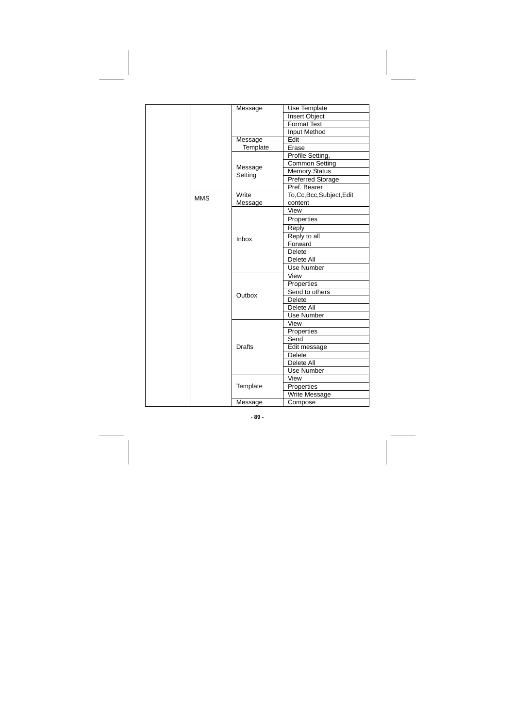|  |            | Message            | Use Template           |  |
|--|------------|--------------------|------------------------|--|
|  |            |                    | <b>Insert Object</b>   |  |
|  |            |                    | <b>Format Text</b>     |  |
|  |            |                    | Input Method           |  |
|  |            | Message            | Edit                   |  |
|  |            | Template           | Erase                  |  |
|  |            |                    | Profile Setting,       |  |
|  |            |                    | <b>Common Setting</b>  |  |
|  |            | Message<br>Setting | Memory Status          |  |
|  |            |                    | Preferred Storage      |  |
|  |            |                    | Pref. Bearer           |  |
|  | <b>MMS</b> | Write              | To,Cc,Bcc,Subject,Edit |  |
|  |            | Message            | content                |  |
|  |            |                    | View                   |  |
|  |            |                    | Properties             |  |
|  |            |                    | Reply                  |  |
|  |            | Inbox              | Reply to all           |  |
|  |            |                    | Forward                |  |
|  |            |                    | <b>Delete</b>          |  |
|  |            |                    | Delete All             |  |
|  |            |                    | Use Number             |  |
|  |            |                    | View                   |  |
|  |            | Outbox             | Properties             |  |
|  |            |                    | Send to others         |  |
|  |            |                    | <b>Delete</b>          |  |
|  |            |                    | Delete All             |  |
|  |            |                    | Use Number             |  |
|  |            |                    | View                   |  |
|  |            |                    | Properties             |  |
|  |            |                    | Send                   |  |
|  |            | <b>Drafts</b>      | Edit message           |  |
|  |            |                    | <b>Delete</b>          |  |
|  |            |                    | Delete All             |  |
|  |            |                    | Use Number             |  |
|  |            |                    | View                   |  |
|  |            | Template           | Properties             |  |
|  |            |                    | Write Message          |  |
|  |            | Message            | Compose                |  |

**- 89 -**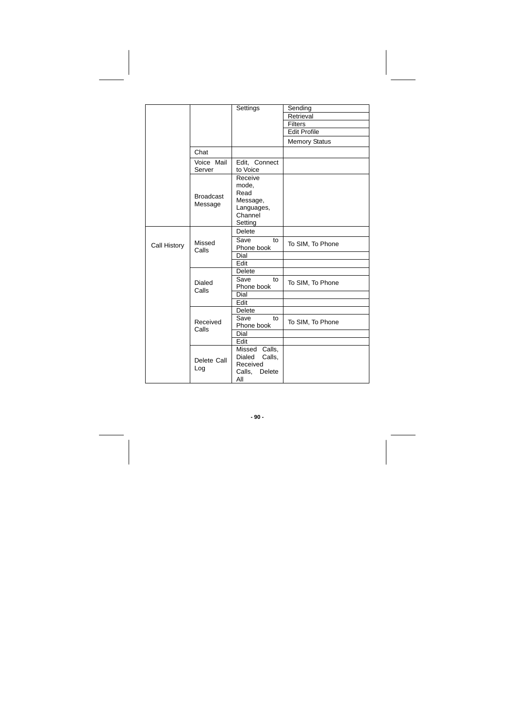|              |                             | Settings                                                                 | Sending              |
|--------------|-----------------------------|--------------------------------------------------------------------------|----------------------|
|              |                             |                                                                          | Retrieval            |
|              |                             |                                                                          | Filters              |
|              |                             |                                                                          | <b>Edit Profile</b>  |
|              |                             |                                                                          | <b>Memory Status</b> |
|              | Chat                        |                                                                          |                      |
|              | Voice Mail<br>Server        | Edit, Connect<br>to Voice                                                |                      |
|              | <b>Broadcast</b><br>Message | Receive<br>mode,<br>Read<br>Message,<br>Languages,<br>Channel<br>Setting |                      |
|              |                             | Delete                                                                   |                      |
| Call History | Missed<br>Calls             | Save<br>to<br>Phone book                                                 | To SIM, To Phone     |
|              |                             | Dial                                                                     |                      |
|              |                             | Edit                                                                     |                      |
|              |                             | <b>Delete</b>                                                            |                      |
|              | <b>Dialed</b><br>Calls      | Save<br>to<br>Phone book                                                 | To SIM, To Phone     |
|              |                             | Dial                                                                     |                      |
|              |                             | Edit                                                                     |                      |
|              |                             | Delete                                                                   |                      |
|              | Received<br>Calls           | Save<br>to<br>Phone book                                                 | To SIM, To Phone     |
|              |                             | Dial                                                                     |                      |
|              |                             | Edit                                                                     |                      |
|              | Delete Call<br>Log          | Missed Calls,<br>Dialed<br>Calls,<br>Received<br>Calls,<br>Delete<br>All |                      |

**- 90 -**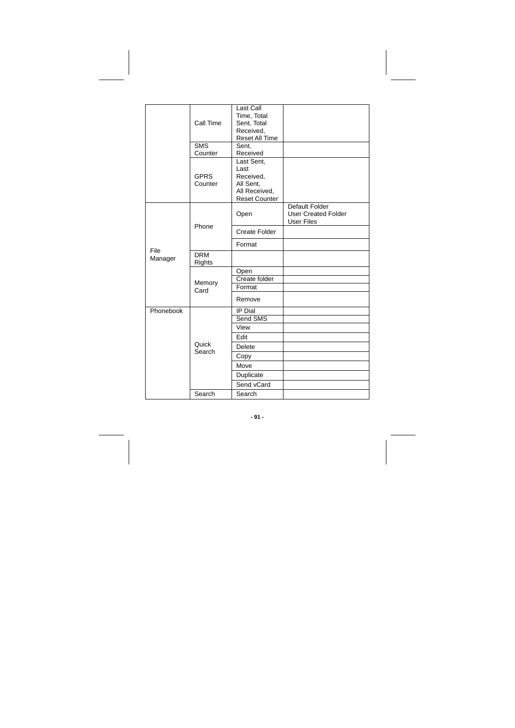|           | Call Time              | Last Call<br>Time, Total<br>Sent, Total<br>Received,<br>Reset All Time                |                                                                   |
|-----------|------------------------|---------------------------------------------------------------------------------------|-------------------------------------------------------------------|
|           | <b>SMS</b><br>Counter  | Sent,<br>Received                                                                     |                                                                   |
|           | <b>GPRS</b><br>Counter | Last Sent,<br>Last<br>Received,<br>All Sent,<br>All Received,<br><b>Reset Counter</b> |                                                                   |
|           |                        | Open                                                                                  | Default Folder<br><b>User Created Folder</b><br><b>User Files</b> |
|           | Phone                  | <b>Create Folder</b>                                                                  |                                                                   |
| File      |                        | Format                                                                                |                                                                   |
| Manager   | <b>DRM</b><br>Rights   |                                                                                       |                                                                   |
|           |                        | Open                                                                                  |                                                                   |
|           | Memory                 | Create folder                                                                         |                                                                   |
|           | Card                   | Format                                                                                |                                                                   |
|           |                        | Remove                                                                                |                                                                   |
| Phonebook |                        | IP Dial                                                                               |                                                                   |
|           |                        | Send SMS                                                                              |                                                                   |
|           |                        | View                                                                                  |                                                                   |
|           |                        | Edit                                                                                  |                                                                   |
|           | Quick<br>Search        | <b>Delete</b>                                                                         |                                                                   |
|           |                        | Copy                                                                                  |                                                                   |
|           |                        | Move                                                                                  |                                                                   |
|           |                        | Duplicate                                                                             |                                                                   |
|           |                        | Send vCard                                                                            |                                                                   |
|           | Search                 | Search                                                                                |                                                                   |

**- 91 -**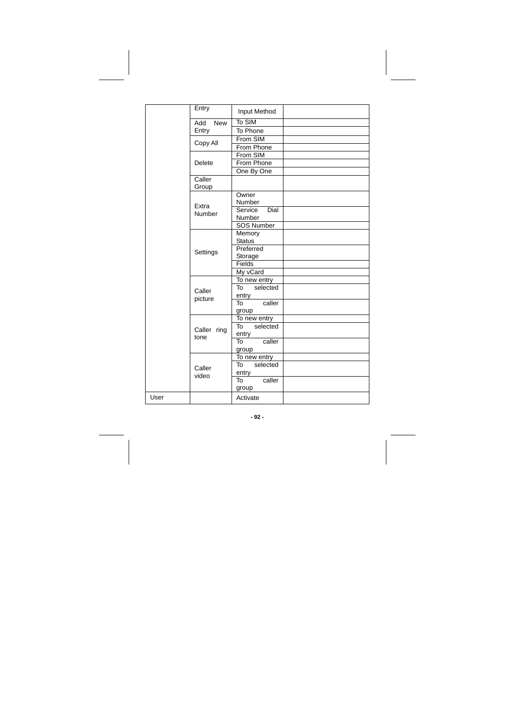|      | Entry               | Input Method              |  |
|------|---------------------|---------------------------|--|
|      | Add<br><b>New</b>   | To SIM                    |  |
|      | Entry               | To Phone                  |  |
|      |                     | From SIM                  |  |
|      | Copy All            | From Phone                |  |
|      |                     | From SIM                  |  |
|      | Delete              | From Phone                |  |
|      |                     | One By One                |  |
|      | Caller<br>Group     |                           |  |
|      | Extra               | Owner<br>Number           |  |
|      | Number              | Dial<br>Service<br>Number |  |
|      |                     | <b>SOS Number</b>         |  |
|      |                     | Memory<br><b>Status</b>   |  |
|      | Settings            | Preferred<br>Storage      |  |
|      |                     | Fields                    |  |
|      |                     | My vCard                  |  |
|      |                     | To new entry              |  |
|      | Caller              | selected<br>To<br>entry   |  |
|      | picture             | caller<br>To<br>group     |  |
|      |                     | To new entry              |  |
|      | Caller ring<br>tone | To<br>selected<br>entry   |  |
|      |                     | caller<br>To<br>group     |  |
|      |                     | To new entry              |  |
|      | Caller              | selected<br>To<br>entry   |  |
|      | video               | caller<br>To<br>group     |  |
| User |                     | Activate                  |  |

**- 92 -**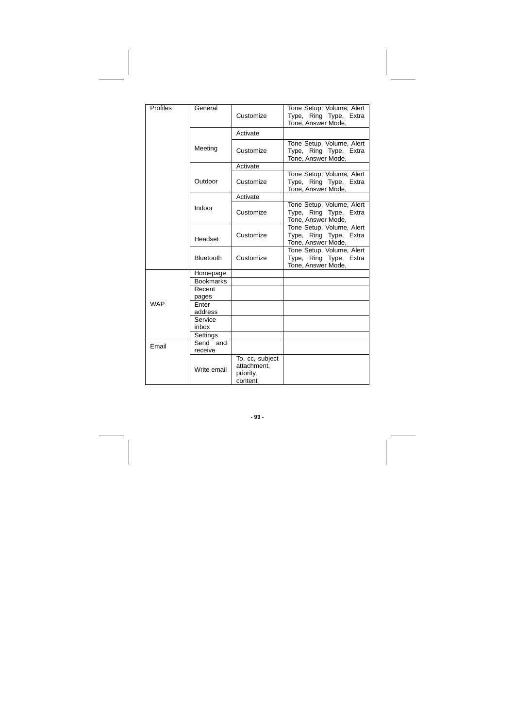| Profiles   | General             | Customize                                              | Tone Setup, Volume, Alert<br>Type, Ring Type, Extra<br>Tone, Answer Mode, |
|------------|---------------------|--------------------------------------------------------|---------------------------------------------------------------------------|
|            |                     | Activate                                               |                                                                           |
|            | Meeting             | Customize                                              | Tone Setup, Volume, Alert<br>Type, Ring Type, Extra<br>Tone, Answer Mode, |
|            |                     | Activate                                               |                                                                           |
|            | Outdoor             | Customize                                              | Tone Setup, Volume, Alert<br>Type, Ring Type, Extra<br>Tone, Answer Mode, |
|            |                     | Activate                                               |                                                                           |
|            | Indoor              | Customize                                              | Tone Setup, Volume, Alert<br>Type, Ring Type, Extra<br>Tone, Answer Mode, |
|            | Headset             | Customize                                              | Tone Setup, Volume, Alert<br>Type, Ring Type, Extra<br>Tone, Answer Mode, |
|            | <b>Bluetooth</b>    | Customize                                              | Tone Setup, Volume, Alert<br>Type, Ring Type, Extra<br>Tone, Answer Mode, |
|            | Homepage            |                                                        |                                                                           |
|            | <b>Bookmarks</b>    |                                                        |                                                                           |
|            | Recent<br>pages     |                                                        |                                                                           |
| <b>WAP</b> | Enter<br>address    |                                                        |                                                                           |
|            | Service             |                                                        |                                                                           |
|            | inbox               |                                                        |                                                                           |
|            | Settings            |                                                        |                                                                           |
| Email      | Send and<br>receive |                                                        |                                                                           |
|            | Write email         | To, cc, subject<br>attachment,<br>priority,<br>content |                                                                           |

**- 93 -**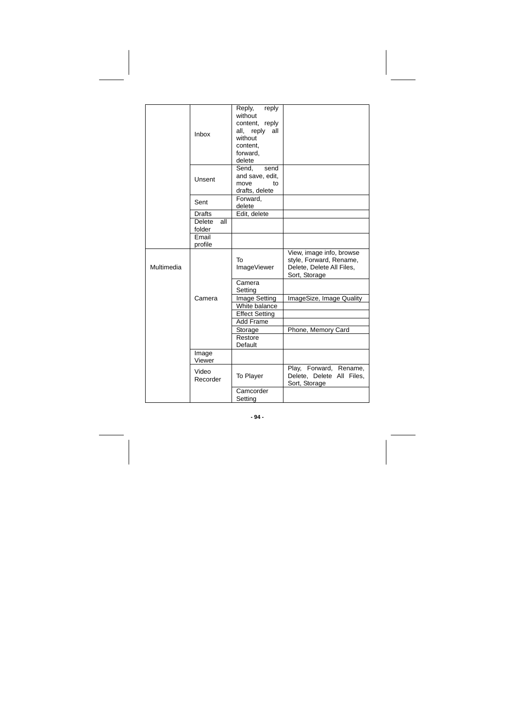|            | Inbox                   | Reply, reply<br>without<br>content, reply<br>all, reply<br>all<br>without<br>content.<br>forward.<br>delete |                                                                                                   |
|------------|-------------------------|-------------------------------------------------------------------------------------------------------------|---------------------------------------------------------------------------------------------------|
|            | Unsent                  | Send.<br>send<br>and save, edit,<br>move<br>to<br>drafts, delete                                            |                                                                                                   |
|            | Sent                    | Forward,<br>delete                                                                                          |                                                                                                   |
|            | <b>Drafts</b>           | Edit, delete                                                                                                |                                                                                                   |
|            | Delete<br>all<br>folder |                                                                                                             |                                                                                                   |
|            | Email<br>profile        |                                                                                                             |                                                                                                   |
| Multimedia |                         | To<br>ImageViewer                                                                                           | View, image info, browse<br>style, Forward, Rename,<br>Delete, Delete All Files,<br>Sort, Storage |
|            |                         | Camera<br>Setting                                                                                           |                                                                                                   |
|            | Camera                  | Image Setting                                                                                               | ImageSize, Image Quality                                                                          |
|            |                         | White balance                                                                                               |                                                                                                   |
|            |                         | <b>Effect Setting</b>                                                                                       |                                                                                                   |
|            |                         | Add Frame                                                                                                   |                                                                                                   |
|            |                         | Storage                                                                                                     | Phone, Memory Card                                                                                |
|            |                         | Restore<br>Default                                                                                          |                                                                                                   |
|            | Image<br>Viewer         |                                                                                                             |                                                                                                   |
|            | Video<br>Recorder       | To Player                                                                                                   | Play, Forward, Rename,<br>Delete, Delete All Files,<br>Sort, Storage                              |
|            |                         | Camcorder<br>Setting                                                                                        |                                                                                                   |

**- 94 -**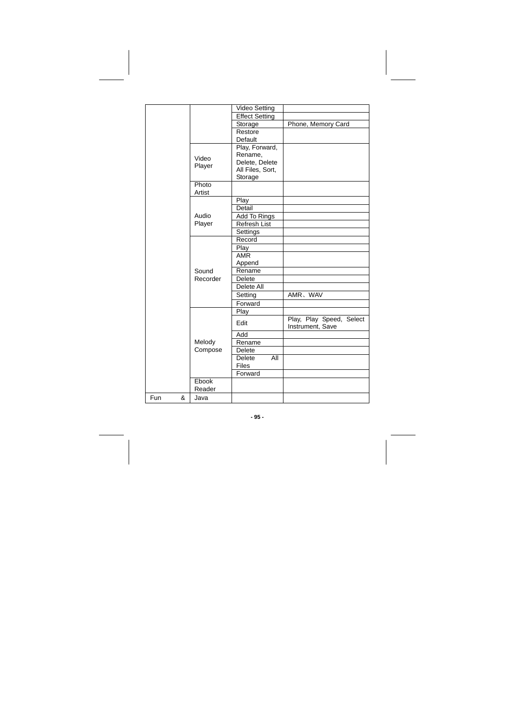|          |          | <b>Video Setting</b>  |                          |
|----------|----------|-----------------------|--------------------------|
|          |          | <b>Effect Setting</b> |                          |
|          |          | Storage               | Phone, Memory Card       |
|          |          | Restore               |                          |
|          |          | Default               |                          |
|          |          | Play, Forward,        |                          |
|          |          | Rename,               |                          |
|          | Video    | Delete, Delete        |                          |
|          | Player   | All Files, Sort,      |                          |
|          |          | Storage               |                          |
|          | Photo    |                       |                          |
|          | Artist   |                       |                          |
|          |          | Play                  |                          |
|          |          | Detail                |                          |
|          | Audio    | Add To Rings          |                          |
|          | Player   | <b>Refresh List</b>   |                          |
|          |          | Settings              |                          |
|          |          | Record                |                          |
|          |          | Play                  |                          |
|          |          | <b>AMR</b>            |                          |
|          |          | Append                |                          |
|          | Sound    | Rename                |                          |
|          | Recorder | <b>Delete</b>         |                          |
|          |          | Delete All            |                          |
|          |          | Setting               | AMR, WAV                 |
|          |          | Forward               |                          |
|          |          | Play                  |                          |
|          |          |                       | Play, Play Speed, Select |
|          |          | Edit                  | Instrument, Save         |
|          |          | Add                   |                          |
|          | Melody   | Rename                |                          |
|          | Compose  | Delete                |                          |
|          |          | Delete<br>All         |                          |
|          |          | <b>Files</b>          |                          |
|          |          | Forward               |                          |
|          | Ebook    |                       |                          |
|          | Reader   |                       |                          |
| Fun<br>& | Java     |                       |                          |

**- 95 -**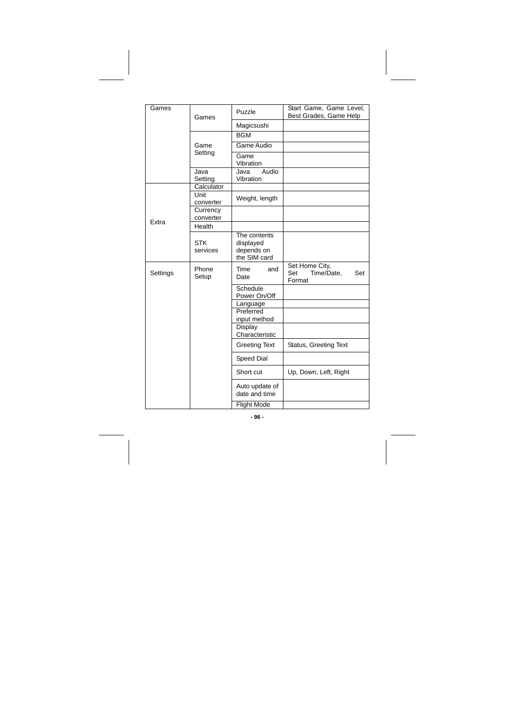| Games    | Games                  | Puzzle                                                  | Start Game, Game Level,<br>Best Grades, Game Help    |
|----------|------------------------|---------------------------------------------------------|------------------------------------------------------|
|          |                        | Magicsushi                                              |                                                      |
|          |                        | <b>BGM</b>                                              |                                                      |
|          | Game                   | Game Audio                                              |                                                      |
|          | Setting                | Game<br>Vibration                                       |                                                      |
|          | Java<br>Setting        | Audio<br>Java<br>Vibration                              |                                                      |
|          | Calculator             |                                                         |                                                      |
|          | Unit<br>converter      | Weight, length                                          |                                                      |
| Extra    | Currency<br>converter  |                                                         |                                                      |
|          | Health                 |                                                         |                                                      |
|          | <b>STK</b><br>services | The contents<br>displayed<br>depends on<br>the SIM card |                                                      |
| Settings | Phone<br>Setup         | Time<br>and<br>Date                                     | Set Home City,<br>Set<br>Time/Date,<br>Set<br>Format |
|          |                        | Schedule<br>Power On/Off                                |                                                      |
|          |                        | Language                                                |                                                      |
|          |                        | Preferred<br>input method                               |                                                      |
|          |                        | Display<br>Characteristic                               |                                                      |
|          |                        | <b>Greeting Text</b>                                    | Status, Greeting Text                                |
|          |                        | Speed Dial                                              |                                                      |
|          |                        | Short cut                                               | Up, Down, Left, Right                                |
|          |                        | Auto update of<br>date and time                         |                                                      |
|          |                        | <b>Flight Mode</b>                                      |                                                      |

**- 96 -**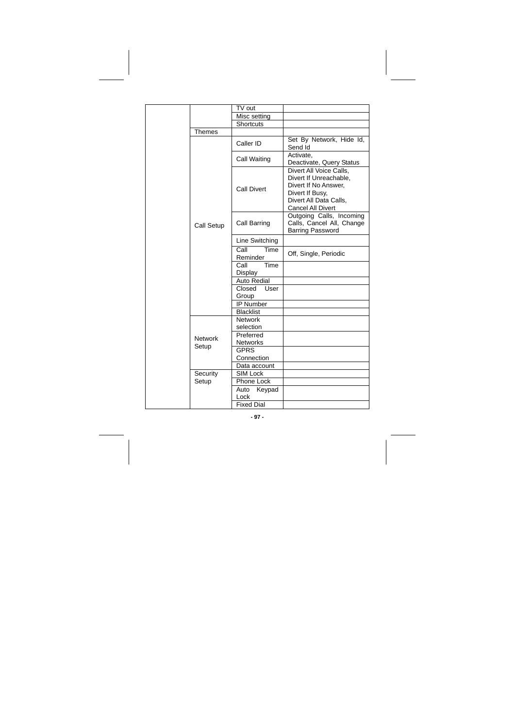|  |                         | TV out                       |                                                                                                                                                    |
|--|-------------------------|------------------------------|----------------------------------------------------------------------------------------------------------------------------------------------------|
|  |                         | Misc setting                 |                                                                                                                                                    |
|  |                         | Shortcuts                    |                                                                                                                                                    |
|  | Themes                  |                              |                                                                                                                                                    |
|  | Call Setup              | Caller ID                    | Set By Network, Hide Id,<br>Send Id                                                                                                                |
|  |                         | Call Waiting                 | Activate.<br>Deactivate, Query Status                                                                                                              |
|  |                         | <b>Call Divert</b>           | Divert All Voice Calls.<br>Divert If Unreachable.<br>Divert If No Answer.<br>Divert If Busy,<br>Divert All Data Calls,<br><b>Cancel All Divert</b> |
|  |                         | Call Barring                 | Outgoing Calls, Incoming<br>Calls, Cancel All, Change<br><b>Barring Password</b>                                                                   |
|  |                         | Line Switching               |                                                                                                                                                    |
|  |                         | Time<br>Call<br>Reminder     | Off, Single, Periodic                                                                                                                              |
|  |                         | Time<br>Call<br>Display      |                                                                                                                                                    |
|  |                         | Auto Redial                  |                                                                                                                                                    |
|  |                         | Closed<br>User<br>Group      |                                                                                                                                                    |
|  |                         | <b>IP Number</b>             |                                                                                                                                                    |
|  |                         | <b>Blacklist</b>             |                                                                                                                                                    |
|  | <b>Network</b><br>Setup | <b>Network</b><br>selection  |                                                                                                                                                    |
|  |                         | Preferred<br><b>Networks</b> |                                                                                                                                                    |
|  |                         | <b>GPRS</b><br>Connection    |                                                                                                                                                    |
|  |                         | Data account                 |                                                                                                                                                    |
|  | Security<br>Setup       | <b>SIM Lock</b>              |                                                                                                                                                    |
|  |                         | Phone Lock                   |                                                                                                                                                    |
|  |                         | Auto<br>Keypad<br>Lock       |                                                                                                                                                    |
|  |                         | <b>Fixed Dial</b>            |                                                                                                                                                    |

**- 97 -**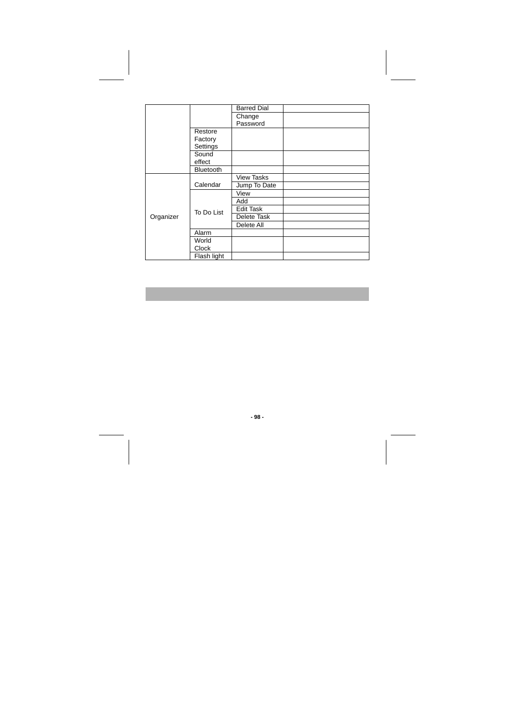|           |                  | <b>Barred Dial</b> |  |
|-----------|------------------|--------------------|--|
|           |                  | Change             |  |
|           |                  | Password           |  |
|           | Restore          |                    |  |
|           | Factory          |                    |  |
|           | Settings         |                    |  |
|           | Sound            |                    |  |
|           | effect           |                    |  |
|           | <b>Bluetooth</b> |                    |  |
|           | Calendar         | <b>View Tasks</b>  |  |
|           |                  | Jump To Date       |  |
|           | To Do List       | View               |  |
|           |                  | Add                |  |
|           |                  | Edit Task          |  |
| Organizer |                  | Delete Task        |  |
|           |                  | Delete All         |  |
|           | Alarm            |                    |  |
|           | World            |                    |  |
|           | Clock            |                    |  |
|           | Flash light      |                    |  |

**- 98 -**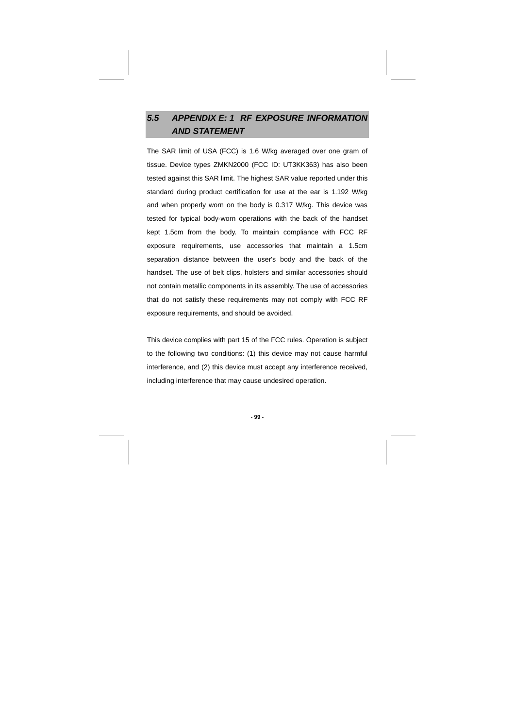# **5.5 APPENDIX E: 1 RF EXPOSURE INFORMATION AND STATEMENT**

The SAR limit of USA (FCC) is 1.6 W/kg averaged over one gram of tissue. Device types ZMKN2000 (FCC ID: UT3KK363) has also been tested against this SAR limit. The highest SAR value reported under this standard during product certification for use at the ear is 1.192 W/kg and when properly worn on the body is 0.317 W/kg. This device was tested for typical body-worn operations with the back of the handset kept 1.5cm from the body. To maintain compliance with FCC RF exposure requirements, use accessories that maintain a 1.5cm separation distance between the user's body and the back of the handset. The use of belt clips, holsters and similar accessories should not contain metallic components in its assembly. The use of accessories that do not satisfy these requirements may not comply with FCC RF exposure requirements, and should be avoided.

This device complies with part 15 of the FCC rules. Operation is subject to the following two conditions: (1) this device may not cause harmful interference, and (2) this device must accept any interference received, including interference that may cause undesired operation.

**- 99 -**